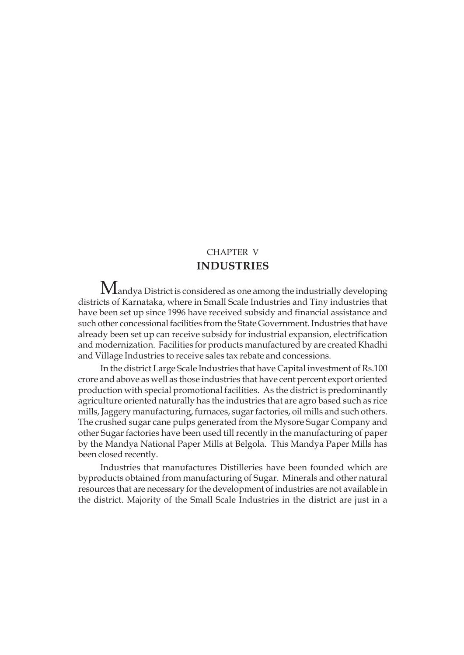# CHAPTER V **INDUSTRIES**

 $M$ andya District is considered as one among the industrially developing districts of Karnataka, where in Small Scale Industries and Tiny industries that have been set up since 1996 have received subsidy and financial assistance and such other concessional facilities from the State Government. Industries that have already been set up can receive subsidy for industrial expansion, electrification and modernization. Facilities for products manufactured by are created Khadhi and Village Industries to receive sales tax rebate and concessions.

In the district Large Scale Industries that have Capital investment of Rs.100 crore and above as well as those industries that have cent percent export oriented production with special promotional facilities. As the district is predominantly agriculture oriented naturally has the industries that are agro based such as rice mills, Jaggery manufacturing, furnaces, sugar factories, oil mills and such others. The crushed sugar cane pulps generated from the Mysore Sugar Company and other Sugar factories have been used till recently in the manufacturing of paper by the Mandya National Paper Mills at Belgola. This Mandya Paper Mills has been closed recently.

Industries that manufactures Distilleries have been founded which are byproducts obtained from manufacturing of Sugar. Minerals and other natural resources that are necessary for the development of industries are not available in the district. Majority of the Small Scale Industries in the district are just in a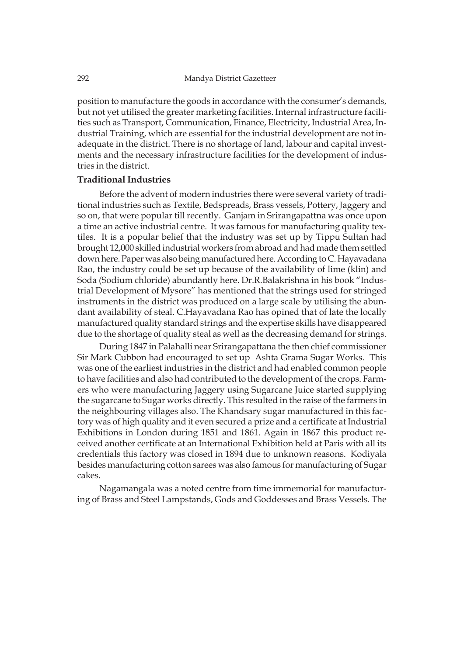position to manufacture the goods in accordance with the consumer's demands, but not yet utilised the greater marketing facilities. Internal infrastructure facilities such as Transport, Communication, Finance, Electricity, Industrial Area, Industrial Training, which are essential for the industrial development are not inadequate in the district. There is no shortage of land, labour and capital investments and the necessary infrastructure facilities for the development of industries in the district.

### **Traditional Industries**

Before the advent of modern industries there were several variety of traditional industries such as Textile, Bedspreads, Brass vessels, Pottery, Jaggery and so on, that were popular till recently. Ganjam in Srirangapattna was once upon a time an active industrial centre. It was famous for manufacturing quality textiles. It is a popular belief that the industry was set up by Tippu Sultan had brought 12,000 skilled industrial workers from abroad and had made them settled down here. Paper was also being manufactured here. According to C. Hayavadana Rao, the industry could be set up because of the availability of lime (klin) and Soda (Sodium chloride) abundantly here. Dr.R.Balakrishna in his book "Industrial Development of Mysore" has mentioned that the strings used for stringed instruments in the district was produced on a large scale by utilising the abundant availability of steal. C.Hayavadana Rao has opined that of late the locally manufactured quality standard strings and the expertise skills have disappeared due to the shortage of quality steal as well as the decreasing demand for strings.

During 1847 in Palahalli near Srirangapattana the then chief commissioner Sir Mark Cubbon had encouraged to set up Ashta Grama Sugar Works. This was one of the earliest industries in the district and had enabled common people to have facilities and also had contributed to the development of the crops. Farmers who were manufacturing Jaggery using Sugarcane Juice started supplying the sugarcane to Sugar works directly. This resulted in the raise of the farmers in the neighbouring villages also. The Khandsary sugar manufactured in this factory was of high quality and it even secured a prize and a certificate at Industrial Exhibitions in London during 1851 and 1861. Again in 1867 this product received another certificate at an International Exhibition held at Paris with all its credentials this factory was closed in 1894 due to unknown reasons. Kodiyala besides manufacturing cotton sarees was also famous for manufacturing of Sugar cakes.

Nagamangala was a noted centre from time immemorial for manufacturing of Brass and Steel Lampstands, Gods and Goddesses and Brass Vessels. The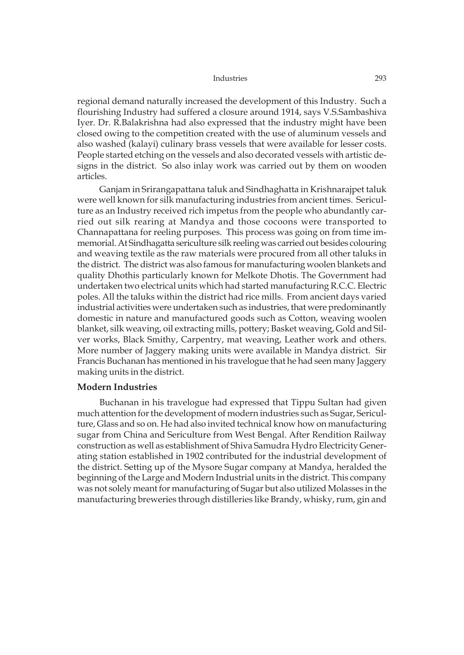regional demand naturally increased the development of this Industry. Such a flourishing Industry had suffered a closure around 1914, says V.S.Sambashiva Iyer. Dr. R.Balakrishna had also expressed that the industry might have been closed owing to the competition created with the use of aluminum vessels and also washed (kalayi) culinary brass vessels that were available for lesser costs. People started etching on the vessels and also decorated vessels with artistic designs in the district. So also inlay work was carried out by them on wooden articles.

Ganjam in Srirangapattana taluk and Sindhaghatta in Krishnarajpet taluk were well known for silk manufacturing industries from ancient times. Sericulture as an Industry received rich impetus from the people who abundantly carried out silk rearing at Mandya and those cocoons were transported to Channapattana for reeling purposes. This process was going on from time immemorial. At Sindhagatta sericulture silk reeling was carried out besides colouring and weaving textile as the raw materials were procured from all other taluks in the district. The district was also famous for manufacturing woolen blankets and quality Dhothis particularly known for Melkote Dhotis. The Government had undertaken two electrical units which had started manufacturing R.C.C. Electric poles. All the taluks within the district had rice mills. From ancient days varied industrial activities were undertaken such as industries, that were predominantly domestic in nature and manufactured goods such as Cotton, weaving woolen blanket, silk weaving, oil extracting mills, pottery; Basket weaving, Gold and Silver works, Black Smithy, Carpentry, mat weaving, Leather work and others. More number of Jaggery making units were available in Mandya district. Sir Francis Buchanan has mentioned in his travelogue that he had seen many Jaggery making units in the district.

### **Modern Industries**

Buchanan in his travelogue had expressed that Tippu Sultan had given much attention for the development of modern industries such as Sugar, Sericulture, Glass and so on. He had also invited technical know how on manufacturing sugar from China and Sericulture from West Bengal. After Rendition Railway construction as well as establishment of Shiva Samudra Hydro Electricity Generating station established in 1902 contributed for the industrial development of the district. Setting up of the Mysore Sugar company at Mandya, heralded the beginning of the Large and Modern Industrial units in the district. This company was not solely meant for manufacturing of Sugar but also utilized Molasses in the manufacturing breweries through distilleries like Brandy, whisky, rum, gin and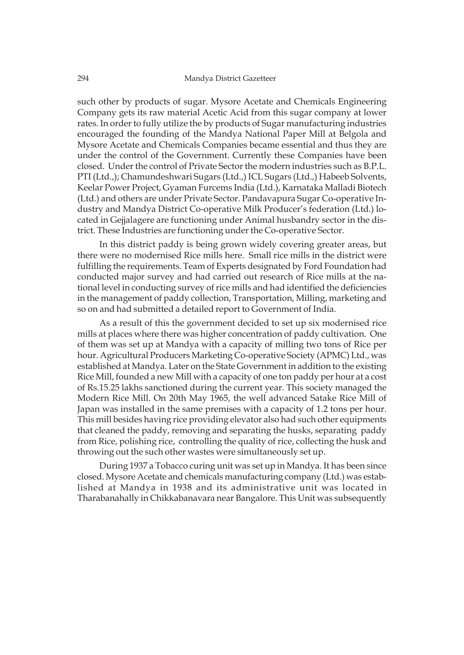such other by products of sugar. Mysore Acetate and Chemicals Engineering Company gets its raw material Acetic Acid from this sugar company at lower rates. In order to fully utilize the by products of Sugar manufacturing industries encouraged the founding of the Mandya National Paper Mill at Belgola and Mysore Acetate and Chemicals Companies became essential and thus they are under the control of the Government. Currently these Companies have been closed. Under the control of Private Sector the modern industries such as B.P.L. PTI (Ltd.,); Chamundeshwari Sugars (Ltd.,) ICL Sugars (Ltd.,) Habeeb Solvents, Keelar Power Project, Gyaman Furcems India (Ltd.), Karnataka Malladi Biotech (Ltd.) and others are under Private Sector. Pandavapura Sugar Co-operative Industry and Mandya District Co-operative Milk Producer's federation (Ltd.) located in Gejjalagere are functioning under Animal husbandry sector in the district. These Industries are functioning under the Co-operative Sector.

In this district paddy is being grown widely covering greater areas, but there were no modernised Rice mills here. Small rice mills in the district were fulfilling the requirements. Team of Experts designated by Ford Foundation had conducted major survey and had carried out research of Rice mills at the national level in conducting survey of rice mills and had identified the deficiencies in the management of paddy collection, Transportation, Milling, marketing and so on and had submitted a detailed report to Government of India.

As a result of this the government decided to set up six modernised rice mills at places where there was higher concentration of paddy cultivation. One of them was set up at Mandya with a capacity of milling two tons of Rice per hour. Agricultural Producers Marketing Co-operative Society (APMC) Ltd., was established at Mandya. Later on the State Government in addition to the existing Rice Mill, founded a new Mill with a capacity of one ton paddy per hour at a cost of Rs.15.25 lakhs sanctioned during the current year. This society managed the Modern Rice Mill. On 20th May 1965, the well advanced Satake Rice Mill of Japan was installed in the same premises with a capacity of 1.2 tons per hour. This mill besides having rice providing elevator also had such other equipments that cleaned the paddy, removing and separating the husks, separating paddy from Rice, polishing rice, controlling the quality of rice, collecting the husk and throwing out the such other wastes were simultaneously set up.

During 1937 a Tobacco curing unit was set up in Mandya. It has been since closed. Mysore Acetate and chemicals manufacturing company (Ltd.) was established at Mandya in 1938 and its administrative unit was located in Tharabanahally in Chikkabanavara near Bangalore. This Unit was subsequently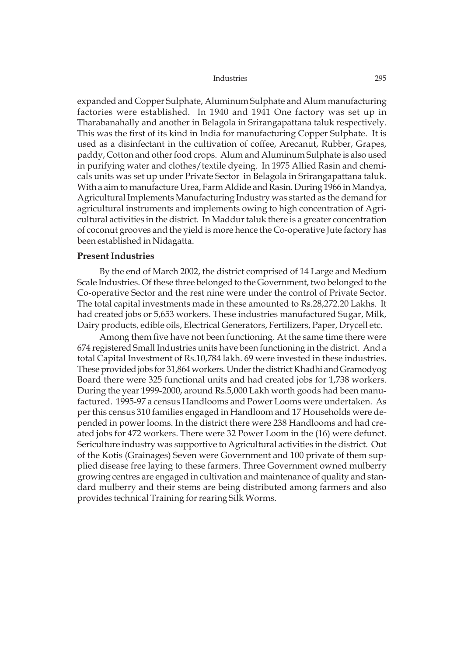expanded and Copper Sulphate, Aluminum Sulphate and Alum manufacturing factories were established. In 1940 and 1941 One factory was set up in Tharabanahally and another in Belagola in Srirangapattana taluk respectively. This was the first of its kind in India for manufacturing Copper Sulphate. It is used as a disinfectant in the cultivation of coffee, Arecanut, Rubber, Grapes, paddy, Cotton and other food crops. Alum and Aluminum Sulphate is also used in purifying water and clothes/textile dyeing. In 1975 Allied Rasin and chemicals units was set up under Private Sector in Belagola in Srirangapattana taluk. With a aim to manufacture Urea, Farm Aldide and Rasin. During 1966 in Mandya, Agricultural Implements Manufacturing Industry was started as the demand for agricultural instruments and implements owing to high concentration of Agricultural activities in the district. In Maddur taluk there is a greater concentration of coconut grooves and the yield is more hence the Co-operative Jute factory has been established in Nidagatta.

### **Present Industries**

By the end of March 2002, the district comprised of 14 Large and Medium Scale Industries. Of these three belonged to the Government, two belonged to the Co-operative Sector and the rest nine were under the control of Private Sector. The total capital investments made in these amounted to Rs.28,272.20 Lakhs. It had created jobs or 5,653 workers. These industries manufactured Sugar, Milk, Dairy products, edible oils, Electrical Generators, Fertilizers, Paper, Drycell etc.

Among them five have not been functioning. At the same time there were 674 registered Small Industries units have been functioning in the district. And a total Capital Investment of Rs.10,784 lakh. 69 were invested in these industries. These provided jobs for 31,864 workers. Under the district Khadhi and Gramodyog Board there were 325 functional units and had created jobs for 1,738 workers. During the year 1999-2000, around Rs.5,000 Lakh worth goods had been manufactured. 1995-97 a census Handlooms and Power Looms were undertaken. As per this census 310 families engaged in Handloom and 17 Households were depended in power looms. In the district there were 238 Handlooms and had created jobs for 472 workers. There were 32 Power Loom in the (16) were defunct. Sericulture industry was supportive to Agricultural activities in the district. Out of the Kotis (Grainages) Seven were Government and 100 private of them supplied disease free laying to these farmers. Three Government owned mulberry growing centres are engaged in cultivation and maintenance of quality and standard mulberry and their stems are being distributed among farmers and also provides technical Training for rearing Silk Worms.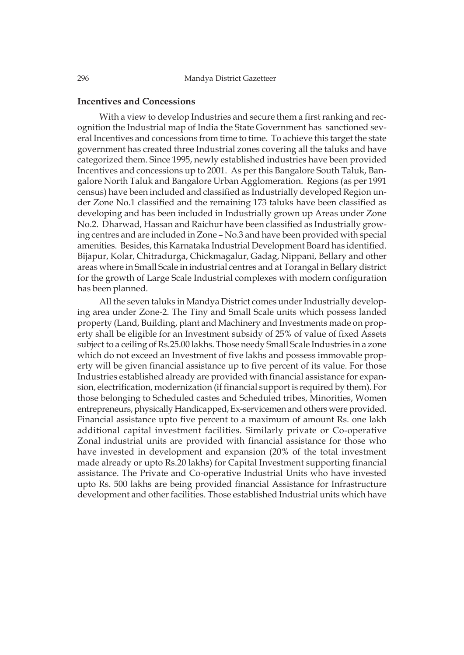# **Incentives and Concessions**

With a view to develop Industries and secure them a first ranking and recognition the Industrial map of India the State Government has sanctioned several Incentives and concessions from time to time. To achieve this target the state government has created three Industrial zones covering all the taluks and have categorized them. Since 1995, newly established industries have been provided Incentives and concessions up to 2001. As per this Bangalore South Taluk, Bangalore North Taluk and Bangalore Urban Agglomeration. Regions (as per 1991 census) have been included and classified as Industrially developed Region under Zone No.1 classified and the remaining 173 taluks have been classified as developing and has been included in Industrially grown up Areas under Zone No.2. Dharwad, Hassan and Raichur have been classified as Industrially growing centres and are included in Zone – No.3 and have been provided with special amenities. Besides, this Karnataka Industrial Development Board has identified. Bijapur, Kolar, Chitradurga, Chickmagalur, Gadag, Nippani, Bellary and other areas where in Small Scale in industrial centres and at Torangal in Bellary district for the growth of Large Scale Industrial complexes with modern configuration has been planned.

All the seven taluks in Mandya District comes under Industrially developing area under Zone-2. The Tiny and Small Scale units which possess landed property (Land, Building, plant and Machinery and Investments made on property shall be eligible for an Investment subsidy of 25% of value of fixed Assets subject to a ceiling of Rs.25.00 lakhs. Those needy Small Scale Industries in a zone which do not exceed an Investment of five lakhs and possess immovable property will be given financial assistance up to five percent of its value. For those Industries established already are provided with financial assistance for expansion, electrification, modernization (if financial support is required by them). For those belonging to Scheduled castes and Scheduled tribes, Minorities, Women entrepreneurs, physically Handicapped, Ex-servicemen and others were provided. Financial assistance upto five percent to a maximum of amount Rs. one lakh additional capital investment facilities. Similarly private or Co-operative Zonal industrial units are provided with financial assistance for those who have invested in development and expansion (20% of the total investment made already or upto Rs.20 lakhs) for Capital Investment supporting financial assistance. The Private and Co-operative Industrial Units who have invested upto Rs. 500 lakhs are being provided financial Assistance for Infrastructure development and other facilities. Those established Industrial units which have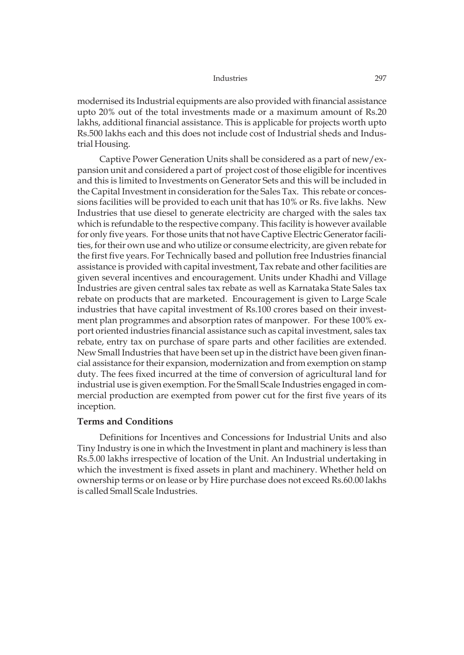modernised its Industrial equipments are also provided with financial assistance upto 20% out of the total investments made or a maximum amount of Rs.20 lakhs, additional financial assistance. This is applicable for projects worth upto Rs.500 lakhs each and this does not include cost of Industrial sheds and Industrial Housing.

Captive Power Generation Units shall be considered as a part of new/expansion unit and considered a part of project cost of those eligible for incentives and this is limited to Investments on Generator Sets and this will be included in the Capital Investment in consideration for the Sales Tax. This rebate or concessions facilities will be provided to each unit that has 10% or Rs. five lakhs. New Industries that use diesel to generate electricity are charged with the sales tax which is refundable to the respective company. This facility is however available for only five years. For those units that not have Captive Electric Generator facilities, for their own use and who utilize or consume electricity, are given rebate for the first five years. For Technically based and pollution free Industries financial assistance is provided with capital investment, Tax rebate and other facilities are given several incentives and encouragement. Units under Khadhi and Village Industries are given central sales tax rebate as well as Karnataka State Sales tax rebate on products that are marketed. Encouragement is given to Large Scale industries that have capital investment of Rs.100 crores based on their investment plan programmes and absorption rates of manpower. For these 100% export oriented industries financial assistance such as capital investment, sales tax rebate, entry tax on purchase of spare parts and other facilities are extended. New Small Industries that have been set up in the district have been given financial assistance for their expansion, modernization and from exemption on stamp duty. The fees fixed incurred at the time of conversion of agricultural land for industrial use is given exemption. For the Small Scale Industries engaged in commercial production are exempted from power cut for the first five years of its inception.

### **Terms and Conditions**

Definitions for Incentives and Concessions for Industrial Units and also Tiny Industry is one in which the Investment in plant and machinery is less than Rs.5.00 lakhs irrespective of location of the Unit. An Industrial undertaking in which the investment is fixed assets in plant and machinery. Whether held on ownership terms or on lease or by Hire purchase does not exceed Rs.60.00 lakhs is called Small Scale Industries.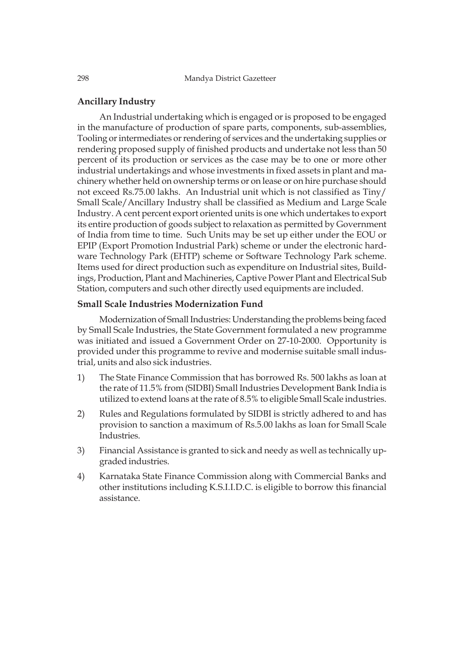# **Ancillary Industry**

An Industrial undertaking which is engaged or is proposed to be engaged in the manufacture of production of spare parts, components, sub-assemblies, Tooling or intermediates or rendering of services and the undertaking supplies or rendering proposed supply of finished products and undertake not less than 50 percent of its production or services as the case may be to one or more other industrial undertakings and whose investments in fixed assets in plant and machinery whether held on ownership terms or on lease or on hire purchase should not exceed Rs.75.00 lakhs. An Industrial unit which is not classified as Tiny/ Small Scale/Ancillary Industry shall be classified as Medium and Large Scale Industry. A cent percent export oriented units is one which undertakes to export its entire production of goods subject to relaxation as permitted by Government of India from time to time. Such Units may be set up either under the EOU or EPIP (Export Promotion Industrial Park) scheme or under the electronic hardware Technology Park (EHTP) scheme or Software Technology Park scheme. Items used for direct production such as expenditure on Industrial sites, Buildings, Production, Plant and Machineries, Captive Power Plant and Electrical Sub Station, computers and such other directly used equipments are included.

# **Small Scale Industries Modernization Fund**

Modernization of Small Industries: Understanding the problems being faced by Small Scale Industries, the State Government formulated a new programme was initiated and issued a Government Order on 27-10-2000. Opportunity is provided under this programme to revive and modernise suitable small industrial, units and also sick industries.

- 1) The State Finance Commission that has borrowed Rs. 500 lakhs as loan at the rate of 11.5% from (SIDBI) Small Industries Development Bank India is utilized to extend loans at the rate of 8.5% to eligible Small Scale industries.
- 2) Rules and Regulations formulated by SIDBI is strictly adhered to and has provision to sanction a maximum of Rs.5.00 lakhs as loan for Small Scale Industries.
- 3) Financial Assistance is granted to sick and needy as well as technically upgraded industries.
- 4) Karnataka State Finance Commission along with Commercial Banks and other institutions including K.S.I.I.D.C. is eligible to borrow this financial assistance.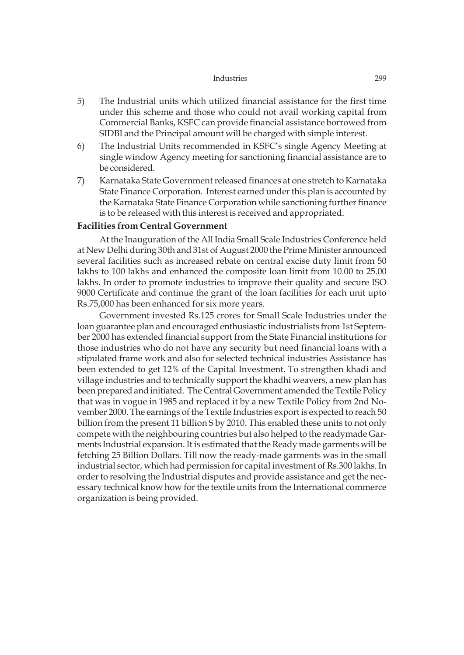- 5) The Industrial units which utilized financial assistance for the first time under this scheme and those who could not avail working capital from Commercial Banks, KSFC can provide financial assistance borrowed from SIDBI and the Principal amount will be charged with simple interest.
- 6) The Industrial Units recommended in KSFC's single Agency Meeting at single window Agency meeting for sanctioning financial assistance are to be considered.
- 7) Karnataka State Government released finances at one stretch to Karnataka State Finance Corporation. Interest earned under this plan is accounted by the Karnataka State Finance Corporation while sanctioning further finance is to be released with this interest is received and appropriated.

# **Facilities from Central Government**

At the Inauguration of the All India Small Scale Industries Conference held at New Delhi during 30th and 31st of August 2000 the Prime Minister announced several facilities such as increased rebate on central excise duty limit from 50 lakhs to 100 lakhs and enhanced the composite loan limit from 10.00 to 25.00 lakhs. In order to promote industries to improve their quality and secure ISO 9000 Certificate and continue the grant of the loan facilities for each unit upto Rs.75,000 has been enhanced for six more years.

Government invested Rs.125 crores for Small Scale Industries under the loan guarantee plan and encouraged enthusiastic industrialists from 1st September 2000 has extended financial support from the State Financial institutions for those industries who do not have any security but need financial loans with a stipulated frame work and also for selected technical industries Assistance has been extended to get 12% of the Capital Investment. To strengthen khadi and village industries and to technically support the khadhi weavers, a new plan has been prepared and initiated. The Central Government amended the Textile Policy that was in vogue in 1985 and replaced it by a new Textile Policy from 2nd November 2000. The earnings of the Textile Industries export is expected to reach 50 billion from the present 11 billion \$ by 2010. This enabled these units to not only compete with the neighbouring countries but also helped to the readymade Garments Industrial expansion. It is estimated that the Ready made garments will be fetching 25 Billion Dollars. Till now the ready-made garments was in the small industrial sector, which had permission for capital investment of Rs.300 lakhs. In order to resolving the Industrial disputes and provide assistance and get the necessary technical know how for the textile units from the International commerce organization is being provided.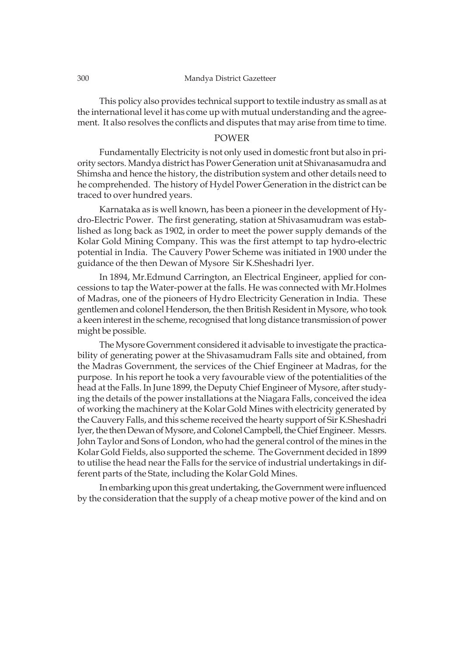#### 300 Mandya District Gazetteer

This policy also provides technical support to textile industry as small as at the international level it has come up with mutual understanding and the agreement. It also resolves the conflicts and disputes that may arise from time to time.

### POWER

Fundamentally Electricity is not only used in domestic front but also in priority sectors. Mandya district has Power Generation unit at Shivanasamudra and Shimsha and hence the history, the distribution system and other details need to he comprehended. The history of Hydel Power Generation in the district can be traced to over hundred years.

Karnataka as is well known, has been a pioneer in the development of Hydro-Electric Power. The first generating, station at Shivasamudram was established as long back as 1902, in order to meet the power supply demands of the Kolar Gold Mining Company. This was the first attempt to tap hydro-electric potential in India. The Cauvery Power Scheme was initiated in 1900 under the guidance of the then Dewan of Mysore Sir K.Sheshadri Iyer.

In 1894, Mr.Edmund Carrington, an Electrical Engineer, applied for concessions to tap the Water-power at the falls. He was connected with Mr.Holmes of Madras, one of the pioneers of Hydro Electricity Generation in India. These gentlemen and colonel Henderson, the then British Resident in Mysore, who took a keen interest in the scheme, recognised that long distance transmission of power might be possible.

The Mysore Government considered it advisable to investigate the practicability of generating power at the Shivasamudram Falls site and obtained, from the Madras Government, the services of the Chief Engineer at Madras, for the purpose. In his report he took a very favourable view of the potentialities of the head at the Falls. In June 1899, the Deputy Chief Engineer of Mysore, after studying the details of the power installations at the Niagara Falls, conceived the idea of working the machinery at the Kolar Gold Mines with electricity generated by the Cauvery Falls, and this scheme received the hearty support of Sir K.Sheshadri Iyer, the then Dewan of Mysore, and Colonel Campbell, the Chief Engineer. Messrs. John Taylor and Sons of London, who had the general control of the mines in the Kolar Gold Fields, also supported the scheme. The Government decided in 1899 to utilise the head near the Falls for the service of industrial undertakings in different parts of the State, including the Kolar Gold Mines.

In embarking upon this great undertaking, the Government were influenced by the consideration that the supply of a cheap motive power of the kind and on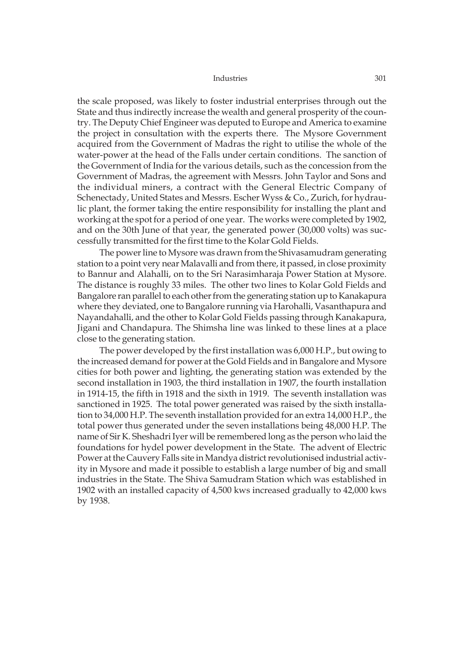the scale proposed, was likely to foster industrial enterprises through out the State and thus indirectly increase the wealth and general prosperity of the country. The Deputy Chief Engineer was deputed to Europe and America to examine the project in consultation with the experts there. The Mysore Government acquired from the Government of Madras the right to utilise the whole of the water-power at the head of the Falls under certain conditions. The sanction of the Government of India for the various details, such as the concession from the Government of Madras, the agreement with Messrs. John Taylor and Sons and the individual miners, a contract with the General Electric Company of Schenectady, United States and Messrs. Escher Wyss & Co., Zurich, for hydraulic plant, the former taking the entire responsibility for installing the plant and working at the spot for a period of one year. The works were completed by 1902, and on the 30th June of that year, the generated power (30,000 volts) was successfully transmitted for the first time to the Kolar Gold Fields.

The power line to Mysore was drawn from the Shivasamudram generating station to a point very near Malavalli and from there, it passed, in close proximity to Bannur and Alahalli, on to the Sri Narasimharaja Power Station at Mysore. The distance is roughly 33 miles. The other two lines to Kolar Gold Fields and Bangalore ran parallel to each other from the generating station up to Kanakapura where they deviated, one to Bangalore running via Harohalli, Vasanthapura and Nayandahalli, and the other to Kolar Gold Fields passing through Kanakapura, Jigani and Chandapura. The Shimsha line was linked to these lines at a place close to the generating station.

The power developed by the first installation was 6,000 H.P., but owing to the increased demand for power at the Gold Fields and in Bangalore and Mysore cities for both power and lighting, the generating station was extended by the second installation in 1903, the third installation in 1907, the fourth installation in 1914-15, the fifth in 1918 and the sixth in 1919. The seventh installation was sanctioned in 1925. The total power generated was raised by the sixth installation to 34,000 H.P. The seventh installation provided for an extra 14,000 H.P., the total power thus generated under the seven installations being 48,000 H.P. The name of Sir K. Sheshadri Iyer will be remembered long as the person who laid the foundations for hydel power development in the State. The advent of Electric Power at the Cauvery Falls site in Mandya district revolutionised industrial activity in Mysore and made it possible to establish a large number of big and small industries in the State. The Shiva Samudram Station which was established in 1902 with an installed capacity of 4,500 kws increased gradually to 42,000 kws by 1938.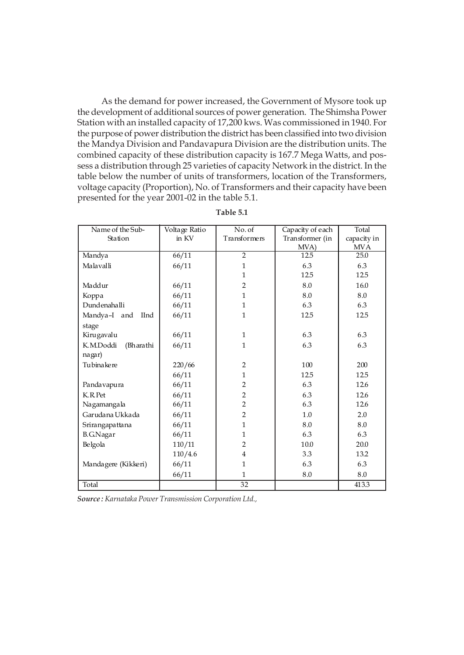As the demand for power increased, the Government of Mysore took up the development of additional sources of power generation. The Shimsha Power Station with an installed capacity of 17,200 kws. Was commissioned in 1940. For the purpose of power distribution the district has been classified into two division the Mandya Division and Pandavapura Division are the distribution units. The combined capacity of these distribution capacity is 167.7 Mega Watts, and possess a distribution through 25 varieties of capacity Network in the district. In the table below the number of units of transformers, location of the Transformers, voltage capacity (Proportion), No. of Transformers and their capacity have been presented for the year 2001-02 in the table 5.1.

| Name of the Sub-            | Voltage Ratio | No. of         | Capacity of each | Total       |
|-----------------------------|---------------|----------------|------------------|-------------|
| Station                     | in KV         | Transformers   | Transformer (in  | capacity in |
|                             |               |                | MVA)             | <b>MVA</b>  |
| Mandya                      | 66/11         | $\overline{2}$ | 12.5             | 25.0        |
| Malavalli                   | 66/11         | $\mathbf{1}$   | 6.3              | 6.3         |
|                             |               | $\mathbf{1}$   | 12.5             | 12.5        |
| Maddur                      | 66/11         | $\overline{2}$ | 8.0              | 16.0        |
| Koppa                       | 66/11         | $\mathbf{1}$   | 8.0              | 8.0         |
| Dundenahalli                | 66/11         | $\mathbf{1}$   | 6.3              | 6.3         |
| Mandya-I and<br><b>IInd</b> | 66/11         | $\mathbf{1}$   | 12.5             | 12.5        |
| stage                       |               |                |                  |             |
| Kirugavalu                  | 66/11         | $\mathbf{1}$   | 6.3              | 6.3         |
| K.M.Doddi<br>(Bharathi      | 66/11         | $\mathbf{1}$   | 6.3              | 6.3         |
| nagar)                      |               |                |                  |             |
| Tubinakere                  | 220/66        | $\overline{2}$ | 100              | 200         |
|                             | 66/11         | $\mathbf{1}$   | 12.5             | 12.5        |
| Pandavapura                 | 66/11         | $\overline{2}$ | 6.3              | 12.6        |
| K.R.Pet                     | 66/11         | $\overline{2}$ | 6.3              | 12.6        |
| Nagamangala                 | 66/11         | $\overline{2}$ | 6.3              | 12.6        |
| Garudana Ukkada             | 66/11         | $\overline{2}$ | 1.0              | 2.0         |
| Srirangapattana             | 66/11         | $\mathbf{1}$   | 8.0              | 8.0         |
| <b>B.G.Nagar</b>            | 66/11         | $\mathbf{1}$   | 6.3              | 6.3         |
| Belgola                     | 110/11        | $\overline{2}$ | 10.0             | 20.0        |
|                             | 110/4.6       | $\overline{4}$ | 3.3              | 13.2        |
| Mandagere (Kikkeri)         | 66/11         | $\mathbf{1}$   | 6.3              | 6.3         |
|                             | 66/11         | $\mathbf{1}$   | 8.0              | 8.0         |
| Total                       |               | 32             |                  | 413.3       |

**Table 5.1**

*Source : Karnataka Power Transmission Corporation Ltd.,*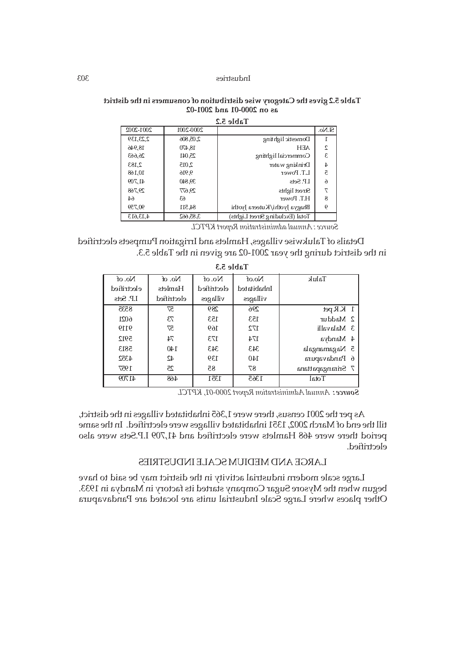### **Table 5.2 gives the Category wise distribution of consumers in the district as on 2000-01 and 2001-02**

|          | $7^{\circ}$ C aldp T            |           |           |
|----------|---------------------------------|-----------|-----------|
| $S1N0$ . |                                 | 2000-2001 | 2001-2002 |
|          | Domestic lighting               | 2,05,806  | 2,23,139  |
| 2        | <b>AF.H</b>                     | 18.470    | 18,946    |
| £.       | Commercial lighting             | 25,041    | 26,663    |
| 4        | Drinking water                  | 2,015     | 2,183     |
| ā        | L.T. Power                      | 9,916     | 10,168    |
| $\delta$ | LP. Sets                        | 39,840    | 41,709    |
| ᠇        | Street lights                   | 29,677    | 29,768    |
| 8        | H.T. Power                      | 63        | 64        |
| 6        | Bhagya Jyothi/Kuteera Jyothi    | 84,511    | 90,759    |
|          | Total (Excluding Street Lights) | 3,85,662  | 4,13,613  |

**Table 5.2**

*Source : Annual administration Report KPTCL*

Details of Talukwise villages, Hamlets and Irrigation Pumpsets electrified in the district during the year 2001-02 are given in the Table 5.3.

| No. of      | No. of      | No. of      | No.of       | Taluk             |
|-------------|-------------|-------------|-------------|-------------------|
|             |             |             |             |                   |
| electrified | Hamlets     | electrified | Inhabitated |                   |
| I.P. Sets   | electrified | villages    | villages    |                   |
| 8535        | 57          | 289         | 296         | $1$ KR pet        |
| 6021        | 73          | 153         | 153         | 2 Maddur          |
| 9119        | 57          | 169         | 172         | 3 Malavalli       |
| 5912        | 74          | 173         | 174         | 4 Mandya          |
| 5813        | 140         | 343         | 343         | 5 Nagamangala     |
| 4352        | 42          | 139         | 140         | 6 Pandavapura     |
| 1957        | 25          | 85          | 87          | 7 Srirangapattana |
| 41709       | 468         | 1351        | 1365        | Total             |

**Table 5.3**

 *Annual Administration Report 2000-01, KPTCL Source :*

As per the 2001 census, there were 1,365 inhabitated villages in the district, till the end of March 2002, 1351 inhabitated villages were electrified. In the same period there were 468 Hamlets were electrified and 41,709 I.P.Sets were also electrified.

# LARGE AND MEDIUM SCALE INDUSTRIES

Large scale modern industrial activity in the district may be said to have begun when the Mysore Sugar Company started its factory in Mandya in 1933. Other places where Large Scale Industrial units are located are Pandavapura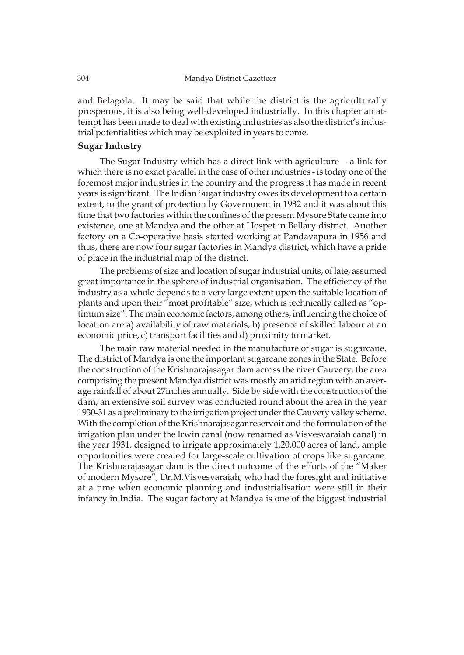and Belagola. It may be said that while the district is the agriculturally prosperous, it is also being well-developed industrially. In this chapter an attempt has been made to deal with existing industries as also the district's industrial potentialities which may be exploited in years to come.

# **Sugar Industry**

The Sugar Industry which has a direct link with agriculture - a link for which there is no exact parallel in the case of other industries - is today one of the foremost major industries in the country and the progress it has made in recent years is significant. The Indian Sugar industry owes its development to a certain extent, to the grant of protection by Government in 1932 and it was about this time that two factories within the confines of the present Mysore State came into existence, one at Mandya and the other at Hospet in Bellary district. Another factory on a Co-operative basis started working at Pandavapura in 1956 and thus, there are now four sugar factories in Mandya district, which have a pride of place in the industrial map of the district.

The problems of size and location of sugar industrial units, of late, assumed great importance in the sphere of industrial organisation. The efficiency of the industry as a whole depends to a very large extent upon the suitable location of plants and upon their "most profitable" size, which is technically called as "optimum size". The main economic factors, among others, influencing the choice of location are a) availability of raw materials, b) presence of skilled labour at an economic price, c) transport facilities and d) proximity to market.

The main raw material needed in the manufacture of sugar is sugarcane. The district of Mandya is one the important sugarcane zones in the State. Before the construction of the Krishnarajasagar dam across the river Cauvery, the area comprising the present Mandya district was mostly an arid region with an average rainfall of about 27inches annually. Side by side with the construction of the dam, an extensive soil survey was conducted round about the area in the year 1930-31 as a preliminary to the irrigation project under the Cauvery valley scheme. With the completion of the Krishnarajasagar reservoir and the formulation of the irrigation plan under the Irwin canal (now renamed as Visvesvaraiah canal) in the year 1931, designed to irrigate approximately 1,20,000 acres of land, ample opportunities were created for large-scale cultivation of crops like sugarcane. The Krishnarajasagar dam is the direct outcome of the efforts of the "Maker of modern Mysore", Dr.M.Visvesvaraiah, who had the foresight and initiative at a time when economic planning and industrialisation were still in their infancy in India. The sugar factory at Mandya is one of the biggest industrial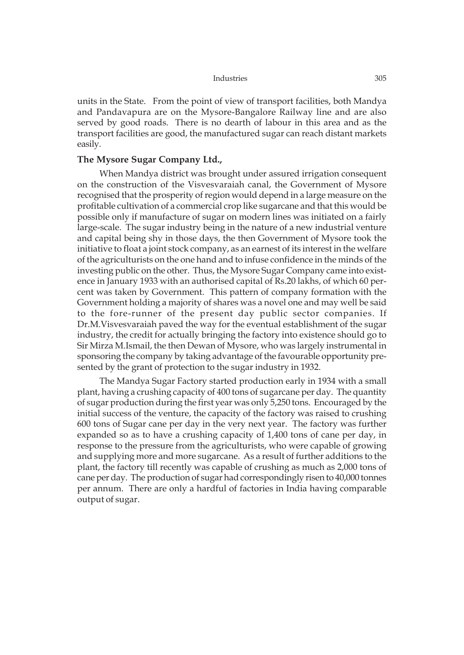units in the State. From the point of view of transport facilities, both Mandya and Pandavapura are on the Mysore-Bangalore Railway line and are also served by good roads. There is no dearth of labour in this area and as the transport facilities are good, the manufactured sugar can reach distant markets easily.

# **The Mysore Sugar Company Ltd.,**

When Mandya district was brought under assured irrigation consequent on the construction of the Visvesvaraiah canal, the Government of Mysore recognised that the prosperity of region would depend in a large measure on the profitable cultivation of a commercial crop like sugarcane and that this would be possible only if manufacture of sugar on modern lines was initiated on a fairly large-scale. The sugar industry being in the nature of a new industrial venture and capital being shy in those days, the then Government of Mysore took the initiative to float a joint stock company, as an earnest of its interest in the welfare of the agriculturists on the one hand and to infuse confidence in the minds of the investing public on the other. Thus, the Mysore Sugar Company came into existence in January 1933 with an authorised capital of Rs.20 lakhs, of which 60 percent was taken by Government. This pattern of company formation with the Government holding a majority of shares was a novel one and may well be said to the fore-runner of the present day public sector companies. If Dr.M.Visvesvaraiah paved the way for the eventual establishment of the sugar industry, the credit for actually bringing the factory into existence should go to Sir Mirza M.Ismail, the then Dewan of Mysore, who was largely instrumental in sponsoring the company by taking advantage of the favourable opportunity presented by the grant of protection to the sugar industry in 1932.

The Mandya Sugar Factory started production early in 1934 with a small plant, having a crushing capacity of 400 tons of sugarcane per day. The quantity of sugar production during the first year was only 5,250 tons. Encouraged by the initial success of the venture, the capacity of the factory was raised to crushing 600 tons of Sugar cane per day in the very next year. The factory was further expanded so as to have a crushing capacity of 1,400 tons of cane per day, in response to the pressure from the agriculturists, who were capable of growing and supplying more and more sugarcane. As a result of further additions to the plant, the factory till recently was capable of crushing as much as 2,000 tons of cane per day. The production of sugar had correspondingly risen to 40,000 tonnes per annum. There are only a hardful of factories in India having comparable output of sugar.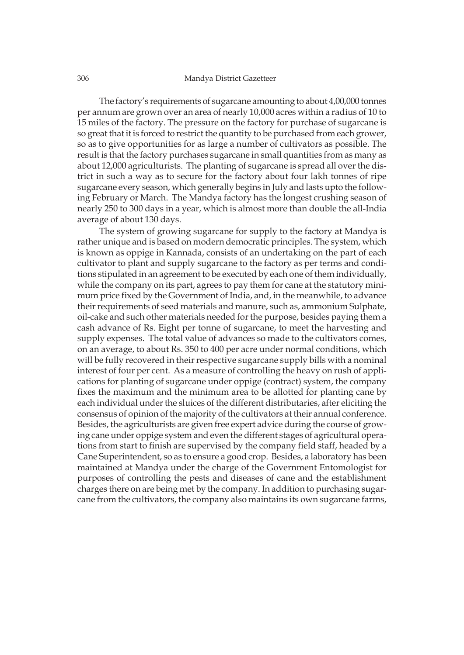#### 306 Mandya District Gazetteer

The factory's requirements of sugarcane amounting to about 4,00,000 tonnes per annum are grown over an area of nearly 10,000 acres within a radius of 10 to 15 miles of the factory. The pressure on the factory for purchase of sugarcane is so great that it is forced to restrict the quantity to be purchased from each grower, so as to give opportunities for as large a number of cultivators as possible. The result is that the factory purchases sugarcane in small quantities from as many as about 12,000 agriculturists. The planting of sugarcane is spread all over the district in such a way as to secure for the factory about four lakh tonnes of ripe sugarcane every season, which generally begins in July and lasts upto the following February or March. The Mandya factory has the longest crushing season of nearly 250 to 300 days in a year, which is almost more than double the all-India average of about 130 days.

The system of growing sugarcane for supply to the factory at Mandya is rather unique and is based on modern democratic principles. The system, which is known as oppige in Kannada, consists of an undertaking on the part of each cultivator to plant and supply sugarcane to the factory as per terms and conditions stipulated in an agreement to be executed by each one of them individually, while the company on its part, agrees to pay them for cane at the statutory minimum price fixed by the Government of India, and, in the meanwhile, to advance their requirements of seed materials and manure, such as, ammonium Sulphate, oil-cake and such other materials needed for the purpose, besides paying them a cash advance of Rs. Eight per tonne of sugarcane, to meet the harvesting and supply expenses. The total value of advances so made to the cultivators comes, on an average, to about Rs. 350 to 400 per acre under normal conditions, which will be fully recovered in their respective sugarcane supply bills with a nominal interest of four per cent. As a measure of controlling the heavy on rush of applications for planting of sugarcane under oppige (contract) system, the company fixes the maximum and the minimum area to be allotted for planting cane by each individual under the sluices of the different distributaries, after eliciting the consensus of opinion of the majority of the cultivators at their annual conference. Besides, the agriculturists are given free expert advice during the course of growing cane under oppige system and even the different stages of agricultural operations from start to finish are supervised by the company field staff, headed by a Cane Superintendent, so as to ensure a good crop. Besides, a laboratory has been maintained at Mandya under the charge of the Government Entomologist for purposes of controlling the pests and diseases of cane and the establishment charges there on are being met by the company. In addition to purchasing sugarcane from the cultivators, the company also maintains its own sugarcane farms,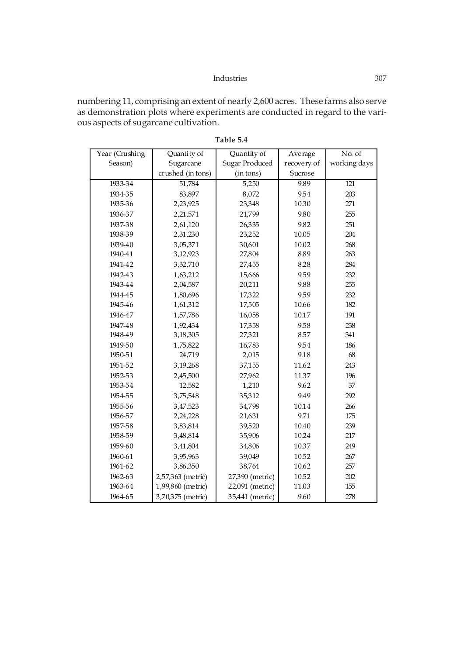numbering 11, comprising an extent of nearly 2,600 acres. These farms also serve as demonstration plots where experiments are conducted in regard to the various aspects of sugarcane cultivation.

| Year (Crushing | Quantity of       | Quantity of           | Average     | No. of           |
|----------------|-------------------|-----------------------|-------------|------------------|
| Season)        | Sugarcane         | <b>Sugar Produced</b> | recovery of | working days     |
|                | crushed (in tons) | (in tons)             | Sucrose     |                  |
| 1933-34        | 51,784            | 5,250                 | 9.89        | $\overline{121}$ |
| 1934-35        | 83,897            | 8,072                 | 9.54        | 203              |
| 1935-36        | 2,23,925          | 23,348                | 10.30       | 271              |
| 1936-37        | 2,21,571          | 21,799                | 9.80        | 255              |
| 1937-38        | 2,61,120          | 26,335                | 9.82        | 251              |
| 1938-39        | 2,31,230          | 23,252                | 10.05       | 204              |
| 1939-40        | 3,05,371          | 30,601                | 10.02       | 268              |
| 1940-41        | 3,12,923          | 27,804                | 8.89        | 263              |
| 1941-42        | 3,32,710          | 27,455                | 8.28        | 284              |
| 1942-43        | 1,63,212          | 15,666                | 9.59        | 232              |
| 1943-44        | 2,04,587          | 20,211                | 9.88        | 255              |
| 1944-45        | 1,80,696          | 17,322                | 9.59        | 232              |
| 1945-46        | 1,61,312          | 17,505                | 10.66       | 182              |
| 1946-47        | 1,57,786          | 16,058                | 10.17       | 191              |
| 1947-48        | 1,92,434          | 17,358                | 9.58        | 238              |
| 1948-49        | 3,18,305          | 27,321                | 8.57        | 341              |
| 1949-50        | 1,75,822          | 16,783                | 9.54        | 186              |
| 1950-51        | 24,719            | 2,015                 | 9.18        | 68               |
| 1951-52        | 3,19,268          | 37,155                | 11.62       | 243              |
| 1952-53        | 2,45,500          | 27,962                | 11.37       | 196              |
| 1953-54        | 12,582            | 1,210                 | 9.62        | 37               |
| 1954-55        | 3,75,548          | 35,312                | 9.49        | 292              |
| 1955-56        | 3,47,523          | 34,798                | 10.14       | 266              |
| 1956-57        | 2,24,228          | 21,631                | 9.71        | 175              |
| 1957-58        | 3,83,814          | 39,520                | 10.40       | 239              |
| 1958-59        | 3,48,814          | 35,906                | 10.24       | 217              |
| 1959-60        | 3,41,804          | 34,806                | 10.37       | 249              |
| 1960-61        | 3,95,963          | 39,049                | 10.52       | 267              |
| 1961-62        | 3,86,350          | 38,764                | 10.62       | 257              |
| 1962-63        | 2,57,363 (metric) | 27,390 (metric)       | 10.52       | 202              |
| 1963-64        | 1,99,860 (metric) | 22,091 (metric)       | 11.03       | 155              |
| 1964-65        | 3,70,375 (metric) | 35,441 (metric)       | 9.60        | 278              |

**Table 5.4**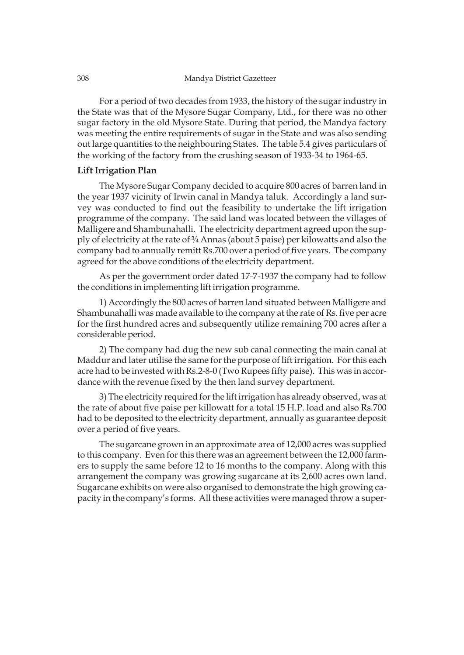For a period of two decades from 1933, the history of the sugar industry in the State was that of the Mysore Sugar Company, Ltd., for there was no other sugar factory in the old Mysore State. During that period, the Mandya factory was meeting the entire requirements of sugar in the State and was also sending out large quantities to the neighbouring States. The table 5.4 gives particulars of the working of the factory from the crushing season of 1933-34 to 1964-65.

# **Lift Irrigation Plan**

The Mysore Sugar Company decided to acquire 800 acres of barren land in the year 1937 vicinity of Irwin canal in Mandya taluk. Accordingly a land survey was conducted to find out the feasibility to undertake the lift irrigation programme of the company. The said land was located between the villages of Malligere and Shambunahalli. The electricity department agreed upon the supply of electricity at the rate of ¾ Annas (about 5 paise) per kilowatts and also the company had to annually remitt Rs.700 over a period of five years. The company agreed for the above conditions of the electricity department.

As per the government order dated 17-7-1937 the company had to follow the conditions in implementing lift irrigation programme.

1) Accordingly the 800 acres of barren land situated between Malligere and Shambunahalli was made available to the company at the rate of Rs. five per acre for the first hundred acres and subsequently utilize remaining 700 acres after a considerable period.

2) The company had dug the new sub canal connecting the main canal at Maddur and later utilise the same for the purpose of lift irrigation. For this each acre had to be invested with Rs.2-8-0 (Two Rupees fifty paise). This was in accordance with the revenue fixed by the then land survey department.

3) The electricity required for the lift irrigation has already observed, was at the rate of about five paise per killowatt for a total 15 H.P. load and also Rs.700 had to be deposited to the electricity department, annually as guarantee deposit over a period of five years.

The sugarcane grown in an approximate area of 12,000 acres was supplied to this company. Even for this there was an agreement between the 12,000 farmers to supply the same before 12 to 16 months to the company. Along with this arrangement the company was growing sugarcane at its 2,600 acres own land. Sugarcane exhibits on were also organised to demonstrate the high growing capacity in the company's forms. All these activities were managed throw a super-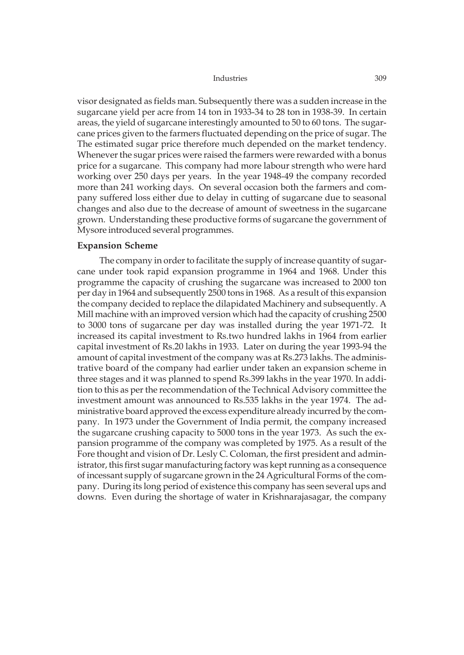visor designated as fields man. Subsequently there was a sudden increase in the sugarcane yield per acre from 14 ton in 1933-34 to 28 ton in 1938-39. In certain areas, the yield of sugarcane interestingly amounted to 50 to 60 tons. The sugarcane prices given to the farmers fluctuated depending on the price of sugar. The The estimated sugar price therefore much depended on the market tendency. Whenever the sugar prices were raised the farmers were rewarded with a bonus price for a sugarcane. This company had more labour strength who were hard working over 250 days per years. In the year 1948-49 the company recorded more than 241 working days. On several occasion both the farmers and company suffered loss either due to delay in cutting of sugarcane due to seasonal changes and also due to the decrease of amount of sweetness in the sugarcane grown. Understanding these productive forms of sugarcane the government of Mysore introduced several programmes.

### **Expansion Scheme**

The company in order to facilitate the supply of increase quantity of sugarcane under took rapid expansion programme in 1964 and 1968. Under this programme the capacity of crushing the sugarcane was increased to 2000 ton per day in 1964 and subsequently 2500 tons in 1968. As a result of this expansion the company decided to replace the dilapidated Machinery and subsequently. A Mill machine with an improved version which had the capacity of crushing 2500 to 3000 tons of sugarcane per day was installed during the year 1971-72. It increased its capital investment to Rs.two hundred lakhs in 1964 from earlier capital investment of Rs.20 lakhs in 1933. Later on during the year 1993-94 the amount of capital investment of the company was at Rs.273 lakhs. The administrative board of the company had earlier under taken an expansion scheme in three stages and it was planned to spend Rs.399 lakhs in the year 1970. In addition to this as per the recommendation of the Technical Advisory committee the investment amount was announced to Rs.535 lakhs in the year 1974. The administrative board approved the excess expenditure already incurred by the company. In 1973 under the Government of India permit, the company increased the sugarcane crushing capacity to 5000 tons in the year 1973. As such the expansion programme of the company was completed by 1975. As a result of the Fore thought and vision of Dr. Lesly C. Coloman, the first president and administrator, this first sugar manufacturing factory was kept running as a consequence of incessant supply of sugarcane grown in the 24 Agricultural Forms of the company. During its long period of existence this company has seen several ups and downs. Even during the shortage of water in Krishnarajasagar, the company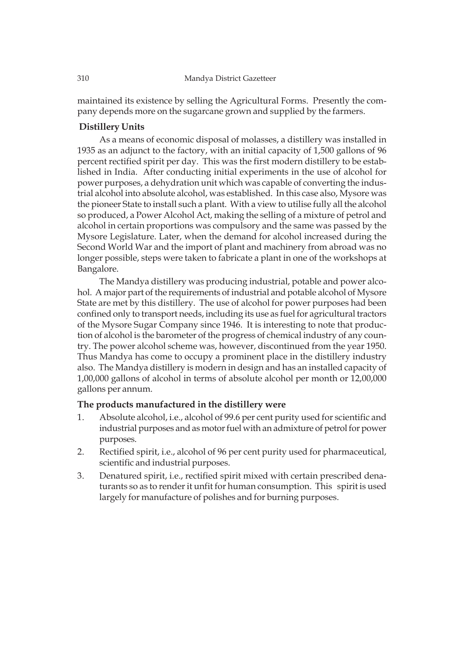maintained its existence by selling the Agricultural Forms. Presently the company depends more on the sugarcane grown and supplied by the farmers.

# **Distillery Units**

As a means of economic disposal of molasses, a distillery was installed in 1935 as an adjunct to the factory, with an initial capacity of 1,500 gallons of 96 percent rectified spirit per day. This was the first modern distillery to be established in India. After conducting initial experiments in the use of alcohol for power purposes, a dehydration unit which was capable of converting the industrial alcohol into absolute alcohol, was established. In this case also, Mysore was the pioneer State to install such a plant. With a view to utilise fully all the alcohol so produced, a Power Alcohol Act, making the selling of a mixture of petrol and alcohol in certain proportions was compulsory and the same was passed by the Mysore Legislature. Later, when the demand for alcohol increased during the Second World War and the import of plant and machinery from abroad was no longer possible, steps were taken to fabricate a plant in one of the workshops at Bangalore.

The Mandya distillery was producing industrial, potable and power alcohol. A major part of the requirements of industrial and potable alcohol of Mysore State are met by this distillery. The use of alcohol for power purposes had been confined only to transport needs, including its use as fuel for agricultural tractors of the Mysore Sugar Company since 1946. It is interesting to note that production of alcohol is the barometer of the progress of chemical industry of any country. The power alcohol scheme was, however, discontinued from the year 1950. Thus Mandya has come to occupy a prominent place in the distillery industry also. The Mandya distillery is modern in design and has an installed capacity of 1,00,000 gallons of alcohol in terms of absolute alcohol per month or 12,00,000 gallons per annum.

# **The products manufactured in the distillery were**

- 1. Absolute alcohol, i.e., alcohol of 99.6 per cent purity used for scientific and industrial purposes and as motor fuel with an admixture of petrol for power purposes.
- 2. Rectified spirit, i.e., alcohol of 96 per cent purity used for pharmaceutical, scientific and industrial purposes.
- 3. Denatured spirit, i.e., rectified spirit mixed with certain prescribed denaturants so as to render it unfit for human consumption. This spirit is used largely for manufacture of polishes and for burning purposes.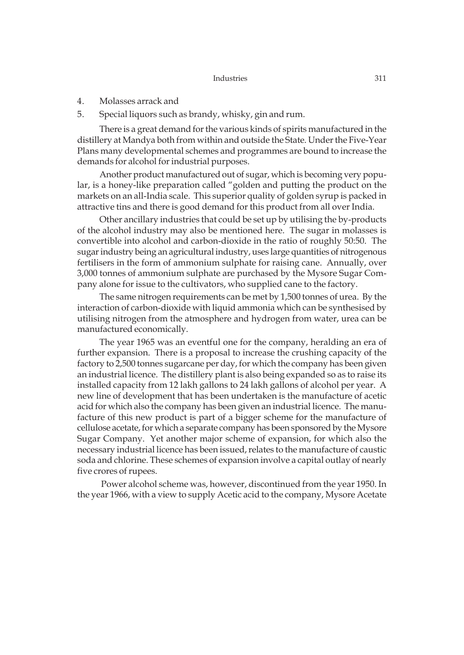- 4. Molasses arrack and
- 5. Special liquors such as brandy, whisky, gin and rum.

There is a great demand for the various kinds of spirits manufactured in the distillery at Mandya both from within and outside the State. Under the Five-Year Plans many developmental schemes and programmes are bound to increase the demands for alcohol for industrial purposes.

Another product manufactured out of sugar, which is becoming very popular, is a honey-like preparation called "golden and putting the product on the markets on an all-India scale. This superior quality of golden syrup is packed in attractive tins and there is good demand for this product from all over India.

Other ancillary industries that could be set up by utilising the by-products of the alcohol industry may also be mentioned here. The sugar in molasses is convertible into alcohol and carbon-dioxide in the ratio of roughly 50:50. The sugar industry being an agricultural industry, uses large quantities of nitrogenous fertilisers in the form of ammonium sulphate for raising cane. Annually, over 3,000 tonnes of ammonium sulphate are purchased by the Mysore Sugar Company alone for issue to the cultivators, who supplied cane to the factory.

The same nitrogen requirements can be met by 1,500 tonnes of urea. By the interaction of carbon-dioxide with liquid ammonia which can be synthesised by utilising nitrogen from the atmosphere and hydrogen from water, urea can be manufactured economically.

The year 1965 was an eventful one for the company, heralding an era of further expansion. There is a proposal to increase the crushing capacity of the factory to 2,500 tonnes sugarcane per day, for which the company has been given an industrial licence. The distillery plant is also being expanded so as to raise its installed capacity from 12 lakh gallons to 24 lakh gallons of alcohol per year. A new line of development that has been undertaken is the manufacture of acetic acid for which also the company has been given an industrial licence. The manufacture of this new product is part of a bigger scheme for the manufacture of cellulose acetate, for which a separate company has been sponsored by the Mysore Sugar Company. Yet another major scheme of expansion, for which also the necessary industrial licence has been issued, relates to the manufacture of caustic soda and chlorine. These schemes of expansion involve a capital outlay of nearly five crores of rupees.

 Power alcohol scheme was, however, discontinued from the year 1950. In the year 1966, with a view to supply Acetic acid to the company, Mysore Acetate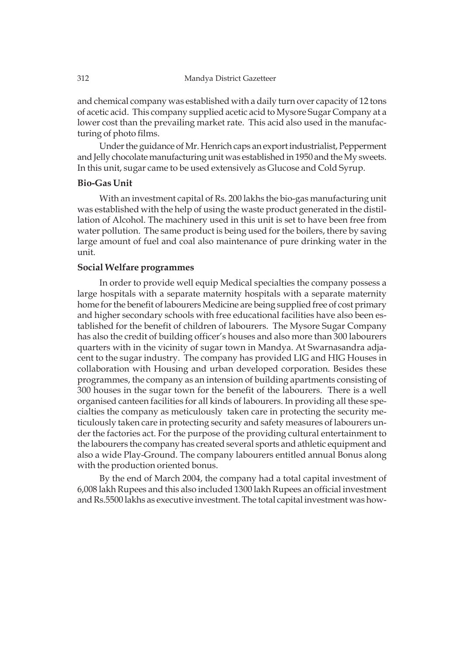and chemical company was established with a daily turn over capacity of 12 tons of acetic acid. This company supplied acetic acid to Mysore Sugar Company at a lower cost than the prevailing market rate. This acid also used in the manufacturing of photo films.

Under the guidance of Mr. Henrich caps an export industrialist, Pepperment and Jelly chocolate manufacturing unit was established in 1950 and the My sweets. In this unit, sugar came to be used extensively as Glucose and Cold Syrup.

# **Bio-Gas Unit**

With an investment capital of Rs. 200 lakhs the bio-gas manufacturing unit was established with the help of using the waste product generated in the distillation of Alcohol. The machinery used in this unit is set to have been free from water pollution. The same product is being used for the boilers, there by saving large amount of fuel and coal also maintenance of pure drinking water in the unit.

# **Social Welfare programmes**

In order to provide well equip Medical specialties the company possess a large hospitals with a separate maternity hospitals with a separate maternity home for the benefit of labourers Medicine are being supplied free of cost primary and higher secondary schools with free educational facilities have also been established for the benefit of children of labourers. The Mysore Sugar Company has also the credit of building officer's houses and also more than 300 labourers quarters with in the vicinity of sugar town in Mandya. At Swarnasandra adjacent to the sugar industry. The company has provided LIG and HIG Houses in collaboration with Housing and urban developed corporation. Besides these programmes, the company as an intension of building apartments consisting of 300 houses in the sugar town for the benefit of the labourers. There is a well organised canteen facilities for all kinds of labourers. In providing all these specialties the company as meticulously taken care in protecting the security meticulously taken care in protecting security and safety measures of labourers under the factories act. For the purpose of the providing cultural entertainment to the labourers the company has created several sports and athletic equipment and also a wide Play-Ground. The company labourers entitled annual Bonus along with the production oriented bonus.

By the end of March 2004, the company had a total capital investment of 6,008 lakh Rupees and this also included 1300 lakh Rupees an official investment and Rs.5500 lakhs as executive investment. The total capital investment was how-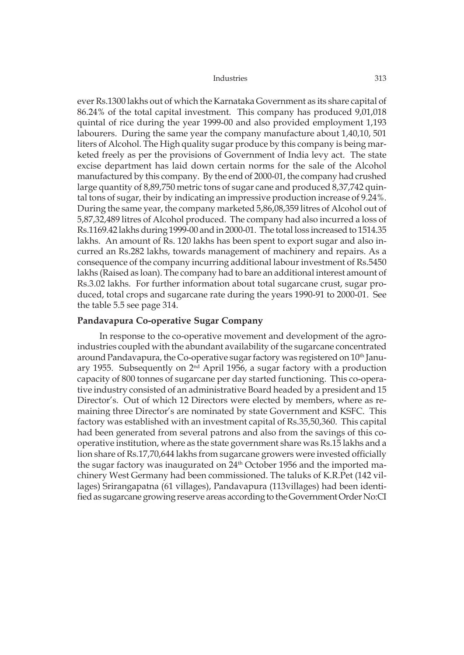ever Rs.1300 lakhs out of which the Karnataka Government as its share capital of 86.24% of the total capital investment. This company has produced 9,01,018 quintal of rice during the year 1999-00 and also provided employment 1,193 labourers. During the same year the company manufacture about 1,40,10, 501 liters of Alcohol. The High quality sugar produce by this company is being marketed freely as per the provisions of Government of India levy act. The state excise department has laid down certain norms for the sale of the Alcohol manufactured by this company. By the end of 2000-01, the company had crushed large quantity of 8,89,750 metric tons of sugar cane and produced 8,37,742 quintal tons of sugar, their by indicating an impressive production increase of 9.24%. During the same year, the company marketed 5,86,08,359 litres of Alcohol out of 5,87,32,489 litres of Alcohol produced. The company had also incurred a loss of Rs.1169.42 lakhs during 1999-00 and in 2000-01. The total loss increased to 1514.35 lakhs. An amount of Rs. 120 lakhs has been spent to export sugar and also incurred an Rs.282 lakhs, towards management of machinery and repairs. As a consequence of the company incurring additional labour investment of Rs.5450 lakhs (Raised as loan). The company had to bare an additional interest amount of Rs.3.02 lakhs. For further information about total sugarcane crust, sugar produced, total crops and sugarcane rate during the years 1990-91 to 2000-01. See the table 5.5 see page 314.

# **Pandavapura Co-operative Sugar Company**

In response to the co-operative movement and development of the agroindustries coupled with the abundant availability of the sugarcane concentrated around Pandavapura, the Co-operative sugar factory was registered on 10<sup>th</sup> January 1955. Subsequently on  $2<sup>nd</sup>$  April 1956, a sugar factory with a production capacity of 800 tonnes of sugarcane per day started functioning. This co-operative industry consisted of an administrative Board headed by a president and 15 Director's. Out of which 12 Directors were elected by members, where as remaining three Director's are nominated by state Government and KSFC. This factory was established with an investment capital of Rs.35,50,360. This capital had been generated from several patrons and also from the savings of this cooperative institution, where as the state government share was Rs.15 lakhs and a lion share of Rs.17,70,644 lakhs from sugarcane growers were invested officially the sugar factory was inaugurated on 24<sup>th</sup> October 1956 and the imported machinery West Germany had been commissioned. The taluks of K.R.Pet (142 villages) Srirangapatna (61 villages), Pandavapura (113villages) had been identified as sugarcane growing reserve areas according to the Government Order No:CI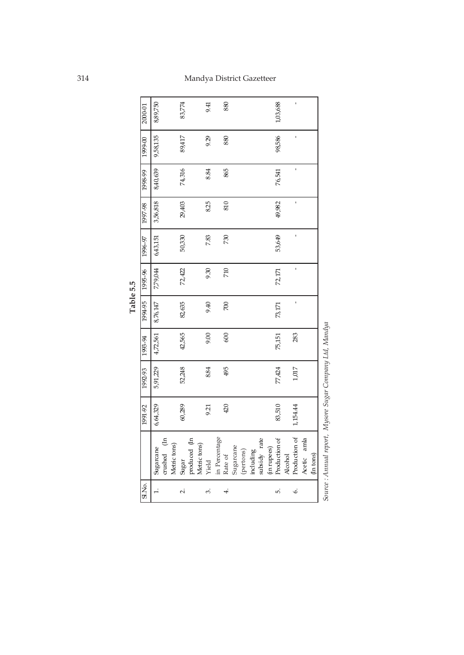| 5.5      | iOCL   |
|----------|--------|
| ω<br>Tab | ă<br>č |

| SI.No.         |                | 1991-92  |          | $\frac{1}{2}$ +6-865 $\frac{1}{2}$ 86-7661 | 09495    | 1995-96      | 1996-97   1997-98 |          | 1998-99      | 0.6661   | 2000-01  |
|----------------|----------------|----------|----------|--------------------------------------------|----------|--------------|-------------------|----------|--------------|----------|----------|
| $\overline{a}$ | Sugarcane      | 6,64,329 | 5,91,229 | 4,72,561                                   | 8,76,147 | 7,79,044     | 643,151           | 3,56,818 | 8,40,639     | 9,58,135 | 8,89,750 |
|                | crushed (In    |          |          |                                            |          |              |                   |          |              |          |          |
|                | Metric tons)   |          |          |                                            |          |              |                   |          |              |          |          |
| Ń٠             | Sugar          | 60,289   | 52,248   | 42,565                                     | 82,635   | 72,422       | 50,330            | 29,403   | 74,316       | 89,417   | 83,774   |
|                | produced (In   |          |          |                                            |          |              |                   |          |              |          |          |
|                | Metric tons)   |          |          |                                            |          |              |                   |          |              |          |          |
| က်             | Yield          | 9.21     | 8.84     | 9.00                                       | 9.40     | 9.30         | 7.83              | 8.25     | 8.84         | 9.29     | 9.41     |
|                | in Percentage  |          |          |                                            |          |              |                   |          |              |          |          |
|                | Rate of        | 420      | 495      | 600                                        | $\infty$ | 710          | 730               | 810      | 865          | 880      | 880      |
|                | Sugarcane      |          |          |                                            |          |              |                   |          |              |          |          |
|                | (pertons)      |          |          |                                            |          |              |                   |          |              |          |          |
|                | including      |          |          |                                            |          |              |                   |          |              |          |          |
|                | subsidy rate   |          |          |                                            |          |              |                   |          |              |          |          |
|                | (in rupees)    |          |          |                                            |          |              |                   |          |              |          |          |
| r.             | Production of  | 83,510   | 77,424   | 75,151                                     | 73,171   | 72, 171      | 53,649            | 49,982   | 76,541       | 98,586   | 1,03,688 |
|                | <b>Alcohol</b> |          |          |                                            |          |              |                   |          |              |          |          |
| Ġ              | Production of  | 1,154.44 | 1,017    | 283                                        | ï        | $\mathbf{I}$ | $\mathbf{I}$      | ï        | $\mathbf{I}$ | ı        | ı        |
|                | Acetic amla    |          |          |                                            |          |              |                   |          |              |          |          |
|                | (In tons)      |          |          |                                            |          |              |                   |          |              |          |          |

Source : Annual report, Mysore Sugar Company Ltd, Mandya *Source : Annual report, Mysore Sugar Company Ltd, Mandya*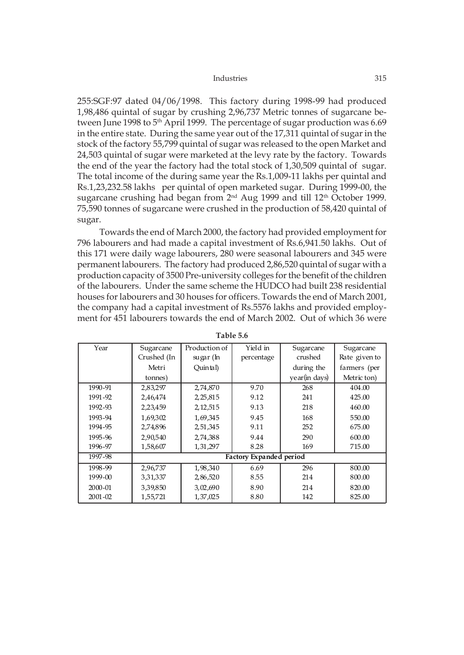255:SGF:97 dated 04/06/1998. This factory during 1998-99 had produced 1,98,486 quintal of sugar by crushing 2,96,737 Metric tonnes of sugarcane between June 1998 to 5<sup>th</sup> April 1999. The percentage of sugar production was 6.69 in the entire state. During the same year out of the 17,311 quintal of sugar in the stock of the factory 55,799 quintal of sugar was released to the open Market and 24,503 quintal of sugar were marketed at the levy rate by the factory. Towards the end of the year the factory had the total stock of 1,30,509 quintal of sugar. The total income of the during same year the Rs.1,009-11 lakhs per quintal and Rs.1,23,232.58 lakhs per quintal of open marketed sugar. During 1999-00, the sugarcane crushing had began from 2<sup>nd</sup> Aug 1999 and till 12<sup>th</sup> October 1999. 75,590 tonnes of sugarcane were crushed in the production of 58,420 quintal of sugar.

Towards the end of March 2000, the factory had provided employment for 796 labourers and had made a capital investment of Rs.6,941.50 lakhs. Out of this 171 were daily wage labourers, 280 were seasonal labourers and 345 were permanent labourers. The factory had produced 2,86,520 quintal of sugar with a production capacity of 3500 Pre-university colleges for the benefit of the children of the labourers. Under the same scheme the HUDCO had built 238 residential houses for labourers and 30 houses for officers. Towards the end of March 2001, the company had a capital investment of Rs.5576 lakhs and provided employment for 451 labourers towards the end of March 2002. Out of which 36 were

| Year        | Sugarcane   | Production of | Yield in                | Sugarcane     | Sugarcane     |
|-------------|-------------|---------------|-------------------------|---------------|---------------|
|             | Crushed (In | sugar (In     | percentage              | crushed       | Rate given to |
|             | Metri       | Quintal)      |                         | during the    | farmers (per  |
|             | tonnes)     |               |                         | year(in days) | Metric ton)   |
| 1990-91     | 2,83,297    | 2,74,870      | 9.70                    | 268           | 404.00        |
| 1991-92     | 2,46,474    | 2, 25, 815    | 9.12                    | 241           | 425.00        |
| 1992-93     | 2,23,459    | 2, 12, 515    | 9.13                    | 218           | 460.00        |
| 1993-94     | 1,69,302    | 1,69,345      | 9.45                    | 168           | 550.00        |
| 1994-95     | 2,74,896    | 2,51,345      | 9.11                    | 252           | 675.00        |
| 1995-96     | 2,90,540    | 2,74,388      | 9.44                    | 290           | 600.00        |
| 1996-97     | 1,58,607    | 1, 31, 297    | 8.28                    | 169           | 715.00        |
| 1997-98     |             |               | Factory Expanded period |               |               |
| 1998-99     | 2,96,737    | 1,98,340      | 6.69                    | 296           | 800.00        |
| 1999-00     | 3,31,337    | 2,86,520      | 8.55                    | 214           | 800.00        |
| 2000-01     | 3,39,850    | 3,02,690      | 8.90                    | 214           | 820.00        |
| $2001 - 02$ | 1,55,721    | 1,37,025      | 8.80                    | 142           | 825.00        |

**Table 5.6**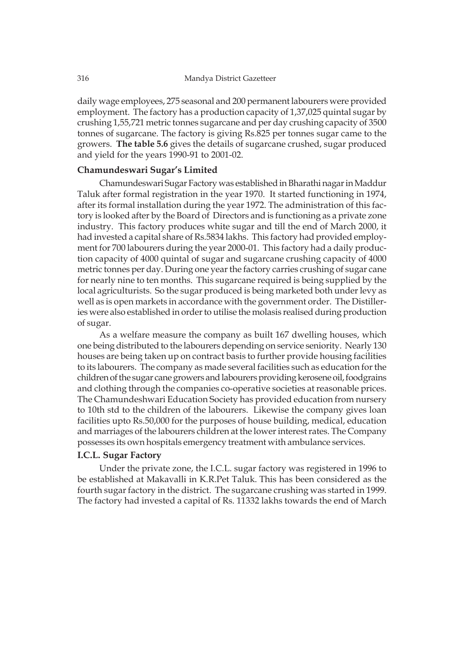daily wage employees, 275 seasonal and 200 permanent labourers were provided employment. The factory has a production capacity of 1,37,025 quintal sugar by crushing 1,55,721 metric tonnes sugarcane and per day crushing capacity of 3500 tonnes of sugarcane. The factory is giving Rs.825 per tonnes sugar came to the growers. **The table 5.6** gives the details of sugarcane crushed, sugar produced and yield for the years 1990-91 to 2001-02.

# **Chamundeswari Sugar's Limited**

Chamundeswari Sugar Factory was established in Bharathi nagar in Maddur Taluk after formal registration in the year 1970. It started functioning in 1974, after its formal installation during the year 1972. The administration of this factory is looked after by the Board of Directors and is functioning as a private zone industry. This factory produces white sugar and till the end of March 2000, it had invested a capital share of Rs.5834 lakhs. This factory had provided employment for 700 labourers during the year 2000-01. This factory had a daily production capacity of 4000 quintal of sugar and sugarcane crushing capacity of 4000 metric tonnes per day. During one year the factory carries crushing of sugar cane for nearly nine to ten months. This sugarcane required is being supplied by the local agriculturists. So the sugar produced is being marketed both under levy as well as is open markets in accordance with the government order. The Distilleries were also established in order to utilise the molasis realised during production of sugar.

As a welfare measure the company as built 167 dwelling houses, which one being distributed to the labourers depending on service seniority. Nearly 130 houses are being taken up on contract basis to further provide housing facilities to its labourers. The company as made several facilities such as education for the children of the sugar cane growers and labourers providing kerosene oil, foodgrains and clothing through the companies co-operative societies at reasonable prices. The Chamundeshwari Education Society has provided education from nursery to 10th std to the children of the labourers. Likewise the company gives loan facilities upto Rs.50,000 for the purposes of house building, medical, education and marriages of the labourers children at the lower interest rates. The Company possesses its own hospitals emergency treatment with ambulance services.

# **I.C.L. Sugar Factory**

Under the private zone, the I.C.L. sugar factory was registered in 1996 to be established at Makavalli in K.R.Pet Taluk. This has been considered as the fourth sugar factory in the district. The sugarcane crushing was started in 1999. The factory had invested a capital of Rs. 11332 lakhs towards the end of March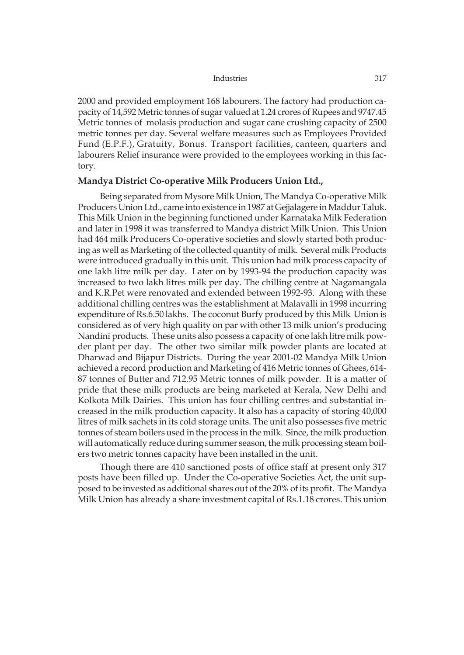2000 and provided employment 168 labourers. The factory had production capacity of 14,592 Metric tonnes of sugar valued at 1.24 crores of Rupees and 9747.45 Metric tonnes of molasis production and sugar cane crushing capacity of 2500 metric tonnes per day. Several welfare measures such as Employees Provided Fund (E.P.F.), Gratuity, Bonus. Transport facilities, canteen, quarters and labourers Relief insurance were provided to the employees working in this factory.

# **Mandya District Co-operative Milk Producers Union Ltd.,**

Being separated from Mysore Milk Union, The Mandya Co-operative Milk Producers Union Ltd., came into existence in 1987 at Gejjalagere in Maddur Taluk. This Milk Union in the beginning functioned under Karnataka Milk Federation and later in 1998 it was transferred to Mandya district Milk Union. This Union had 464 milk Producers Co-operative societies and slowly started both producing as well as Marketing of the collected quantity of milk. Several milk Products were introduced gradually in this unit. This union had milk process capacity of one lakh litre milk per day. Later on by 1993-94 the production capacity was increased to two lakh litres milk per day. The chilling centre at Nagamangala and K.R.Pet were renovated and extended between 1992-93. Along with these additional chilling centres was the establishment at Malavalli in 1998 incurring expenditure of Rs.6.50 lakhs. The coconut Burfy produced by this Milk Union is considered as of very high quality on par with other 13 milk union's producing Nandini products. These units also possess a capacity of one lakh litre milk powder plant per day. The other two similar milk powder plants are located at Dharwad and Bijapur Districts. During the year 2001-02 Mandya Milk Union achieved a record production and Marketing of 416 Metric tonnes of Ghees, 614- 87 tonnes of Butter and 712.95 Metric tonnes of milk powder. It is a matter of pride that these milk products are being marketed at Kerala, New Delhi and Kolkota Milk Dairies. This union has four chilling centres and substantial increased in the milk production capacity. It also has a capacity of storing 40,000 litres of milk sachets in its cold storage units. The unit also possesses five metric tonnes of steam boilers used in the process in the milk. Since, the milk production will automatically reduce during summer season, the milk processing steam boilers two metric tonnes capacity have been installed in the unit.

Though there are 410 sanctioned posts of office staff at present only 317 posts have been filled up. Under the Co-operative Societies Act, the unit supposed to be invested as additional shares out of the 20% of its profit. The Mandya Milk Union has already a share investment capital of Rs.1.18 crores. This union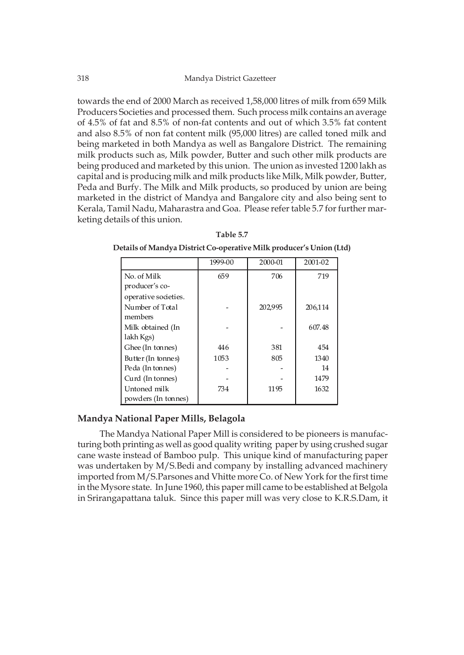towards the end of 2000 March as received 1,58,000 litres of milk from 659 Milk Producers Societies and processed them. Such process milk contains an average of 4.5% of fat and 8.5% of non-fat contents and out of which 3.5% fat content and also 8.5% of non fat content milk (95,000 litres) are called toned milk and being marketed in both Mandya as well as Bangalore District. The remaining milk products such as, Milk powder, Butter and such other milk products are being produced and marketed by this union. The union as invested 1200 lakh as capital and is producing milk and milk products like Milk, Milk powder, Butter, Peda and Burfy. The Milk and Milk products, so produced by union are being marketed in the district of Mandya and Bangalore city and also being sent to Kerala, Tamil Nadu, Maharastra and Goa. Please refer table 5.7 for further marketing details of this union.

|                      | 1999-00 | 2000-01 | 2001-02 |
|----------------------|---------|---------|---------|
| No. of Milk          | 659     | 706     | 719     |
| producer's co-       |         |         |         |
| operative societies. |         |         |         |
| Number of Total      |         | 202,995 | 206,114 |
| members              |         |         |         |
| Milk obtained (In    |         |         | 607.48  |
| lakh Kgs)            |         |         |         |
| Ghee (In tonnes)     | 446     | 381     | 454     |
| Butter (In tonnes)   | 1053    | 805     | 1340    |
| Peda (In tonnes)     |         |         | 14      |
| Curd (In tonnes)     |         |         | 1479    |
| Untoned milk         | 734     | 1195    | 1632    |
| powders (In tonnes)  |         |         |         |

**Table 5.7 Details of Mandya District Co-operative Milk producer's Union (Ltd)**

# **Mandya National Paper Mills, Belagola**

The Mandya National Paper Mill is considered to be pioneers is manufacturing both printing as well as good quality writing paper by using crushed sugar cane waste instead of Bamboo pulp. This unique kind of manufacturing paper was undertaken by M/S.Bedi and company by installing advanced machinery imported from M/S.Parsones and Vhitte more Co. of New York for the first time in the Mysore state. In June 1960, this paper mill came to be established at Belgola in Srirangapattana taluk. Since this paper mill was very close to K.R.S.Dam, it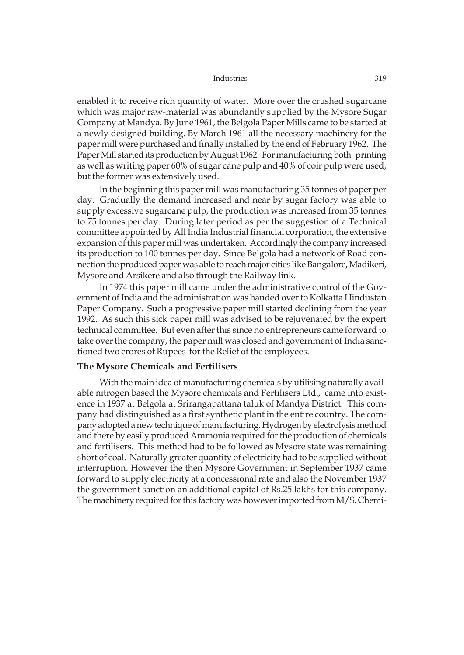enabled it to receive rich quantity of water. More over the crushed sugarcane which was major raw-material was abundantly supplied by the Mysore Sugar Company at Mandya. By June 1961, the Belgola Paper Mills came to be started at a newly designed building. By March 1961 all the necessary machinery for the paper mill were purchased and finally installed by the end of February 1962. The Paper Mill started its production by August 1962. For manufacturing both printing as well as writing paper 60% of sugar cane pulp and 40% of coir pulp were used, but the former was extensively used.

In the beginning this paper mill was manufacturing 35 tonnes of paper per day. Gradually the demand increased and near by sugar factory was able to supply excessive sugarcane pulp, the production was increased from 35 tonnes to 75 tonnes per day. During later period as per the suggestion of a Technical committee appointed by All India Industrial financial corporation, the extensive expansion of this paper mill was undertaken. Accordingly the company increased its production to 100 tonnes per day. Since Belgola had a network of Road connection the produced paper was able to reach major cities like Bangalore, Madikeri, Mysore and Arsikere and also through the Railway link.

In 1974 this paper mill came under the administrative control of the Government of India and the administration was handed over to Kolkatta Hindustan Paper Company. Such a progressive paper mill started declining from the year 1992. As such this sick paper mill was advised to be rejuvenated by the expert technical committee. But even after this since no entrepreneurs came forward to take over the company, the paper mill was closed and government of India sanctioned two crores of Rupees for the Relief of the employees.

# **The Mysore Chemicals and Fertilisers**

With the main idea of manufacturing chemicals by utilising naturally available nitrogen based the Mysore chemicals and Fertilisers Ltd., came into existence in 1937 at Belgola at Srirangapattana taluk of Mandya District. This company had distinguished as a first synthetic plant in the entire country. The company adopted a new technique of manufacturing. Hydrogen by electrolysis method and there by easily produced Ammonia required for the production of chemicals and fertilisers. This method had to be followed as Mysore state was remaining short of coal. Naturally greater quantity of electricity had to be supplied without interruption. However the then Mysore Government in September 1937 came forward to supply electricity at a concessional rate and also the November 1937 the government sanction an additional capital of Rs.25 lakhs for this company. The machinery required for this factory was however imported from M/S. Chemi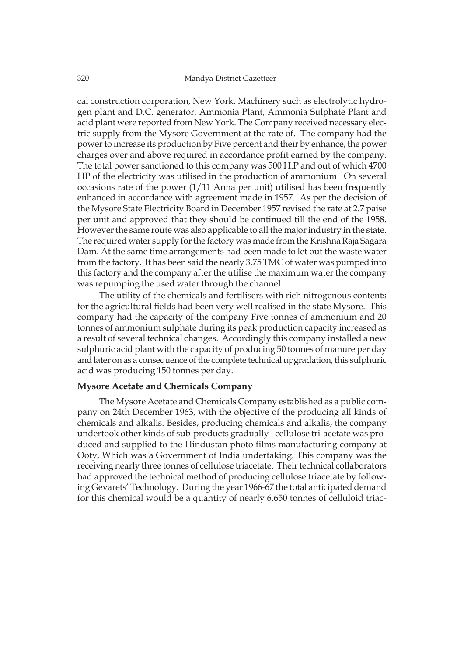cal construction corporation, New York. Machinery such as electrolytic hydrogen plant and D.C. generator, Ammonia Plant, Ammonia Sulphate Plant and acid plant were reported from New York. The Company received necessary electric supply from the Mysore Government at the rate of. The company had the power to increase its production by Five percent and their by enhance, the power charges over and above required in accordance profit earned by the company. The total power sanctioned to this company was 500 H.P and out of which 4700 HP of the electricity was utilised in the production of ammonium. On several occasions rate of the power (1/11 Anna per unit) utilised has been frequently enhanced in accordance with agreement made in 1957. As per the decision of the Mysore State Electricity Board in December 1957 revised the rate at 2.7 paise per unit and approved that they should be continued till the end of the 1958. However the same route was also applicable to all the major industry in the state. The required water supply for the factory was made from the Krishna Raja Sagara Dam. At the same time arrangements had been made to let out the waste water from the factory. It has been said the nearly 3.75 TMC of water was pumped into this factory and the company after the utilise the maximum water the company was repumping the used water through the channel.

The utility of the chemicals and fertilisers with rich nitrogenous contents for the agricultural fields had been very well realised in the state Mysore. This company had the capacity of the company Five tonnes of ammonium and 20 tonnes of ammonium sulphate during its peak production capacity increased as a result of several technical changes. Accordingly this company installed a new sulphuric acid plant with the capacity of producing 50 tonnes of manure per day and later on as a consequence of the complete technical upgradation, this sulphuric acid was producing 150 tonnes per day.

# **Mysore Acetate and Chemicals Company**

The Mysore Acetate and Chemicals Company established as a public company on 24th December 1963, with the objective of the producing all kinds of chemicals and alkalis. Besides, producing chemicals and alkalis, the company undertook other kinds of sub-products gradually - cellulose tri-acetate was produced and supplied to the Hindustan photo films manufacturing company at Ooty, Which was a Government of India undertaking. This company was the receiving nearly three tonnes of cellulose triacetate. Their technical collaborators had approved the technical method of producing cellulose triacetate by following Gevarets' Technology. During the year 1966-67 the total anticipated demand for this chemical would be a quantity of nearly 6,650 tonnes of celluloid triac-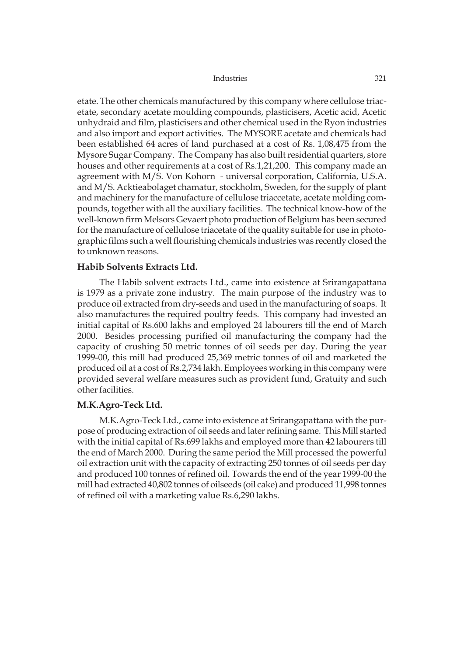etate. The other chemicals manufactured by this company where cellulose triacetate, secondary acetate moulding compounds, plasticisers, Acetic acid, Acetic unhydraid and film, plasticisers and other chemical used in the Ryon industries and also import and export activities. The MYSORE acetate and chemicals had been established 64 acres of land purchased at a cost of Rs. 1,08,475 from the Mysore Sugar Company. The Company has also built residential quarters, store houses and other requirements at a cost of Rs.1,21,200. This company made an agreement with M/S. Von Kohorn - universal corporation, California, U.S.A. and M/S. Acktieabolaget chamatur, stockholm, Sweden, for the supply of plant and machinery for the manufacture of cellulose triaccetate, acetate molding compounds, together with all the auxiliary facilities. The technical know-how of the well-known firm Melsors Gevaert photo production of Belgium has been secured for the manufacture of cellulose triacetate of the quality suitable for use in photographic films such a well flourishing chemicals industries was recently closed the to unknown reasons.

# **Habib Solvents Extracts Ltd.**

The Habib solvent extracts Ltd., came into existence at Srirangapattana is 1979 as a private zone industry. The main purpose of the industry was to produce oil extracted from dry-seeds and used in the manufacturing of soaps. It also manufactures the required poultry feeds. This company had invested an initial capital of Rs.600 lakhs and employed 24 labourers till the end of March 2000. Besides processing purified oil manufacturing the company had the capacity of crushing 50 metric tonnes of oil seeds per day. During the year 1999-00, this mill had produced 25,369 metric tonnes of oil and marketed the produced oil at a cost of Rs.2,734 lakh. Employees working in this company were provided several welfare measures such as provident fund, Gratuity and such other facilities.

## **M.K.Agro-Teck Ltd.**

M.K.Agro-Teck Ltd., came into existence at Srirangapattana with the purpose of producing extraction of oil seeds and later refining same. This Mill started with the initial capital of Rs.699 lakhs and employed more than 42 labourers till the end of March 2000. During the same period the Mill processed the powerful oil extraction unit with the capacity of extracting 250 tonnes of oil seeds per day and produced 100 tonnes of refined oil. Towards the end of the year 1999-00 the mill had extracted 40,802 tonnes of oilseeds (oil cake) and produced 11,998 tonnes of refined oil with a marketing value Rs.6,290 lakhs.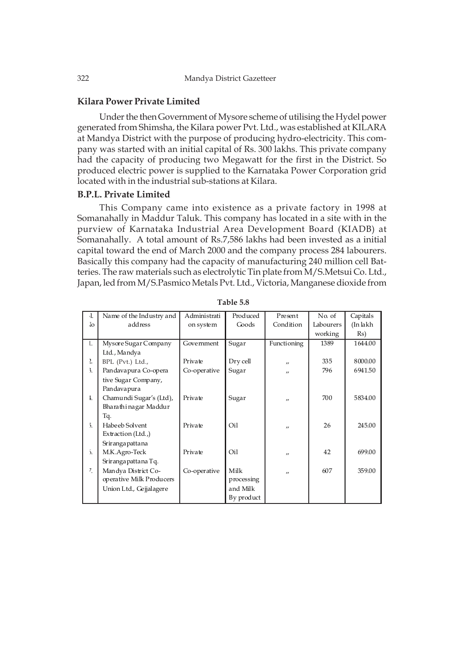### **Kilara Power Private Limited**

Under the then Government of Mysore scheme of utilising the Hydel power generated from Shimsha, the Kilara power Pvt. Ltd., was established at KILARA at Mandya District with the purpose of producing hydro-electricity. This company was started with an initial capital of Rs. 300 lakhs. This private company had the capacity of producing two Megawatt for the first in the District. So produced electric power is supplied to the Karnataka Power Corporation grid located with in the industrial sub-stations at Kilara.

# **B.P.L. Private Limited**

This Company came into existence as a private factory in 1998 at Somanahally in Maddur Taluk. This company has located in a site with in the purview of Karnataka Industrial Area Development Board (KIADB) at Somanahally. A total amount of Rs.7,586 lakhs had been invested as a initial capital toward the end of March 2000 and the company process 284 labourers. Basically this company had the capacity of manufacturing 240 million cell Batteries. The raw materials such as electrolytic Tin plate from M/S.Metsui Co. Ltd., Japan, led from M/S.Pasmico Metals Pvt. Ltd., Victoria, Manganese dioxide from

| Л.               | Name of the Industry and | Administrati | Produced   | Present           | No. of    | Capitals |
|------------------|--------------------------|--------------|------------|-------------------|-----------|----------|
| Jo               | address                  | on system    | Goods      | Condition         | Labourers | (In lakh |
|                  |                          |              |            |                   | working   | Rs)      |
| L.               | Mysore Sugar Company     | Government   | Sugar      | Functioning       | 1389      | 1644.00  |
|                  | Ltd., Mandya             |              |            |                   |           |          |
| $\overline{a}$   | BPL (Pvt.) Ltd.,         | Private      | Dry cell   | $^{\prime}$       | 335       | 8000.00  |
| 3.               | Pandavapura Co-opera     | Co-operative | Sugar      | $^{\prime\prime}$ | 796       | 6941.50  |
|                  | tive Sugar Company,      |              |            |                   |           |          |
|                  | Pandavapura              |              |            |                   |           |          |
| 1.               | Chamundi Sugar's (Ltd),  | Private      | Sugar      | $^{\prime\prime}$ | 700       | 5834.00  |
|                  | Bharathi nagar Maddur    |              |            |                   |           |          |
|                  | Tq.                      |              |            |                   |           |          |
| $\overline{5}$ . | Habe eb Solvent          | Private      | Oil        | $\prime$          | 26        | 245.00   |
|                  | Extraction (Ltd.,)       |              |            |                   |           |          |
|                  | Srirangapattana          |              |            |                   |           |          |
| $\mathfrak{S}$ . | M.K.Agro-Teck            | Private      | Oil        | $^{\prime\prime}$ | 42        | 699.00   |
|                  | Sriranga patta na Tq.    |              |            |                   |           |          |
| 7.               | Mandya District Co-      | Co-operative | Milk       | $^{\prime\prime}$ | 607       | 359.00   |
|                  | operative Milk Producers |              | processing |                   |           |          |
|                  | Union Ltd., Gejjalagere  |              | and Milk   |                   |           |          |
|                  |                          |              | By product |                   |           |          |

**Table 5.8**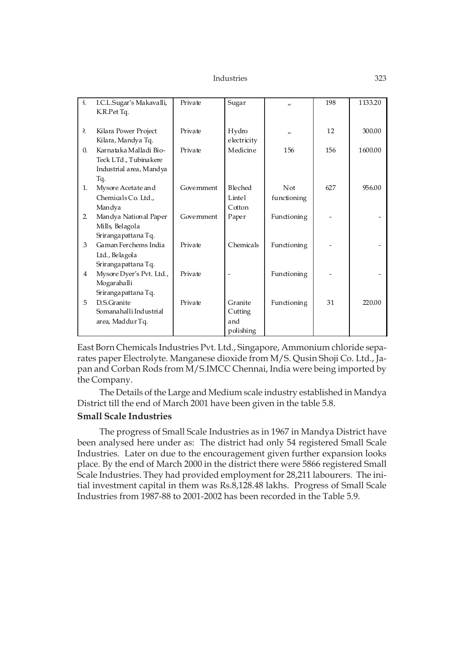| $\overline{\mathbf{3}}$ . | I.C.L.Sugar's Makavalli, | Private    | Sugar          | $^{\prime\prime}$ | 198 | 1133.20 |
|---------------------------|--------------------------|------------|----------------|-------------------|-----|---------|
|                           | K.R.Pet Tq.              |            |                |                   |     |         |
|                           |                          |            |                |                   |     |         |
| $\lambda$                 | Kilara Power Project     | Private    | Hydro          | $^{\prime\prime}$ | 12  | 300.00  |
|                           | Kilara, Mandya Tq.       |            | electricity    |                   |     |         |
| $\Omega$ .                | Karnataka Malladi Bio-   | Private    | Medicine       | 156               | 156 | 1600.00 |
|                           | Teck LTd., Tubinakere    |            |                |                   |     |         |
|                           | Industrial area, Mandya  |            |                |                   |     |         |
|                           | Tq.                      |            |                |                   |     |         |
| 1.                        | Mysore Acetate and       | Government | <b>Bleched</b> | Not               | 627 | 956.00  |
|                           | Chemicals Co. Ltd.,      |            | Lintel         | functioning       |     |         |
|                           | Mandya                   |            | Cotton         |                   |     |         |
| 2.                        | Mandya National Paper    | Government | Paper          | Functioning       |     |         |
|                           | Mills, Belagola          |            |                |                   |     |         |
|                           | Srirangapattana Tq.      |            |                |                   |     |         |
| $\mathcal{S}$             | Gaman Ferchems India     | Private    | Chemicals      | Functioning       |     |         |
|                           | Ltd., Belagola           |            |                |                   |     |         |
|                           | Srirangapattana Tq.      |            |                |                   |     |         |
| $\overline{4}$            | Mysore Dyer's Pvt. Ltd., | Private    |                | Functioning       |     |         |
|                           | Mogarahalli              |            |                |                   |     |         |
|                           | Srirangapattana Tq.      |            |                |                   |     |         |
| 5                         | D.S. Granite             | Private    | Granite        | Functioning       | 31  | 220.00  |
|                           | Somana halli Industrial  |            | Cutting        |                   |     |         |
|                           | area, Maddur Tq.         |            | and            |                   |     |         |
|                           |                          |            | polishing      |                   |     |         |

East Born Chemicals Industries Pvt. Ltd., Singapore, Ammonium chloride separates paper Electrolyte. Manganese dioxide from M/S. Qusin Shoji Co. Ltd., Japan and Corban Rods from M/S.IMCC Chennai, India were being imported by the Company.

The Details of the Large and Medium scale industry established in Mandya District till the end of March 2001 have been given in the table 5.8.

# **Small Scale Industries**

The progress of Small Scale Industries as in 1967 in Mandya District have been analysed here under as: The district had only 54 registered Small Scale Industries. Later on due to the encouragement given further expansion looks place. By the end of March 2000 in the district there were 5866 registered Small Scale Industries. They had provided employment for 28,211 labourers. The initial investment capital in them was Rs.8,128.48 lakhs. Progress of Small Scale Industries from 1987-88 to 2001-2002 has been recorded in the Table 5.9.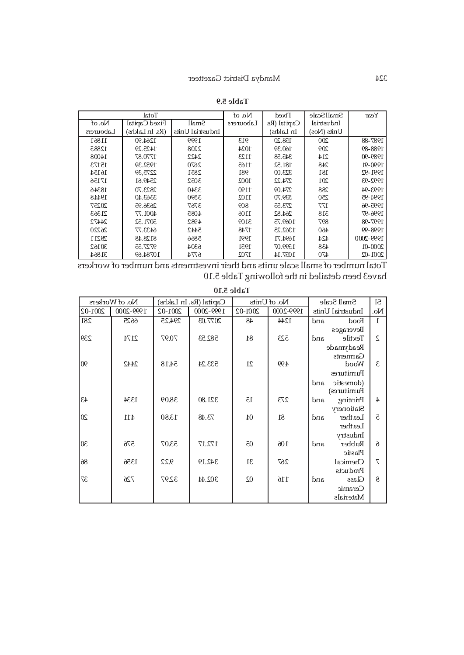|           | Total          |                  | No. of    | Fixed        | Small Scale | Year        |
|-----------|----------------|------------------|-----------|--------------|-------------|-------------|
| No. of    | Fixed Capital  | Small            | Labourers | Capital (Rs. | Industrial  |             |
| Labourers | (Rs. In Lakhs) | Industrial Units |           | In Lakhs)    | Units (Nos) |             |
| 11861     | 1264.90        | 1999             | 913       | 158.20       | 200         | 1987-88     |
| 12885     | 1425.29        | 2208             | 1024      | 160.39       | 209         | 1988-89     |
| 14008     | 1770.87        | 2422             | 1123      | 345.58       | 214         | 1989-90     |
| 15173     | 1952.39        | 2670             | 1165      | 181.52       | 248         | 1990-91     |
| 16154     | 2275,39        | 2851             | 981       | 323.00       | 181         | 1991-92     |
| 17156     | 2549.61        | 3052             | 1002      | 274.22       | 201         | 1992-93     |
| 18346     | 2823.70        | 3340             | 1190      | 274.09       | 288         | 1993-94     |
| 19448     | 3363.40        | 3590             | 1102      | 539.70       | 250         | 1994-95     |
| 20257     | 2636.95        | 3767             | 809       | 273.55       | 177         | 1995-96     |
| 21363     | 4001.77        | 4085             | 1106      | 264.82       | 318         | 1996-97     |
| 24472     | 5071.52        | 4982             | 3109      | 1069.75      | 897         | 1997-98     |
| 26220     | 6433.77        | 5442             | 1748      | 1362.25      | 460         | 1998-99     |
| 28211     | 8128.48        | 5866             | 1991      | 1694.71      | 424         | 1999-2000   |
| 30162     | 9727.55        | 6304             | 1951      | 1599.07      | 438         | $2000 - 01$ |
| 31864     | 10784.69       | 6774             | 1702      | 1057.14      | 470         | $2001 - 02$ |

**Table 5.9**

Total number of small scale units and their investments and number of workers have3 been detailed in the following Table 5.10

|         |                |         |                        | $140$ JIVIN 1   |              |                     |                 |
|---------|----------------|---------|------------------------|-----------------|--------------|---------------------|-----------------|
|         | No. of Workers |         | Capital (Rs. In Lakhs) |                 | No. of Units | Small Scale         | Sl              |
| 2001-02 | 1999-2000      | 2001-02 | 1999-2000              | 2001-02         | 1999-2000    | Industrial Units    | No.             |
| 281     | 6625           | 294.25  | 2077.03                | 48              | 1244         | and<br>Food         | $\Gamma$        |
|         |                |         |                        |                 |              | Beverages           |                 |
| 239     | 2174           | 70.97   | 582.53                 | 84              | 523          | and<br>Textile      | $\overline{c}$  |
|         |                |         |                        |                 |              | Readymade           |                 |
|         |                |         |                        |                 |              | Garments            |                 |
| 06      | 2442           | 54.18   | 533.24                 | 21              | 499          | Wood                | 3               |
|         |                |         |                        |                 |              | Furnitures          |                 |
|         |                |         |                        |                 |              | and<br>(domestic    |                 |
|         |                |         |                        |                 |              | Furnitures)         |                 |
| 43      | 1334           | 38.09   | 321.80                 | 15              | 273          | Printing<br>and     | $4\overline{ }$ |
|         |                |         |                        |                 |              | Stationery          |                 |
| $20\,$  | 411            | 13.80   | 73.48                  | 04              | 81           | Leather<br>and      | ਟ               |
|         |                |         |                        |                 |              | Leather             |                 |
|         |                |         |                        |                 |              | Industry            |                 |
| 30      | 576            | 53.07   | 172.17                 | $\overline{0}0$ | 106          | Rubber<br>and       | $\theta$        |
|         |                |         |                        |                 |              | Plastic             |                 |
| 86      | 1356           | 9.22    | 342.19                 | 31              | 267          | Chemical            | $\triangledown$ |
|         |                |         |                        |                 |              | Products            |                 |
| 37      | 726            | 32.97   | 302.44                 | $02\,$          | 116          | <b>Glass</b><br>and | 8               |
|         |                |         |                        |                 |              | Ceramic             |                 |
|         |                |         |                        |                 |              | Materials           |                 |

# **Table 5.10**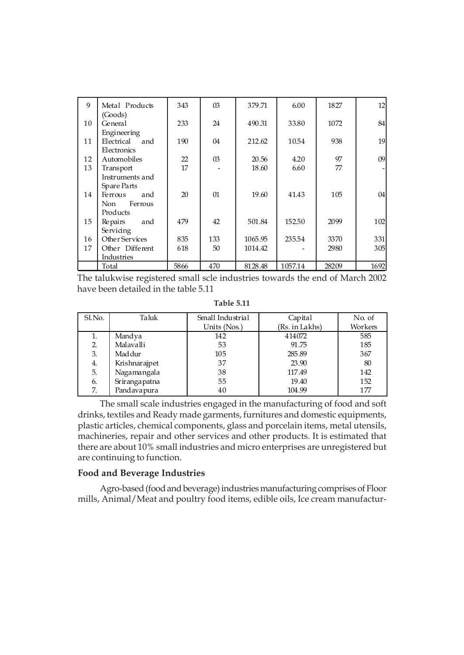| 9  | Metal Products     | 343  | $\Omega$ | 379.71  | 6.00    | 1827  | 12   |
|----|--------------------|------|----------|---------|---------|-------|------|
| 10 | (Goods)<br>General | 233  | 24       | 490.31  | 33.80   | 1072  | 84   |
|    | Engineering        |      |          |         |         |       |      |
| 11 | Electrical and     | 190  | 04       | 212.62  | 10.54   | 938   | 19   |
|    | Electronics        |      |          |         |         |       |      |
| 12 | Automobiles        | 22   | $\Omega$ | 20.56   | 4.20    | 97    | 09   |
| 13 | Transport          | 17   |          | 18.60   | 6.60    | 77    |      |
|    | Instruments and    |      |          |         |         |       |      |
|    | Spare Parts        |      |          |         |         |       |      |
| 14 | Ferrous<br>and     | 20   | $\Omega$ | 19.60   | 41.43   | 105   | 04   |
|    | Ferrous<br>Non     |      |          |         |         |       |      |
|    | Products           |      |          |         |         |       |      |
| 15 | and<br>Repairs     | 479  | 42       | 501.84  | 152.50  | 2099  | 102  |
|    | Servicing          |      |          |         |         |       |      |
| 16 | Other Services     | 835  | 133      | 1065.95 | 235.54  | 3370  | 331  |
| 17 | Other Different    | 618  | 50       | 1014.42 |         | 2980  | 305  |
|    | Industries         |      |          |         |         |       |      |
|    | Total              | 5866 | 470      | 8128.48 | 1057.14 | 28209 | 1692 |

The talukwise registered small scle industries towards the end of March 2002 have been detailed in the table 5.11

**Table 5.11**

| Sl.No. | Taluk         | Small Industrial | Capital        | No. of  |
|--------|---------------|------------------|----------------|---------|
|        |               | Units (Nos.)     | (Rs. in Lakhs) | Workers |
| 1.     | Mandya        | 142              | 414072         | 585     |
| 2.     | Malavalli     | 53               | 91.75          | 185     |
| 3.     | Maddur        | 105              | 285.89         | 367     |
| 4.     | Krishnarajpet | 37               | 23.90          | 80      |
| 5.     | Nagamangala   | 38               | 117.49         | 142     |
| 6.     | Srirangapatna | 55               | 19.40          | 152     |
| 7.     | Pandavapura   | 40               | 104.99         | 177     |

The small scale industries engaged in the manufacturing of food and soft drinks, textiles and Ready made garments, furnitures and domestic equipments, plastic articles, chemical components, glass and porcelain items, metal utensils, machineries, repair and other services and other products. It is estimated that there are about 10% small industries and micro enterprises are unregistered but are continuing to function.

# **Food and Beverage Industries**

Agro-based (food and beverage) industries manufacturing comprises of Floor mills, Animal/Meat and poultry food items, edible oils, Ice cream manufactur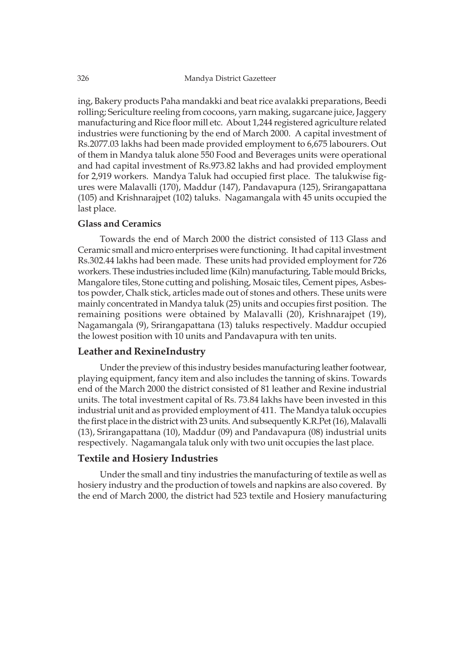ing, Bakery products Paha mandakki and beat rice avalakki preparations, Beedi rolling; Sericulture reeling from cocoons, yarn making, sugarcane juice, Jaggery manufacturing and Rice floor mill etc. About 1,244 registered agriculture related industries were functioning by the end of March 2000. A capital investment of Rs.2077.03 lakhs had been made provided employment to 6,675 labourers. Out of them in Mandya taluk alone 550 Food and Beverages units were operational and had capital investment of Rs.973.82 lakhs and had provided employment for 2,919 workers. Mandya Taluk had occupied first place. The talukwise figures were Malavalli (170), Maddur (147), Pandavapura (125), Srirangapattana (105) and Krishnarajpet (102) taluks. Nagamangala with 45 units occupied the last place.

# **Glass and Ceramics**

Towards the end of March 2000 the district consisted of 113 Glass and Ceramic small and micro enterprises were functioning. It had capital investment Rs.302.44 lakhs had been made. These units had provided employment for 726 workers. These industries included lime (Kiln) manufacturing, Table mould Bricks, Mangalore tiles, Stone cutting and polishing, Mosaic tiles, Cement pipes, Asbestos powder, Chalk stick, articles made out of stones and others. These units were mainly concentrated in Mandya taluk (25) units and occupies first position. The remaining positions were obtained by Malavalli (20), Krishnarajpet (19), Nagamangala (9), Srirangapattana (13) taluks respectively. Maddur occupied the lowest position with 10 units and Pandavapura with ten units.

# **Leather and RexineIndustry**

Under the preview of this industry besides manufacturing leather footwear, playing equipment, fancy item and also includes the tanning of skins. Towards end of the March 2000 the district consisted of 81 leather and Rexine industrial units. The total investment capital of Rs. 73.84 lakhs have been invested in this industrial unit and as provided employment of 411. The Mandya taluk occupies the first place in the district with 23 units. And subsequently K.R.Pet (16), Malavalli (13), Srirangapattana (10), Maddur (09) and Pandavapura (08) industrial units respectively. Nagamangala taluk only with two unit occupies the last place.

# **Textile and Hosiery Industries**

Under the small and tiny industries the manufacturing of textile as well as hosiery industry and the production of towels and napkins are also covered. By the end of March 2000, the district had 523 textile and Hosiery manufacturing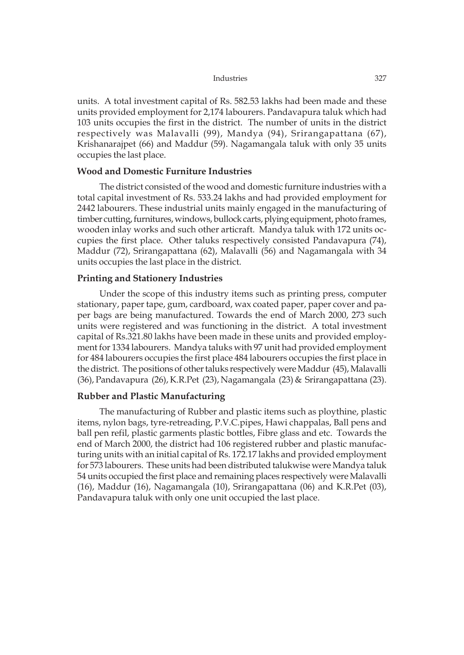units. A total investment capital of Rs. 582.53 lakhs had been made and these units provided employment for 2,174 labourers. Pandavapura taluk which had 103 units occupies the first in the district. The number of units in the district respectively was Malavalli (99), Mandya (94), Srirangapattana (67), Krishanarajpet (66) and Maddur (59). Nagamangala taluk with only 35 units occupies the last place.

# **Wood and Domestic Furniture Industries**

The district consisted of the wood and domestic furniture industries with a total capital investment of Rs. 533.24 lakhs and had provided employment for 2442 labourers. These industrial units mainly engaged in the manufacturing of timber cutting, furnitures, windows, bullock carts, plying equipment, photo frames, wooden inlay works and such other articraft. Mandya taluk with 172 units occupies the first place. Other taluks respectively consisted Pandavapura (74), Maddur (72), Srirangapattana (62), Malavalli (56) and Nagamangala with 34 units occupies the last place in the district.

# **Printing and Stationery Industries**

Under the scope of this industry items such as printing press, computer stationary, paper tape, gum, cardboard, wax coated paper, paper cover and paper bags are being manufactured. Towards the end of March 2000, 273 such units were registered and was functioning in the district. A total investment capital of Rs.321.80 lakhs have been made in these units and provided employment for 1334 labourers. Mandya taluks with 97 unit had provided employment for 484 labourers occupies the first place 484 labourers occupies the first place in the district. The positions of other taluks respectively were Maddur (45), Malavalli (36), Pandavapura (26), K.R.Pet (23), Nagamangala (23) & Srirangapattana (23).

# **Rubber and Plastic Manufacturing**

The manufacturing of Rubber and plastic items such as ploythine, plastic items, nylon bags, tyre-retreading, P.V.C.pipes, Hawi chappalas, Ball pens and ball pen refil, plastic garments plastic bottles, Fibre glass and etc. Towards the end of March 2000, the district had 106 registered rubber and plastic manufacturing units with an initial capital of Rs. 172.17 lakhs and provided employment for 573 labourers. These units had been distributed talukwise were Mandya taluk 54 units occupied the first place and remaining places respectively were Malavalli (16), Maddur (16), Nagamangala (10), Srirangapattana (06) and K.R.Pet (03), Pandavapura taluk with only one unit occupied the last place.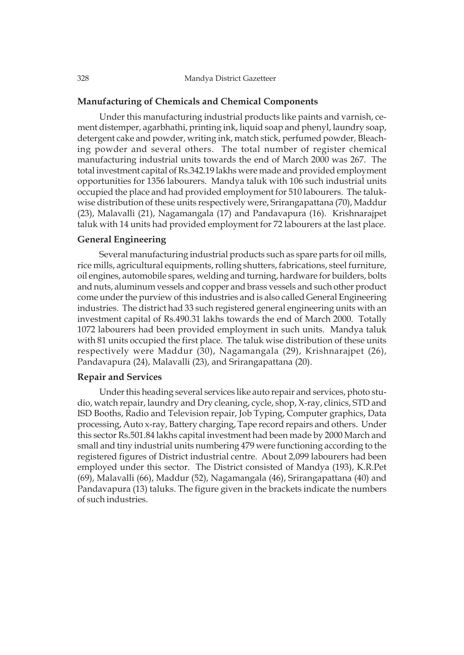# **Manufacturing of Chemicals and Chemical Components**

Under this manufacturing industrial products like paints and varnish, cement distemper, agarbhathi, printing ink, liquid soap and phenyl, laundry soap, detergent cake and powder, writing ink, match stick, perfumed powder, Bleaching powder and several others. The total number of register chemical manufacturing industrial units towards the end of March 2000 was 267. The total investment capital of Rs.342.19 lakhs were made and provided employment opportunities for 1356 labourers. Mandya taluk with 106 such industrial units occupied the place and had provided employment for 510 labourers. The talukwise distribution of these units respectively were, Srirangapattana (70), Maddur (23), Malavalli (21), Nagamangala (17) and Pandavapura (16). Krishnarajpet taluk with 14 units had provided employment for 72 labourers at the last place.

### **General Engineering**

Several manufacturing industrial products such as spare parts for oil mills, rice mills, agricultural equipments, rolling shutters, fabrications, steel furniture, oil engines, automobile spares, welding and turning, hardware for builders, bolts and nuts, aluminum vessels and copper and brass vessels and such other product come under the purview of this industries and is also called General Engineering industries. The district had 33 such registered general engineering units with an investment capital of Rs.490.31 lakhs towards the end of March 2000. Totally 1072 labourers had been provided employment in such units. Mandya taluk with 81 units occupied the first place. The taluk wise distribution of these units respectively were Maddur (30), Nagamangala (29), Krishnarajpet (26), Pandavapura (24), Malavalli (23), and Srirangapattana (20).

# **Repair and Services**

Under this heading several services like auto repair and services, photo studio, watch repair, laundry and Dry cleaning, cycle, shop, X-ray, clinics, STD and ISD Booths, Radio and Television repair, Job Typing, Computer graphics, Data processing, Auto x-ray, Battery charging, Tape record repairs and others. Under this sector Rs.501.84 lakhs capital investment had been made by 2000 March and small and tiny industrial units numbering 479 were functioning according to the registered figures of District industrial centre. About 2,099 labourers had been employed under this sector. The District consisted of Mandya (193), K.R.Pet (69), Malavalli (66), Maddur (52), Nagamangala (46), Srirangapattana (40) and Pandavapura (13) taluks. The figure given in the brackets indicate the numbers of such industries.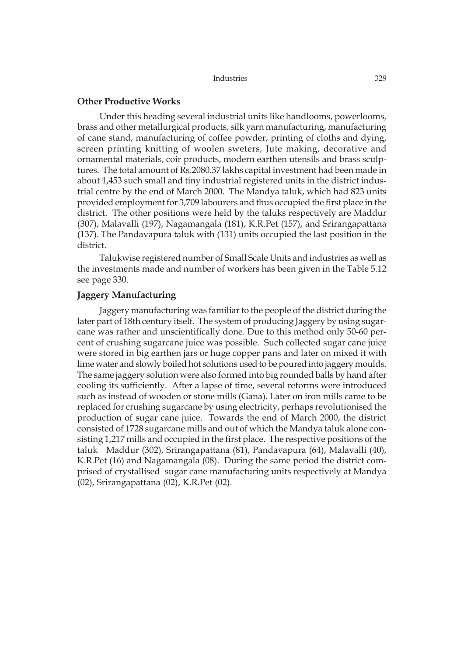| Industries | 329 |
|------------|-----|
|            |     |

# **Other Productive Works**

Under this heading several industrial units like handlooms, powerlooms, brass and other metallurgical products, silk yarn manufacturing, manufacturing of cane stand, manufacturing of coffee powder, printing of cloths and dying, screen printing knitting of woolen sweters, Jute making, decorative and ornamental materials, coir products, modern earthen utensils and brass sculptures. The total amount of Rs.2080.37 lakhs capital investment had been made in about 1,453 such small and tiny industrial registered units in the district industrial centre by the end of March 2000. The Mandya taluk, which had 823 units provided employment for 3,709 labourers and thus occupied the first place in the district. The other positions were held by the taluks respectively are Maddur (307), Malavalli (197), Nagamangala (181), K.R.Pet (157), and Srirangapattana (137). The Pandavapura taluk with (131) units occupied the last position in the district.

Talukwise registered number of Small Scale Units and industries as well as the investments made and number of workers has been given in the Table 5.12 see page 330.

# **Jaggery Manufacturing**

Jaggery manufacturing was familiar to the people of the district during the later part of 18th century itself. The system of producing Jaggery by using sugarcane was rather and unscientifically done. Due to this method only 50-60 percent of crushing sugarcane juice was possible. Such collected sugar cane juice were stored in big earthen jars or huge copper pans and later on mixed it with lime water and slowly boiled hot solutions used to be poured into jaggery moulds. The same jaggery solution were also formed into big rounded balls by hand after cooling its sufficiently. After a lapse of time, several reforms were introduced such as instead of wooden or stone mills (Gana). Later on iron mills came to be replaced for crushing sugarcane by using electricity, perhaps revolutionised the production of sugar cane juice. Towards the end of March 2000, the district consisted of 1728 sugarcane mills and out of which the Mandya taluk alone consisting 1,217 mills and occupied in the first place. The respective positions of the taluk Maddur (302), Srirangapattana (81), Pandavapura (64), Malavalli (40), K.R.Pet (16) and Nagamangala (08). During the same period the district comprised of crystallised sugar cane manufacturing units respectively at Mandya (02), Srirangapattana (02), K.R.Pet (02).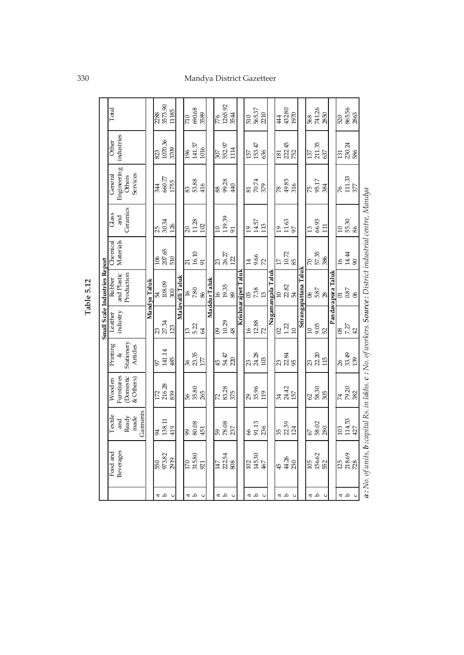# 330 Mandya District Gazetteer

ī

٦

٦

T ┱

| $\Delta$<br>d d<br>a<br>B<br>a<br>B<br>a<br>a<br>a<br>a<br>ß | Beverages<br>$Food$ and<br>973.82<br>2254<br>156.62<br>315.80<br>145.30<br>44.26<br>2919<br>808<br>105<br>550<br>102<br>467<br>230<br>170<br>147<br>921<br>45 | Garments<br>Textile<br>made<br>Ready<br>and<br>$138.11\,$<br>80.08<br>59<br>78.08<br>237<br>67<br>58.02<br>280<br>91.13<br>236<br>ន<br>2.59<br>124<br>419<br>451<br>$\mathscr{E}$<br>S,<br>Ŕ | (Domestic<br>& Others)<br>Furntiures<br>Wooden<br>216.28<br>83.28<br>35.96<br>24.42<br>62<br>5830<br>35.80<br>265<br>119<br>839<br>375<br>$157\,$<br>172<br>56<br>72<br>29<br>34 | <b>Stationery</b><br>Printing<br>Artides<br>141.14<br>Y<br>36<br>23.35<br>177<br><del>ន</del><br>មិ អូ<br>ស្គ<br>ន<br>ខាង<br>ខា<br>ಣ<br>22.70<br>ಣ<br>24.28<br>$103\,$<br>485<br>56 | Leather<br>industry<br>10.29<br>12.88<br>27.34<br>9.05<br>52<br>5.22<br>1.22<br>123<br>48<br>10<br>13<br>$\overline{0}$<br>$\frac{6}{2}$<br>72<br>10<br>23<br>64<br>$\overline{0}$ | Small Scale Industries Report<br>Taluk<br>Nagamangala Taluk<br>and Plastic<br>Krishnar ajpet Talul<br>Production<br>Malavalli Taluk<br>Rubber<br>Mandya Taluk<br>Maddur Talul<br>108.09<br><b>Srir</b> an gapa ttana<br>$\begin{array}{c} 16 \\ 29 \\ 89 \end{array}$<br>១ ខ្ល<br>១ ខ្ល<br>7.38<br>$7.80\,$<br>85<br>87<br>88<br>300<br>ğΓ<br>$\mathfrak{D}$<br>$\frac{8}{2}$<br>$\infty$ | Materials<br>Chemical<br>$\frac{207}{510}$<br>ភ<br>មិង<br>ស<br>70<br>57.35<br>386<br>$177$<br>$19.72$<br>ದ<br>26.27<br>$\frac{9.66}{72}$<br>106<br>122<br>$\overline{4}$ | Ceramics<br>$_{\rm{class}}$<br>$\mathop{\rm ind}\nolimits$<br>119.39<br>30.34<br>66.93<br>11.28<br>14.57<br>$\frac{11.63}{97}$<br>102<br>113<br>126<br>13<br>$\overline{10}$<br>19<br>$\overline{19}$<br>25<br>$\overline{20}$<br>91 | Enginering<br>Services<br>General<br>Others<br>$660.77$<br>53.88<br>99.28<br>70.74<br>49.85<br>75<br>95.17<br>1755<br>416<br>440<br>379<br>316<br>344<br>88<br>$\frac{8}{2}$<br>83<br>81 | industries<br>1070.36<br>Other<br>222.45<br>552.97<br>153.47<br>211.35<br>$141.37\,$<br>1016<br>3709<br>1114<br>196<br>157<br>823<br>307<br>636<br>137<br>181 | 1265.92<br>3573.90<br>690.68<br>568<br>741.26<br>565.37<br>43280<br>Total<br>11185<br>210<br>$\frac{1}{28}$<br>3589<br>3544<br>1970<br>776<br>$\overline{\Sigma}$<br>510<br>44 |
|--------------------------------------------------------------|---------------------------------------------------------------------------------------------------------------------------------------------------------------|----------------------------------------------------------------------------------------------------------------------------------------------------------------------------------------------|----------------------------------------------------------------------------------------------------------------------------------------------------------------------------------|-------------------------------------------------------------------------------------------------------------------------------------------------------------------------------------|------------------------------------------------------------------------------------------------------------------------------------------------------------------------------------|-------------------------------------------------------------------------------------------------------------------------------------------------------------------------------------------------------------------------------------------------------------------------------------------------------------------------------------------------------------------------------------------|--------------------------------------------------------------------------------------------------------------------------------------------------------------------------|--------------------------------------------------------------------------------------------------------------------------------------------------------------------------------------------------------------------------------------|------------------------------------------------------------------------------------------------------------------------------------------------------------------------------------------|---------------------------------------------------------------------------------------------------------------------------------------------------------------|--------------------------------------------------------------------------------------------------------------------------------------------------------------------------------|
|                                                              | 552                                                                                                                                                           |                                                                                                                                                                                              | 305                                                                                                                                                                              | 115                                                                                                                                                                                 |                                                                                                                                                                                    |                                                                                                                                                                                                                                                                                                                                                                                           |                                                                                                                                                                          | 111                                                                                                                                                                                                                                  | 384                                                                                                                                                                                      | 637                                                                                                                                                           | 2850                                                                                                                                                                           |
|                                                              |                                                                                                                                                               |                                                                                                                                                                                              |                                                                                                                                                                                  |                                                                                                                                                                                     |                                                                                                                                                                                    | Pandavapura Taluk                                                                                                                                                                                                                                                                                                                                                                         |                                                                                                                                                                          |                                                                                                                                                                                                                                      |                                                                                                                                                                                          |                                                                                                                                                               |                                                                                                                                                                                |
| o a a                                                        | 218,69<br>728<br>125                                                                                                                                          | $114.53$<br>$427$<br>103                                                                                                                                                                     | 74<br>79.20<br>382                                                                                                                                                               | 8<br>88<br>139                                                                                                                                                                      | 7.27<br>42<br>$\overline{08}$                                                                                                                                                      | $\frac{0.87}{06}$<br>$\Xi$                                                                                                                                                                                                                                                                                                                                                                | 16 41<br>14 50<br>14 50                                                                                                                                                  | 55.30<br>86<br>$\overline{10}$                                                                                                                                                                                                       | $\frac{111.33}{377}$<br>76                                                                                                                                                               | 131<br>230.24<br>586                                                                                                                                          | 865.56<br>2863<br>520                                                                                                                                                          |
|                                                              | $a$ : No. of units, $b$ :capital Rs. in lakhs. $c$ : No. of workers. Source : District industrial centre, Mandya                                              |                                                                                                                                                                                              |                                                                                                                                                                                  |                                                                                                                                                                                     |                                                                                                                                                                                    |                                                                                                                                                                                                                                                                                                                                                                                           |                                                                                                                                                                          |                                                                                                                                                                                                                                      |                                                                                                                                                                                          |                                                                                                                                                               |                                                                                                                                                                                |

Table 5.12 **Table 5.12**

r

 $\mathbf{r}$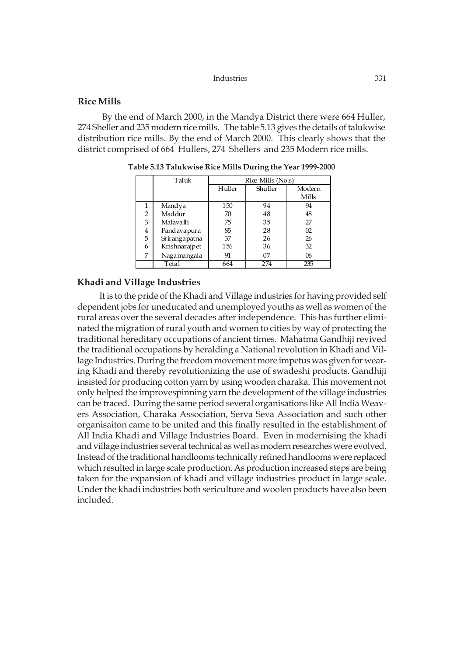# **Rice Mills**

 By the end of March 2000, in the Mandya District there were 664 Huller, 274 Sheller and 235 modern rice mills. The table 5.13 gives the details of talukwise distribution rice mills. By the end of March 2000. This clearly shows that the district comprised of 664 Hullers, 274 Shellers and 235 Modern rice mills.

|   | Taluk         |        | Rice Mills (No.s) |        |
|---|---------------|--------|-------------------|--------|
|   |               | Huller | Shuller           | Modern |
|   |               |        |                   | Mills  |
| 1 | Mandya        | 150    | 94                | 94     |
| 2 | Maddur        | 70     | 48                | 48     |
| 3 | Malavalli     | 75     | 35                | 27     |
| 4 | Pandavapura   | 85     | 28                | 02     |
| 5 | Srirangapatna | 37     | 26                | 26     |
| 6 | Krishnarajpet | 156    | 36                | 32     |
| 7 | Nagamangala   | 91     | 07                | 06     |
|   | Total         | 664    | 274               | 235    |

**Table 5.13 Talukwise Rice Mills During the Year 1999-2000**

# **Khadi and Village Industries**

It is to the pride of the Khadi and Village industries for having provided self dependent jobs for uneducated and unemployed youths as well as women of the rural areas over the several decades after independence. This has further eliminated the migration of rural youth and women to cities by way of protecting the traditional hereditary occupations of ancient times. Mahatma Gandhiji revived the traditional occupations by heralding a National revolution in Khadi and Village Industries. During the freedom movement more impetus was given for wearing Khadi and thereby revolutionizing the use of swadeshi products. Gandhiji insisted for producing cotton yarn by using wooden charaka. This movement not only helped the improvespinning yarn the development of the village industries can be traced. During the same period several organisations like All India Weavers Association, Charaka Association, Serva Seva Association and such other organisaiton came to be united and this finally resulted in the establishment of All India Khadi and Village Industries Board. Even in modernising the khadi and village industries several technical as well as modern researches were evolved. Instead of the traditional handlooms technically refined handlooms were replaced which resulted in large scale production. As production increased steps are being taken for the expansion of khadi and village industries product in large scale. Under the khadi industries both sericulture and woolen products have also been included.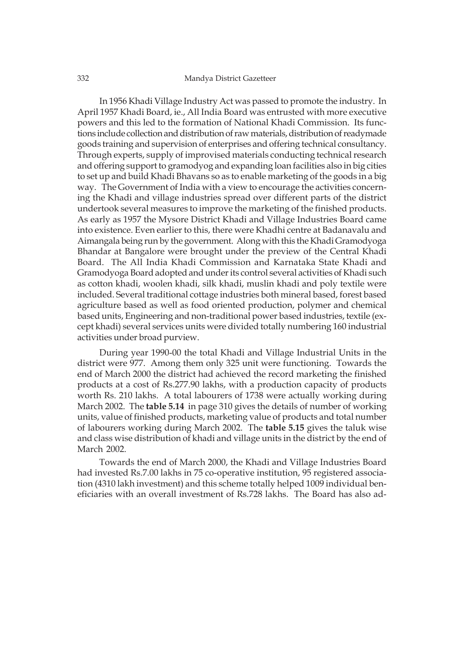In 1956 Khadi Village Industry Act was passed to promote the industry. In April 1957 Khadi Board, ie., All India Board was entrusted with more executive powers and this led to the formation of National Khadi Commission. Its functions include collection and distribution of raw materials, distribution of readymade goods training and supervision of enterprises and offering technical consultancy. Through experts, supply of improvised materials conducting technical research and offering support to gramodyog and expanding loan facilities also in big cities to set up and build Khadi Bhavans so as to enable marketing of the goods in a big way. The Government of India with a view to encourage the activities concerning the Khadi and village industries spread over different parts of the district undertook several measures to improve the marketing of the finished products. As early as 1957 the Mysore District Khadi and Village Industries Board came into existence. Even earlier to this, there were Khadhi centre at Badanavalu and Aimangala being run by the government. Along with this the Khadi Gramodyoga Bhandar at Bangalore were brought under the preview of the Central Khadi Board. The All India Khadi Commission and Karnataka State Khadi and Gramodyoga Board adopted and under its control several activities of Khadi such as cotton khadi, woolen khadi, silk khadi, muslin khadi and poly textile were included. Several traditional cottage industries both mineral based, forest based agriculture based as well as food oriented production, polymer and chemical based units, Engineering and non-traditional power based industries, textile (except khadi) several services units were divided totally numbering 160 industrial activities under broad purview.

During year 1990-00 the total Khadi and Village Industrial Units in the district were 977. Among them only 325 unit were functioning. Towards the end of March 2000 the district had achieved the record marketing the finished products at a cost of Rs.277.90 lakhs, with a production capacity of products worth Rs. 210 lakhs. A total labourers of 1738 were actually working during March 2002. The **table 5.14** in page 310 gives the details of number of working units, value of finished products, marketing value of products and total number of labourers working during March 2002. The **table 5.15** gives the taluk wise and class wise distribution of khadi and village units in the district by the end of March 2002.

Towards the end of March 2000, the Khadi and Village Industries Board had invested Rs.7.00 lakhs in 75 co-operative institution, 95 registered association (4310 lakh investment) and this scheme totally helped 1009 individual beneficiaries with an overall investment of Rs.728 lakhs. The Board has also ad-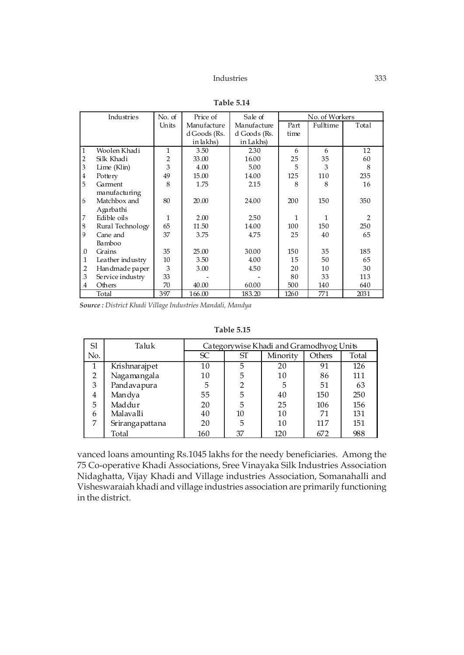|                | Industries       | No. of         | Price of     | Sale of      |      | No. of Workers |                |
|----------------|------------------|----------------|--------------|--------------|------|----------------|----------------|
|                |                  | Units          | Manufacture  | Manufacture  | Part | Fulltime       | Total          |
|                |                  |                | d Goods (Rs. | d Goods (Rs. | time |                |                |
|                |                  |                | in lakhs)    | in Lakhs)    |      |                |                |
| $\mathbf{1}$   | Woolen Khadi     | 1              | 3.50         | 2.30         | 6    | 6              | 12             |
| $\overline{2}$ | Silk Khadi       | $\overline{2}$ | 33.00        | 16.00        | 25   | 35             | 60             |
| 3              | Lime (Klin)      | 3              | 4.00         | 5.00         | 5    | 3              | 8              |
| $\overline{4}$ | Pottery          | 49             | 15.00        | 14.00        | 125  | 110            | 235            |
| 5              | Garment          | 8              | 1.75         | 2.15         | 8    | 8              | 16             |
|                | manufacturing    |                |              |              |      |                |                |
| 6              | Matchbox and     | 80             | 20.00        | 24.00        | 200  | 150            | 350            |
|                | Agarbathi        |                |              |              |      |                |                |
| 7              | Edible oils      | 1              | 2.00         | 2.50         | 1    | 1              | $\mathfrak{D}$ |
| 8              | Rural Technology | 65             | 11.50        | 14.00        | 100  | 150            | 250            |
| 9              | Cane and         | 37             | 3.75         | 4.75         | 25   | 40             | 65             |
|                | Bamboo           |                |              |              |      |                |                |
| $\Omega$       | Grains           | 35             | 25.00        | 30.00        | 150  | 35             | 185            |
| $\mathbf{1}$   | Leather industry | 10             | 3.50         | 4.00         | 15   | 50             | 65             |
| $\overline{2}$ | Han dmade pa per | 3              | 3.00         | 4.50         | 20   | 10             | 30             |
| 3              | Service industry | 33             |              |              | 80   | 33             | 113            |
| $\overline{4}$ | Others           | 70             | 40.00        | 60.00        | 500  | 140            | 640            |
|                | Total            | 397            | 166.00       | 183.20       | 1260 | 771            | 2031           |

**Table 5.14**

*Source : District Khadi Village Industries Mandali, Mandya*

**Table 5.15**

| Sl             | Taluk           |     |                | Categorywise Khadi and Gramodhyog Units |        |       |
|----------------|-----------------|-----|----------------|-----------------------------------------|--------|-------|
| No.            |                 | SC  | SТ             | Minority                                | Others | Total |
|                | Krishnarajpet   | 10  |                | 20                                      | 91     | 126   |
| $\mathfrak{D}$ | Nagamangala     | 10  | 5              | 10                                      | 86     | 111   |
| 3              | Pandavapura     | 5   | $\overline{2}$ | 5                                       | 51     | 63    |
| 4              | Mandya          | 55  | 5              | 40                                      | 150    | 250   |
| 5              | Maddur          | 20  | 5              | 25                                      | 106    | 156   |
| 6              | Malavalli       | 40  | 10             | 10                                      | 71     | 131   |
| 7              | Srirangapattana | 20  | 5              | 10                                      | 117    | 151   |
|                | Total           | 160 | 37             | 120                                     | 672    | 988   |

vanced loans amounting Rs.1045 lakhs for the needy beneficiaries. Among the 75 Co-operative Khadi Associations, Sree Vinayaka Silk Industries Association Nidaghatta, Vijay Khadi and Village industries Association, Somanahalli and Visheswaraiah khadi and village industries association are primarily functioning in the district.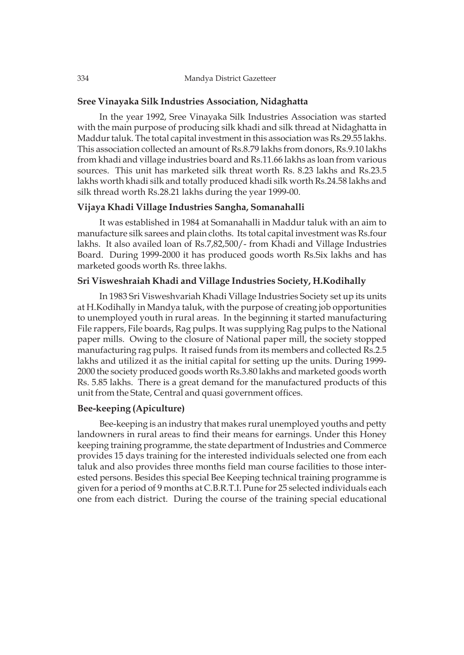# **Sree Vinayaka Silk Industries Association, Nidaghatta**

In the year 1992, Sree Vinayaka Silk Industries Association was started with the main purpose of producing silk khadi and silk thread at Nidaghatta in Maddur taluk. The total capital investment in this association was Rs.29.55 lakhs. This association collected an amount of Rs.8.79 lakhs from donors, Rs.9.10 lakhs from khadi and village industries board and Rs.11.66 lakhs as loan from various sources. This unit has marketed silk threat worth Rs. 8.23 lakhs and Rs.23.5 lakhs worth khadi silk and totally produced khadi silk worth Rs.24.58 lakhs and silk thread worth Rs.28.21 lakhs during the year 1999-00.

# **Vijaya Khadi Village Industries Sangha, Somanahalli**

It was established in 1984 at Somanahalli in Maddur taluk with an aim to manufacture silk sarees and plain cloths. Its total capital investment was Rs.four lakhs. It also availed loan of Rs.7,82,500/- from Khadi and Village Industries Board. During 1999-2000 it has produced goods worth Rs.Six lakhs and has marketed goods worth Rs. three lakhs.

# **Sri Visweshraiah Khadi and Village Industries Society, H.Kodihally**

In 1983 Sri Visweshvariah Khadi Village Industries Society set up its units at H.Kodihally in Mandya taluk, with the purpose of creating job opportunities to unemployed youth in rural areas. In the beginning it started manufacturing File rappers, File boards, Rag pulps. It was supplying Rag pulps to the National paper mills. Owing to the closure of National paper mill, the society stopped manufacturing rag pulps. It raised funds from its members and collected Rs.2.5 lakhs and utilized it as the initial capital for setting up the units. During 1999- 2000 the society produced goods worth Rs.3.80 lakhs and marketed goods worth Rs. 5.85 lakhs. There is a great demand for the manufactured products of this unit from the State, Central and quasi government offices.

# **Bee-keeping (Apiculture)**

Bee-keeping is an industry that makes rural unemployed youths and petty landowners in rural areas to find their means for earnings. Under this Honey keeping training programme, the state department of Industries and Commerce provides 15 days training for the interested individuals selected one from each taluk and also provides three months field man course facilities to those interested persons. Besides this special Bee Keeping technical training programme is given for a period of 9 months at C.B.R.T.I. Pune for 25 selected individuals each one from each district. During the course of the training special educational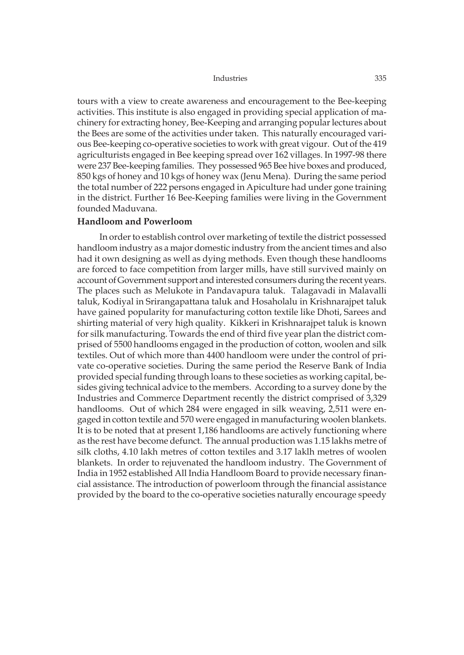tours with a view to create awareness and encouragement to the Bee-keeping activities. This institute is also engaged in providing special application of machinery for extracting honey, Bee-Keeping and arranging popular lectures about the Bees are some of the activities under taken. This naturally encouraged various Bee-keeping co-operative societies to work with great vigour. Out of the 419 agriculturists engaged in Bee keeping spread over 162 villages. In 1997-98 there were 237 Bee-keeping families. They possessed 965 Bee hive boxes and produced, 850 kgs of honey and 10 kgs of honey wax (Jenu Mena). During the same period the total number of 222 persons engaged in Apiculture had under gone training in the district. Further 16 Bee-Keeping families were living in the Government founded Maduvana.

### **Handloom and Powerloom**

In order to establish control over marketing of textile the district possessed handloom industry as a major domestic industry from the ancient times and also had it own designing as well as dying methods. Even though these handlooms are forced to face competition from larger mills, have still survived mainly on account of Government support and interested consumers during the recent years. The places such as Melukote in Pandavapura taluk. Talagavadi in Malavalli taluk, Kodiyal in Srirangapattana taluk and Hosaholalu in Krishnarajpet taluk have gained popularity for manufacturing cotton textile like Dhoti, Sarees and shirting material of very high quality. Kikkeri in Krishnarajpet taluk is known for silk manufacturing. Towards the end of third five year plan the district comprised of 5500 handlooms engaged in the production of cotton, woolen and silk textiles. Out of which more than 4400 handloom were under the control of private co-operative societies. During the same period the Reserve Bank of India provided special funding through loans to these societies as working capital, besides giving technical advice to the members. According to a survey done by the Industries and Commerce Department recently the district comprised of 3,329 handlooms. Out of which 284 were engaged in silk weaving, 2,511 were engaged in cotton textile and 570 were engaged in manufacturing woolen blankets. It is to be noted that at present 1,186 handlooms are actively functioning where as the rest have become defunct. The annual production was 1.15 lakhs metre of silk cloths, 4.10 lakh metres of cotton textiles and 3.17 laklh metres of woolen blankets. In order to rejuvenated the handloom industry. The Government of India in 1952 established All India Handloom Board to provide necessary financial assistance. The introduction of powerloom through the financial assistance provided by the board to the co-operative societies naturally encourage speedy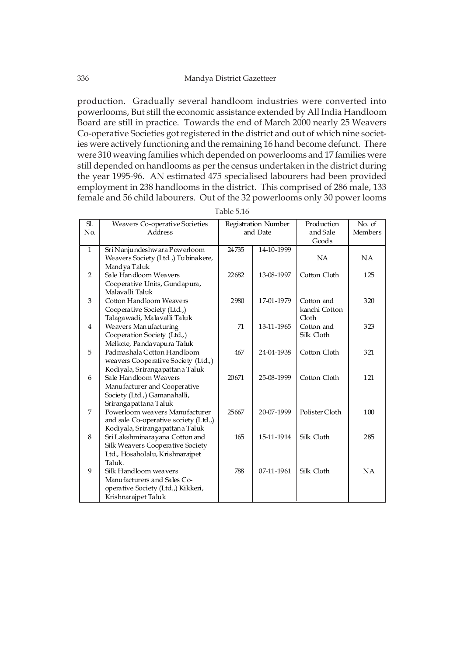production. Gradually several handloom industries were converted into powerlooms, But still the economic assistance extended by All India Handloom Board are still in practice. Towards the end of March 2000 nearly 25 Weavers Co-operative Societies got registered in the district and out of which nine societies were actively functioning and the remaining 16 hand become defunct. There were 310 weaving families which depended on powerlooms and 17 families were still depended on handlooms as per the census undertaken in the district during the year 1995-96. AN estimated 475 specialised labourers had been provided employment in 238 handlooms in the district. This comprised of 286 male, 133 female and 56 child labourers. Out of the 32 powerlooms only 30 power looms

| $\mathbf{S}$ . | Weavers Co-operative Societies        |       | Registration Number | Production     | No. of         |
|----------------|---------------------------------------|-------|---------------------|----------------|----------------|
| N <sub>0</sub> | Address                               |       | and Date            | and Sale       | <b>Members</b> |
|                |                                       |       |                     | Goods          |                |
| $\mathbf{1}$   | Sri Nanjundeshwara Powerloom          | 24735 | 14-10-1999          |                |                |
|                | Weavers Society (Ltd.,) Tubinakere,   |       |                     | <b>NA</b>      | NA             |
|                | Mandya Taluk                          |       |                     |                |                |
| $\overline{2}$ | Sale Handloom Weavers                 | 22682 | 13-08-1997          | Cotton Cloth   | 125            |
|                | Cooperative Units, Gundapura,         |       |                     |                |                |
|                | Malavalli Taluk                       |       |                     |                |                |
| 3              | Cotton Handloom Weavers               | 2980  | 17-01-1979          | Cotton and     | 320            |
|                | Cooperative Society (Ltd.,)           |       |                     | kanchi Cotton  |                |
|                | Talaga wadi, Malavalli Taluk          |       |                     | Cloth          |                |
| $\overline{4}$ | Weavers Manufacturing                 | 71    | 13-11-1965          | Cotton and     | 323            |
|                | Cooperation Society (Ltd.,)           |       |                     | Silk Cloth     |                |
|                | Melkote, Pandavapura Taluk            |       |                     |                |                |
| 5              | Padmashala Cotton Handloom            | 467   | 24-04-1938          | Cotton Cloth   | 321            |
|                | weavers Cooperative Society (Ltd.,)   |       |                     |                |                |
|                | Kodiyala, Sriranga pattana Taluk      |       |                     |                |                |
| 6              | Sale Handloom Weavers                 | 20671 | 25-08-1999          | Cotton Cloth   | 121            |
|                | Manufacturer and Cooperative          |       |                     |                |                |
|                | Society (Ltd.,) Gamanahalli,          |       |                     |                |                |
|                | Sriranga patta na Taluk               |       |                     |                |                |
| 7              | Powerloom weavers Manufacturer        | 25667 | 20-07-1999          | Polister Cloth | 100            |
|                | and sale Co-operative society (Ltd.,) |       |                     |                |                |
|                | Kodiyala, Sriranga pattana Taluk      |       |                     |                |                |
| 8              | Sri Lakshmina rayana Cotton and       | 165   | 15-11-1914          | Silk Cloth     | 285            |
|                | Silk Weavers Cooperative Society      |       |                     |                |                |
|                | Ltd., Hosaholalu, Krishnarajpet       |       |                     |                |                |
|                | Taluk.                                |       |                     |                |                |
| 9              | Silk Handloom weavers                 | 788   | 07-11-1961          | Silk Cloth     | NA             |
|                | Manufacturers and Sales Co-           |       |                     |                |                |
|                | operative Society (Ltd.,) Kikkeri,    |       |                     |                |                |
|                | Krishnarajpet Taluk                   |       |                     |                |                |

| Table 5.16 |  |  |
|------------|--|--|
|            |  |  |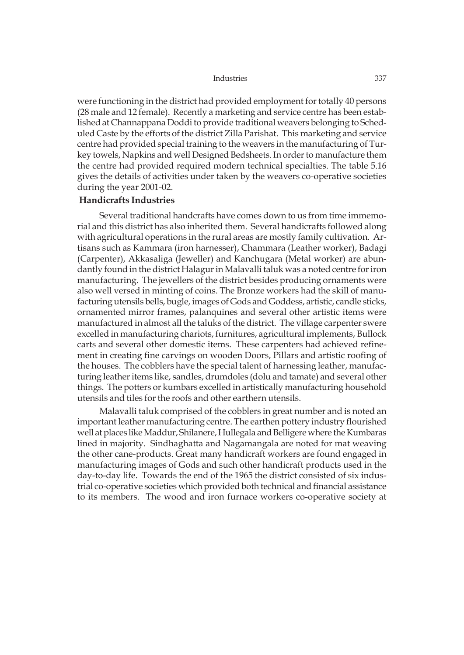were functioning in the district had provided employment for totally 40 persons (28 male and 12 female). Recently a marketing and service centre has been established at Channappana Doddi to provide traditional weavers belonging to Scheduled Caste by the efforts of the district Zilla Parishat. This marketing and service centre had provided special training to the weavers in the manufacturing of Turkey towels, Napkins and well Designed Bedsheets. In order to manufacture them the centre had provided required modern technical specialties. The table 5.16 gives the details of activities under taken by the weavers co-operative societies during the year 2001-02.

# **Handicrafts Industries**

Several traditional handcrafts have comes down to us from time immemorial and this district has also inherited them. Several handicrafts followed along with agricultural operations in the rural areas are mostly family cultivation. Artisans such as Kammara (iron harnesser), Chammara (Leather worker), Badagi (Carpenter), Akkasaliga (Jeweller) and Kanchugara (Metal worker) are abundantly found in the district Halagur in Malavalli taluk was a noted centre for iron manufacturing. The jewellers of the district besides producing ornaments were also well versed in minting of coins. The Bronze workers had the skill of manufacturing utensils bells, bugle, images of Gods and Goddess, artistic, candle sticks, ornamented mirror frames, palanquines and several other artistic items were manufactured in almost all the taluks of the district. The village carpenter swere excelled in manufacturing chariots, furnitures, agricultural implements, Bullock carts and several other domestic items. These carpenters had achieved refinement in creating fine carvings on wooden Doors, Pillars and artistic roofing of the houses. The cobblers have the special talent of harnessing leather, manufacturing leather items like, sandles, drumdoles (dolu and tamate) and several other things. The potters or kumbars excelled in artistically manufacturing household utensils and tiles for the roofs and other earthern utensils.

Malavalli taluk comprised of the cobblers in great number and is noted an important leather manufacturing centre. The earthen pottery industry flourished well at places like Maddur, Shilanere, Hullegala and Belligere where the Kumbaras lined in majority. Sindhaghatta and Nagamangala are noted for mat weaving the other cane-products. Great many handicraft workers are found engaged in manufacturing images of Gods and such other handicraft products used in the day-to-day life. Towards the end of the 1965 the district consisted of six industrial co-operative societies which provided both technical and financial assistance to its members. The wood and iron furnace workers co-operative society at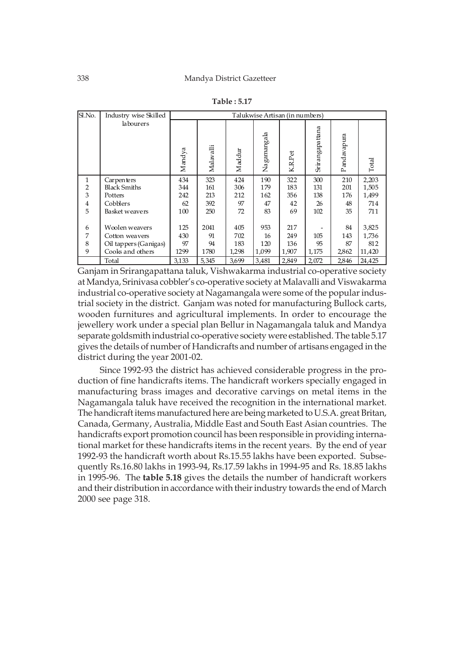| ISI.No.                        | Industry wise Skilled             |            |            |            | Talukwise Artisan (in numbers) |            |                 |             |                |
|--------------------------------|-----------------------------------|------------|------------|------------|--------------------------------|------------|-----------------|-------------|----------------|
|                                | labourers                         | Mandya     | Malavalli  | Maddur     | Nagamangala                    | K.R.Pet    | Srirangapattana | Pandavapura | Total          |
| $\mathbf{1}$<br>$\overline{2}$ | Carpenters<br><b>Black Smiths</b> | 434<br>344 | 323<br>161 | 424<br>306 | 190<br>179                     | 322<br>183 | 300<br>131      | 210<br>201  | 2,203<br>1,505 |
| 3                              | Potters                           | 242        | 213        | 212        | 162                            | 356        | 138             | 176         | 1,499          |
| 4                              | Cobblers                          | 62         | 392        | 97         | 47                             | 42         | 26              | 48          | 714            |
| 5                              | Basket weavers                    | 100        | 250        | 72         | 83                             | 69         | 102             | 35          | 711            |
| 6                              | Woolen weavers                    | 125        | 2041       | 405        | 953                            | 217        |                 | 84          | 3,825          |
| 7                              | Cotton weavers                    | 430        | 91         | 702        | 16                             | 249        | 105             | 143         | 1,736          |
| 8                              | Oil tappers (Ganigas)             | 97         | 94         | 183        | 120                            | 136        | 95              | 87          | 812            |
| 9                              | Cooks and others                  | 1299       | 1780       | 1,298      | 1,099                          | 1,907      | 1,175           | 2,862       | 11,420         |
|                                | Total                             | 3,133      | 5,345      | 3,699      | 3,481                          | 2,849      | 2,072           | 2,846       | 24,425         |

**Table : 5.17**

Ganjam in Srirangapattana taluk, Vishwakarma industrial co-operative society at Mandya, Srinivasa cobbler's co-operative society at Malavalli and Viswakarma industrial co-operative society at Nagamangala were some of the popular industrial society in the district. Ganjam was noted for manufacturing Bullock carts, wooden furnitures and agricultural implements. In order to encourage the jewellery work under a special plan Bellur in Nagamangala taluk and Mandya separate goldsmith industrial co-operative society were established. The table 5.17 gives the details of number of Handicrafts and number of artisans engaged in the district during the year 2001-02.

Since 1992-93 the district has achieved considerable progress in the production of fine handicrafts items. The handicraft workers specially engaged in manufacturing brass images and decorative carvings on metal items in the Nagamangala taluk have received the recognition in the international market. The handicraft items manufactured here are being marketed to U.S.A. great Britan, Canada, Germany, Australia, Middle East and South East Asian countries. The handicrafts export promotion council has been responsible in providing international market for these handicrafts items in the recent years. By the end of year 1992-93 the handicraft worth about Rs.15.55 lakhs have been exported. Subsequently Rs.16.80 lakhs in 1993-94, Rs.17.59 lakhs in 1994-95 and Rs. 18.85 lakhs in 1995-96. The **table 5.18** gives the details the number of handicraft workers and their distribution in accordance with their industry towards the end of March 2000 see page 318.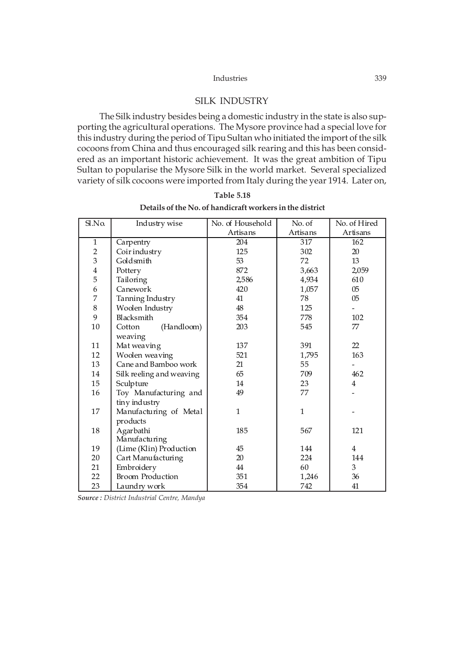# SILK INDUSTRY

The Silk industry besides being a domestic industry in the state is also supporting the agricultural operations. The Mysore province had a special love for this industry during the period of Tipu Sultan who initiated the import of the silk cocoons from China and thus encouraged silk rearing and this has been considered as an important historic achievement. It was the great ambition of Tipu Sultan to popularise the Mysore Silk in the world market. Several specialized variety of silk cocoons were imported from Italy during the year 1914. Later on,

| Sl.No.                  | Industry wise            | No. of Household | No. of       | No. of Hired   |
|-------------------------|--------------------------|------------------|--------------|----------------|
|                         |                          | Artisans         | Artisans     | Artisans       |
| $\mathbf{1}$            | Carpentry                | 204              | 317          | 162            |
| $\overline{2}$          | Coirindustry             | 125              | 302          | 20             |
| $\overline{3}$          | Goldsmith                | 53               | 72           | 13             |
| $\overline{\mathbf{4}}$ | Pottery                  | 872              | 3,663        | 2,059          |
| 5                       | Tailoring                | 2,586            | 4,934        | 610            |
| 6                       | Canework                 | 420              | 1,057        | $05\,$         |
| 7                       | Tanning Industry         | 41               | 78           | 0 <sub>5</sub> |
| 8                       | Woolen Industry          | 48               | 125          |                |
| 9                       | Blacksmith               | 354              | 778          | 102            |
| 10                      | (Handloom)<br>Cotton     | 203              | 545          | 77             |
|                         | weaving                  |                  |              |                |
| 11                      | Mat weaving              | 137              | 391          | 22             |
| 12                      | Woolen weaving           | 521              | 1,795        | 163            |
| 13                      | Cane and Bamboo work     | 21               | 55           |                |
| 14                      | Silk reeling and weaving | 65               | 709          | 462            |
| 15                      | Sculpture                | 14               | 23           | $\overline{4}$ |
| 16                      | Toy Manufacturing and    | 49               | 77           |                |
|                         | tiny industry            |                  |              |                |
| 17                      | Manufacturing of Metal   | 1                | $\mathbf{1}$ |                |
|                         | products                 |                  |              |                |
| 18                      | Agarbathi                | 185              | 567          | 121            |
|                         | Manufacturing            |                  |              |                |
| 19                      | (Lime (Klin) Production  | 45               | 144          | $\overline{4}$ |
| 20                      | Cart Manufacturing       | 20               | 224          | 144            |
| 21                      | Embroidery               | 44               | 60           | 3              |
| 22                      | <b>Broom Production</b>  | 351              | 1,246        | 36             |
| 23                      | Laundry work             | 354              | 742          | 41             |

**Table 5.18 Details of the No. of handicraft workers in the district**

*Source : District Industrial Centre, Mandya*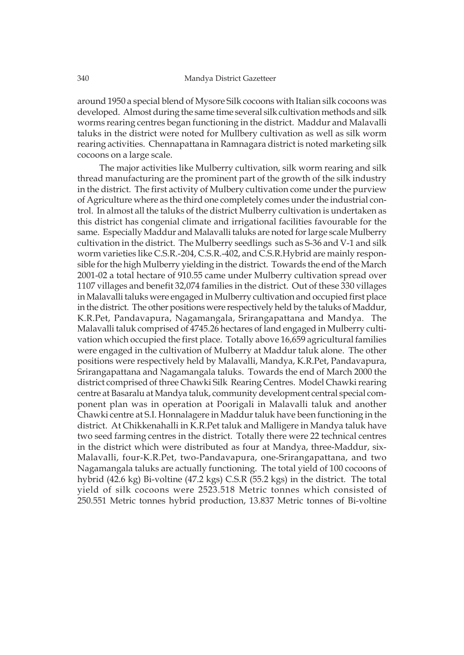around 1950 a special blend of Mysore Silk cocoons with Italian silk cocoons was developed. Almost during the same time several silk cultivation methods and silk worms rearing centres began functioning in the district. Maddur and Malavalli taluks in the district were noted for Mullbery cultivation as well as silk worm rearing activities. Chennapattana in Ramnagara district is noted marketing silk cocoons on a large scale.

The major activities like Mulberry cultivation, silk worm rearing and silk thread manufacturing are the prominent part of the growth of the silk industry in the district. The first activity of Mulbery cultivation come under the purview of Agriculture where as the third one completely comes under the industrial control. In almost all the taluks of the district Mulberry cultivation is undertaken as this district has congenial climate and irrigational facilities favourable for the same. Especially Maddur and Malavalli taluks are noted for large scale Mulberry cultivation in the district. The Mulberry seedlings such as S-36 and V-1 and silk worm varieties like C.S.R.-204, C.S.R.-402, and C.S.R.Hybrid are mainly responsible for the high Mulberry yielding in the district. Towards the end of the March 2001-02 a total hectare of 910.55 came under Mulberry cultivation spread over 1107 villages and benefit 32,074 families in the district. Out of these 330 villages in Malavalli taluks were engaged in Mulberry cultivation and occupied first place in the district. The other positions were respectively held by the taluks of Maddur, K.R.Pet, Pandavapura, Nagamangala, Srirangapattana and Mandya. The Malavalli taluk comprised of 4745.26 hectares of land engaged in Mulberry cultivation which occupied the first place. Totally above 16,659 agricultural families were engaged in the cultivation of Mulberry at Maddur taluk alone. The other positions were respectively held by Malavalli, Mandya, K.R.Pet, Pandavapura, Srirangapattana and Nagamangala taluks. Towards the end of March 2000 the district comprised of three Chawki Silk Rearing Centres. Model Chawki rearing centre at Basaralu at Mandya taluk, community development central special component plan was in operation at Poorigali in Malavalli taluk and another Chawki centre at S.I. Honnalagere in Maddur taluk have been functioning in the district. At Chikkenahalli in K.R.Pet taluk and Malligere in Mandya taluk have two seed farming centres in the district. Totally there were 22 technical centres in the district which were distributed as four at Mandya, three-Maddur, six-Malavalli, four-K.R.Pet, two-Pandavapura, one-Srirangapattana, and two Nagamangala taluks are actually functioning. The total yield of 100 cocoons of hybrid (42.6 kg) Bi-voltine (47.2 kgs) C.S.R (55.2 kgs) in the district. The total yield of silk cocoons were 2523.518 Metric tonnes which consisted of 250.551 Metric tonnes hybrid production, 13.837 Metric tonnes of Bi-voltine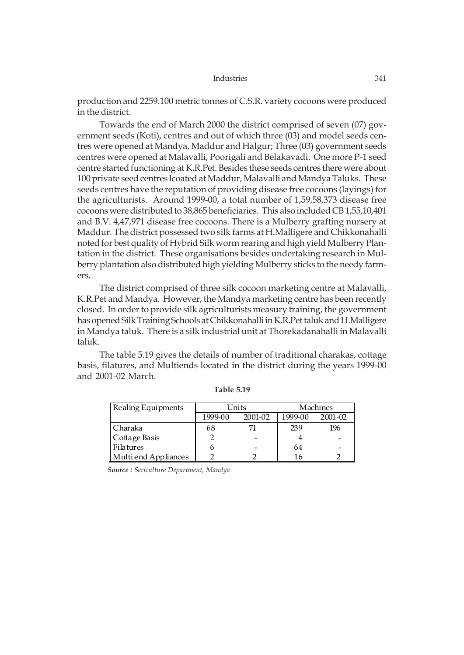production and 2259.100 metric tonnes of C.S.R. variety cocoons were produced in the district.

Towards the end of March 2000 the district comprised of seven (07) government seeds (Koti), centres and out of which three (03) and model seeds centres were opened at Mandya, Maddur and Halgur; Three (03) government seeds centres were opened at Malavalli, Poorigali and Belakavadi. One more P-1 seed centre started functioning at K.R.Pet. Besides these seeds centres there were about 100 private seed centres lcoated at Maddur, Malavalli and Mandya Taluks. These seeds centres have the reputation of providing disease free cocoons (layings) for the agriculturists. Around 1999-00, a total number of 1,59,58,373 disease free cocoons were distributed to 38,865 beneficiaries. This also included CB 1,55,10,401 and B.V. 4,47,971 disease free cocoons. There is a Mulberry grafting nursery at Maddur. The district possessed two silk farms at H.Malligere and Chikkonahalli noted for best quality of Hybrid Silk worm rearing and high yield Mulberry Plantation in the district. These organisations besides undertaking research in Mulberry plantation also distributed high yielding Mulberry sticks to the needy farmers.

The district comprised of three silk cocoon marketing centre at Malavalli, K.R.Pet and Mandya. However, the Mandya marketing centre has been recently closed. In order to provide silk agriculturists measury training, the government has opened Silk Training Schools at Chikkonahalli in K.R.Pet taluk and H.Malligere in Mandya taluk. There is a silk industrial unit at Thorekadanahalli in Malavalli taluk.

The table 5.19 gives the details of number of traditional charakas, cottage basis, filatures, and Multiends located in the district during the years 1999-00 and 2001-02 March.

| Realing Equipments   |         | Units   |         | Machines |
|----------------------|---------|---------|---------|----------|
|                      | 1999-00 | 2001-02 | 1999-00 | 2001-02  |
| Charaka              | 68      |         | 239     | 196      |
| Cottage Basis        |         |         |         |          |
| Filatures            |         |         | 64      |          |
| Multi end Appliances |         |         | 16      |          |

**Table 5.19**

*Source : Sericulture Department, Mandya*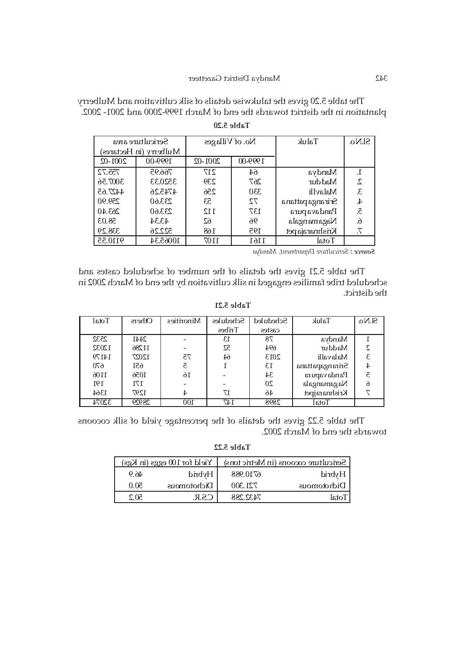The table 5.20 gives the talukwise details of silk cultivation and Mulberry plantation in the district towards the end of March 1999-2000 and 2001- 2002.

|             | Sericulture area       | No. of Villages |         | Taluk                  | Sl.No. |
|-------------|------------------------|-----------------|---------|------------------------|--------|
|             | Mulberry (in Hectares) |                 |         |                        |        |
| $2001 - 02$ | 1999-00                | $2001 - 02$     | 1999-00 |                        |        |
| 755.72      | 766.95                 | 217             | 64      | Mandya                 | 1.     |
| 3007.56     | 3520.33                | 239             | 267     | Maddur                 | 2.     |
| 4427.65     | 4745.26                | 256             | 330     | Malavlli               | 3.     |
| 259.90      | 233.60                 | 53              | 72      | <b>Srirangapattana</b> | 4.     |
| 263.40      | 233.60                 | 112             | 137     | Pandavapura            | 5.     |
| 58.03       | 43.34                  | 62              | 96      | Nagamangala            | 6.     |
| 338.29      | 522.26                 | 168             | 195     | Krishnaraja pet        | 7.     |
| 9110.55     | 10065.34               | 1107            | 1161    | Total                  |        |

*Sericulture Department, Mandya Source :* 

The table 5.21 gives the details of the number of scheduled castes and scheduled tribe families engaged in silk cultivation by the end of March 2002 in the district.

**Table 5.21**

| Total | <b>Others</b> | Minorities | <b>Schedules</b> | Scheduled | Taluk           | S <sub>1</sub> N <sub>0</sub> |
|-------|---------------|------------|------------------|-----------|-----------------|-------------------------------|
|       |               |            | Tribes           | castes    |                 |                               |
| 2532  | 2441          |            | 13               | 78        | Mandya          |                               |
| 12032 | 11286         |            | 52               | 694       | Maddur          | C                             |
| 14179 | 12027         | 75         | 64               | 2013      | Malavalli       | 3                             |
| 670   | 651           | 5          |                  | $13\,$    | Srirangapattana |                               |
| 1106  | 1056          | 16         |                  | 34        | Pandavapura     |                               |
| 191   | 171           |            |                  | 20        | Nagamangala     | $\delta$                      |
| 1364  | 1297          | 4          | 17               | 46        | Krishnarajpet   |                               |
| 32074 | 28929         | 100        | 147              | 2898      | Total           |                               |

The table 5.22 gives the details of the percentage yield of silk cocoons towards the end of March 2002.

**Table 5.22**

|      | Yield for $100$ eggs (in Kgs) |          | $\vert$ Sericulture cocoons (in Metric tons) |
|------|-------------------------------|----------|----------------------------------------------|
| 46.9 | Hybrid                        | 6710.988 | l Hybrid                                     |
| 50.0 | Dichotomous                   | 721.300  | Didnotomous                                  |
| SO 2 | ี <b>G S B</b>                | 7437 788 | Total                                        |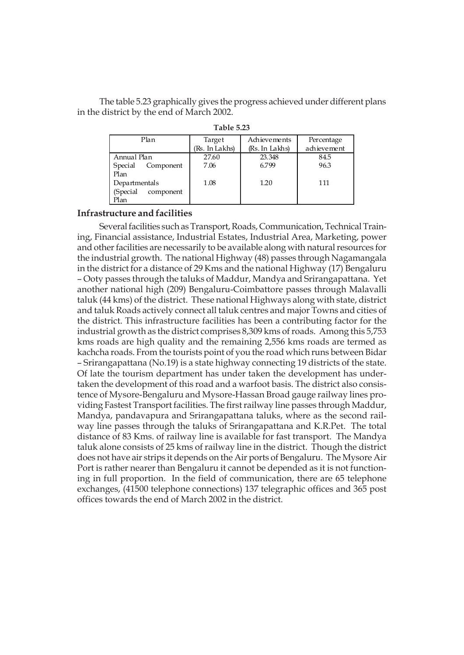The table 5.23 graphically gives the progress achieved under different plans in the district by the end of March 2002.

| Plan                  | Achievements<br>Target |                | Percentage  |  |
|-----------------------|------------------------|----------------|-------------|--|
|                       | (Rs. In Lakhs)         | (Rs. In Lakhs) | achievement |  |
| Annual Plan           | 27.60                  | 23.348         | 84.5        |  |
| Special<br>Component  | 7.06                   | 6.799          | 96.3        |  |
| Plan                  |                        |                |             |  |
| Departmentals         | 1.08                   | 1.20           | 111         |  |
| (Special<br>component |                        |                |             |  |
| Plan                  |                        |                |             |  |

**Table 5.23**

### **Infrastructure and facilities**

Several facilities such as Transport, Roads, Communication, Technical Training, Financial assistance, Industrial Estates, Industrial Area, Marketing, power and other facilities are necessarily to be available along with natural resources for the industrial growth. The national Highway (48) passes through Nagamangala in the district for a distance of 29 Kms and the national Highway (17) Bengaluru – Ooty passes through the taluks of Maddur, Mandya and Srirangapattana. Yet another national high (209) Bengaluru-Coimbattore passes through Malavalli taluk (44 kms) of the district. These national Highways along with state, district and taluk Roads actively connect all taluk centres and major Towns and cities of the district. This infrastructure facilities has been a contributing factor for the industrial growth as the district comprises 8,309 kms of roads. Among this 5,753 kms roads are high quality and the remaining 2,556 kms roads are termed as kachcha roads. From the tourists point of you the road which runs between Bidar – Srirangapattana (No.19) is a state highway connecting 19 districts of the state. Of late the tourism department has under taken the development has undertaken the development of this road and a warfoot basis. The district also consistence of Mysore-Bengaluru and Mysore-Hassan Broad gauge railway lines providing Fastest Transport facilities. The first railway line passes through Maddur, Mandya, pandavapura and Srirangapattana taluks, where as the second railway line passes through the taluks of Srirangapattana and K.R.Pet. The total distance of 83 Kms. of railway line is available for fast transport. The Mandya taluk alone consists of 25 kms of railway line in the district. Though the district does not have air strips it depends on the Air ports of Bengaluru. The Mysore Air Port is rather nearer than Bengaluru it cannot be depended as it is not functioning in full proportion. In the field of communication, there are 65 telephone exchanges, (41500 telephone connections) 137 telegraphic offices and 365 post offices towards the end of March 2002 in the district.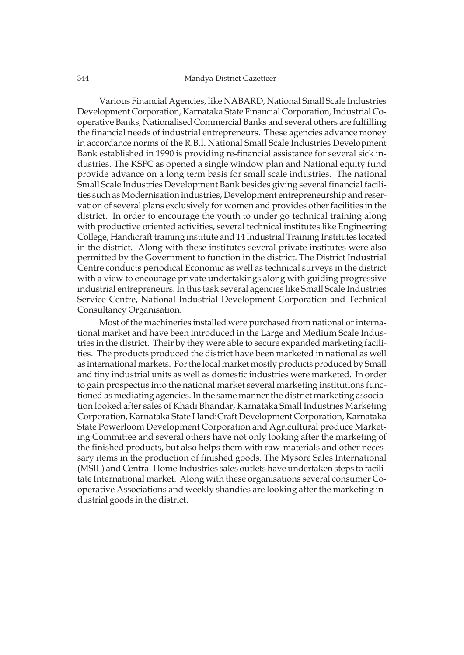Various Financial Agencies, like NABARD, National Small Scale Industries Development Corporation, Karnataka State Financial Corporation, Industrial Cooperative Banks, Nationalised Commercial Banks and several others are fulfilling the financial needs of industrial entrepreneurs. These agencies advance money in accordance norms of the R.B.I. National Small Scale Industries Development Bank established in 1990 is providing re-financial assistance for several sick industries. The KSFC as opened a single window plan and National equity fund provide advance on a long term basis for small scale industries. The national Small Scale Industries Development Bank besides giving several financial facilities such as Modernisation industries, Development entrepreneurship and reservation of several plans exclusively for women and provides other facilities in the district. In order to encourage the youth to under go technical training along with productive oriented activities, several technical institutes like Engineering College, Handicraft training institute and 14 Industrial Training Institutes located in the district. Along with these institutes several private institutes were also permitted by the Government to function in the district. The District Industrial Centre conducts periodical Economic as well as technical surveys in the district with a view to encourage private undertakings along with guiding progressive industrial entrepreneurs. In this task several agencies like Small Scale Industries Service Centre, National Industrial Development Corporation and Technical Consultancy Organisation.

Most of the machineries installed were purchased from national or international market and have been introduced in the Large and Medium Scale Industries in the district. Their by they were able to secure expanded marketing facilities. The products produced the district have been marketed in national as well as international markets. For the local market mostly products produced by Small and tiny industrial units as well as domestic industries were marketed. In order to gain prospectus into the national market several marketing institutions functioned as mediating agencies. In the same manner the district marketing association looked after sales of Khadi Bhandar, Karnataka Small Industries Marketing Corporation, Karnataka State HandiCraft Development Corporation, Karnataka State Powerloom Development Corporation and Agricultural produce Marketing Committee and several others have not only looking after the marketing of the finished products, but also helps them with raw-materials and other necessary items in the production of finished goods. The Mysore Sales International (MSIL) and Central Home Industries sales outlets have undertaken steps to facilitate International market. Along with these organisations several consumer Cooperative Associations and weekly shandies are looking after the marketing industrial goods in the district.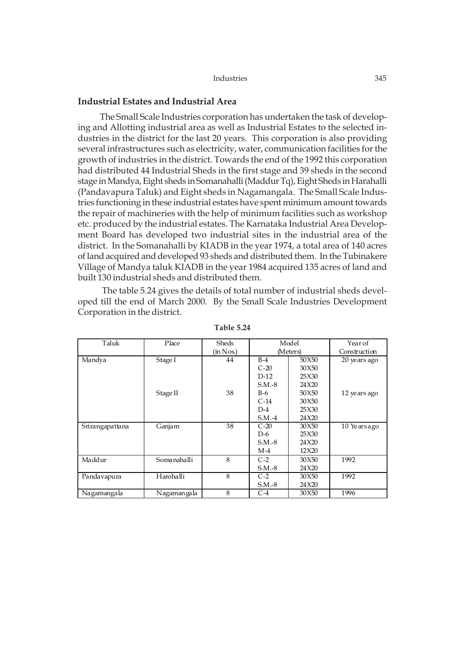| Industries | 345 |
|------------|-----|
|            |     |

# **Industrial Estates and Industrial Area**

The Small Scale Industries corporation has undertaken the task of developing and Allotting industrial area as well as Industrial Estates to the selected industries in the district for the last 20 years. This corporation is also providing several infrastructures such as electricity, water, communication facilities for the growth of industries in the district. Towards the end of the 1992 this corporation had distributed 44 Industrial Sheds in the first stage and 39 sheds in the second stage in Mandya, Eight sheds in Somanahalli (Maddur Tq), Eight Sheds in Harahalli (Pandavapura Taluk) and Eight sheds in Nagamangala. The Small Scale Industries functioning in these industrial estates have spent minimum amount towards the repair of machineries with the help of minimum facilities such as workshop etc. produced by the industrial estates. The Karnataka Industrial Area Development Board has developed two industrial sites in the industrial area of the district. In the Somanahalli by KIADB in the year 1974, a total area of 140 acres of land acquired and developed 93 sheds and distributed them. In the Tubinakere Village of Mandya taluk KIADB in the year 1984 acquired 135 acres of land and built 130 industrial sheds and distributed them.

 The table 5.24 gives the details of total number of industrial sheds developed till the end of March 2000. By the Small Scale Industries Development Corporation in the district.

| Taluk           | Place         | Sheds     | Model    |          | Year of      |
|-----------------|---------------|-----------|----------|----------|--------------|
|                 |               | (in Nos.) |          | (Meters) | Construction |
| Mandya          | Stage I       | 44        | $B-4$    | 50X50    | 20 years ago |
|                 |               |           | $C-20$   | 30X50    |              |
|                 |               |           | $D-12$   | 25X30    |              |
|                 |               |           | $S.M.-8$ | 24X20    |              |
|                 | Stage II      | 38        | $B-6$    | 50X50    | 12 years ago |
|                 |               |           | $C-14$   | 30X50    |              |
|                 |               |           | $D-4$    | 25X30    |              |
|                 |               |           | $S.M.-4$ | 24 X 20  |              |
| Srirangapattana | Ganjam        | 38        | $C-20$   | 30X50    | 10 Years ago |
|                 |               |           | $D-6$    | 25X30    |              |
|                 |               |           | $S.M.-8$ | 24X20    |              |
|                 |               |           | $M-4$    | 12X20    |              |
| Maddur          | Somanahalli   | 8         | $C-2$    | 30X50    | 1992         |
|                 |               |           | $S.M.-8$ | 24X20    |              |
| Pandavapura     | Harohalli     | 8         | $C-2$    | 30X50    | 1992         |
|                 |               |           | $S.M.-8$ | 24X20    |              |
| Nagamangala     | Nagaman ga la | 8         | $C-4$    | 30X50    | 1996         |

**Table 5.24**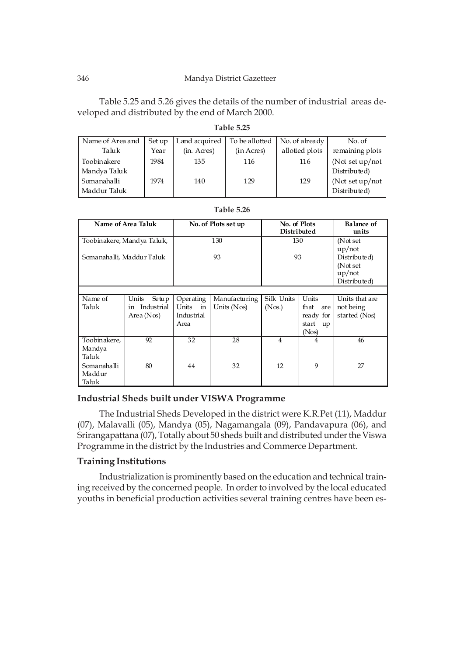### 346 Mandya District Gazetteer

Table 5.25 and 5.26 gives the details of the number of industrial areas developed and distributed by the end of March 2000.

**Table 5.25**

| Name of Area and            | Set up | Land acquired | To be allotted | No. of already | No. of                            |
|-----------------------------|--------|---------------|----------------|----------------|-----------------------------------|
| Taluk                       | Year   | (in. Acres)   | (in Acres)     | allotted plots | remaining plots                   |
| Toobinakere<br>Mandya Taluk | 1984   | 135           | 116            | 116            | (Not set $up/not$<br>Distributed) |
| Somanahalli<br>Maddur Taluk | 1974   | 140           | 129            | 129            | (Not set $up/not$<br>Distributed) |

| Name of Area Taluk        |                            | No. of Plots set up    |                 | No. of Plots<br><b>Distributed</b> |             | <b>Balance of</b><br>units |
|---------------------------|----------------------------|------------------------|-----------------|------------------------------------|-------------|----------------------------|
|                           | Toobinakere, Mandya Taluk, |                        | 130             | 130                                |             | (Not set                   |
|                           |                            |                        |                 |                                    |             | $up/$ not                  |
| Somanahalli, Maddur Taluk |                            |                        | 93              | 93                                 |             | Distributed)               |
|                           |                            |                        |                 |                                    |             | (Not set<br>up/not         |
|                           |                            |                        |                 |                                    |             | Distributed)               |
|                           |                            |                        |                 |                                    |             |                            |
| Name of                   | Units<br>Setup             | Operating              | Manufacturing   | Silk Units                         | Units       | Units that are             |
| Taluk                     | Industrial<br>in           | Units<br>$\mathbf{in}$ | Units $(Nos)$   | (Nos.)                             | that<br>are | not being                  |
|                           | Area $(Nos)$               | Industrial             |                 |                                    | ready for   | started (Nos)              |
|                           |                            | Area                   |                 |                                    | start<br>up |                            |
|                           |                            |                        |                 |                                    | (Nos)       |                            |
| Toobinakere,              | 92                         | $\overline{32}$        | $\overline{28}$ | $\overline{4}$                     | 4           | 46                         |
| Mandya                    |                            |                        |                 |                                    |             |                            |
| Taluk                     |                            |                        |                 |                                    |             |                            |
| Somanahalli               | 80                         | 44                     | 32              | 12                                 | 9           | 27                         |
| Maddur                    |                            |                        |                 |                                    |             |                            |
| Taluk                     |                            |                        |                 |                                    |             |                            |

| Table 5.26 |  |
|------------|--|
|------------|--|

# **Industrial Sheds built under VISWA Programme**

The Industrial Sheds Developed in the district were K.R.Pet (11), Maddur (07), Malavalli (05), Mandya (05), Nagamangala (09), Pandavapura (06), and Srirangapattana (07), Totally about 50 sheds built and distributed under the Viswa Programme in the district by the Industries and Commerce Department.

# **Training Institutions**

Industrialization is prominently based on the education and technical training received by the concerned people. In order to involved by the local educated youths in beneficial production activities several training centres have been es-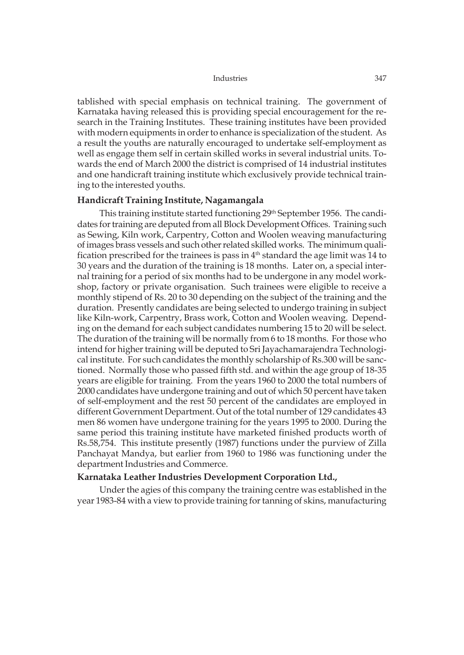tablished with special emphasis on technical training. The government of Karnataka having released this is providing special encouragement for the research in the Training Institutes. These training institutes have been provided with modern equipments in order to enhance is specialization of the student. As a result the youths are naturally encouraged to undertake self-employment as well as engage them self in certain skilled works in several industrial units. Towards the end of March 2000 the district is comprised of 14 industrial institutes and one handicraft training institute which exclusively provide technical training to the interested youths.

# **Handicraft Training Institute, Nagamangala**

This training institute started functioning 29th September 1956. The candidates for training are deputed from all Block Development Offices. Training such as Sewing, Kiln work, Carpentry, Cotton and Woolen weaving manufacturing of images brass vessels and such other related skilled works. The minimum qualification prescribed for the trainees is pass in  $4<sup>th</sup>$  standard the age limit was 14 to 30 years and the duration of the training is 18 months. Later on, a special internal training for a period of six months had to be undergone in any model workshop, factory or private organisation. Such trainees were eligible to receive a monthly stipend of Rs. 20 to 30 depending on the subject of the training and the duration. Presently candidates are being selected to undergo training in subject like Kiln-work, Carpentry, Brass work, Cotton and Woolen weaving. Depending on the demand for each subject candidates numbering 15 to 20 will be select. The duration of the training will be normally from 6 to 18 months. For those who intend for higher training will be deputed to Sri Jayachamarajendra Technological institute. For such candidates the monthly scholarship of Rs.300 will be sanctioned. Normally those who passed fifth std. and within the age group of 18-35 years are eligible for training. From the years 1960 to 2000 the total numbers of 2000 candidates have undergone training and out of which 50 percent have taken of self-employment and the rest 50 percent of the candidates are employed in different Government Department. Out of the total number of 129 candidates 43 men 86 women have undergone training for the years 1995 to 2000. During the same period this training institute have marketed finished products worth of Rs.58,754. This institute presently (1987) functions under the purview of Zilla Panchayat Mandya, but earlier from 1960 to 1986 was functioning under the department Industries and Commerce.

# **Karnataka Leather Industries Development Corporation Ltd.,**

Under the agies of this company the training centre was established in the year 1983-84 with a view to provide training for tanning of skins, manufacturing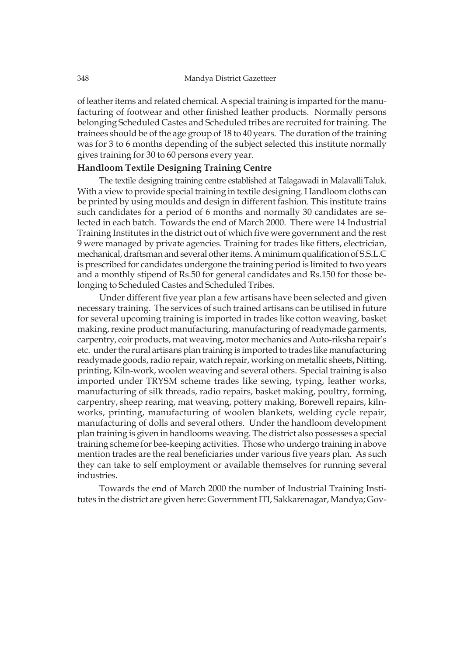of leather items and related chemical. A special training is imparted for the manufacturing of footwear and other finished leather products. Normally persons belonging Scheduled Castes and Scheduled tribes are recruited for training. The trainees should be of the age group of 18 to 40 years. The duration of the training was for 3 to 6 months depending of the subject selected this institute normally gives training for 30 to 60 persons every year.

# **Handloom Textile Designing Training Centre**

The textile designing training centre established at Talagawadi in Malavalli Taluk. With a view to provide special training in textile designing. Handloom cloths can be printed by using moulds and design in different fashion. This institute trains such candidates for a period of 6 months and normally 30 candidates are selected in each batch. Towards the end of March 2000. There were 14 Industrial Training Institutes in the district out of which five were government and the rest 9 were managed by private agencies. Training for trades like fitters, electrician, mechanical, draftsman and several other items. A minimum qualification of S.S.L.C is prescribed for candidates undergone the training period is limited to two years and a monthly stipend of Rs.50 for general candidates and Rs.150 for those belonging to Scheduled Castes and Scheduled Tribes.

Under different five year plan a few artisans have been selected and given necessary training. The services of such trained artisans can be utilised in future for several upcoming training is imported in trades like cotton weaving, basket making, rexine product manufacturing, manufacturing of readymade garments, carpentry, coir products, mat weaving, motor mechanics and Auto-riksha repair's etc. under the rural artisans plan training is imported to trades like manufacturing readymade goods, radio repair, watch repair, working on metallic sheets**,** Nitting, printing, Kiln-work, woolen weaving and several others. Special training is also imported under TRYSM scheme trades like sewing, typing, leather works, manufacturing of silk threads, radio repairs, basket making, poultry, forming, carpentry, sheep rearing, mat weaving, pottery making, Borewell repairs, kilnworks, printing, manufacturing of woolen blankets, welding cycle repair, manufacturing of dolls and several others. Under the handloom development plan training is given in handlooms weaving. The district also possesses a special training scheme for bee-keeping activities. Those who undergo training in above mention trades are the real beneficiaries under various five years plan. As such they can take to self employment or available themselves for running several industries.

Towards the end of March 2000 the number of Industrial Training Institutes in the district are given here: Government ITI, Sakkarenagar, Mandya; Gov-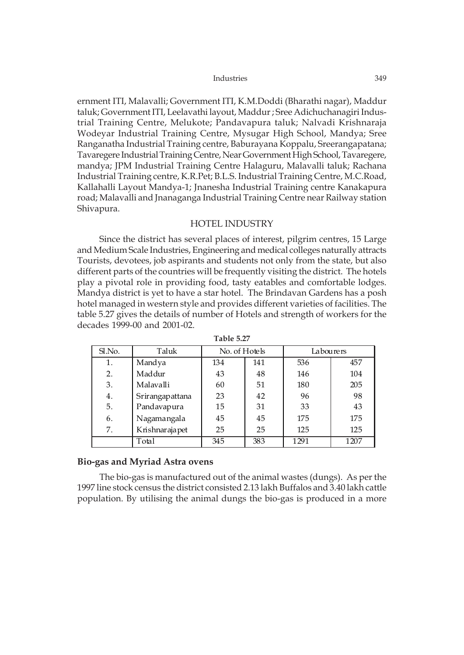ernment ITI, Malavalli; Government ITI, K.M.Doddi (Bharathi nagar), Maddur taluk; Government ITI, Leelavathi layout, Maddur ; Sree Adichuchanagiri Industrial Training Centre, Melukote; Pandavapura taluk; Nalvadi Krishnaraja Wodeyar Industrial Training Centre, Mysugar High School, Mandya; Sree Ranganatha Industrial Training centre, Baburayana Koppalu, Sreerangapatana; Tavaregere Industrial Training Centre, Near Government High School, Tavaregere, mandya; JPM Industrial Training Centre Halaguru, Malavalli taluk; Rachana Industrial Training centre, K.R.Pet; B.L.S. Industrial Training Centre, M.C.Road, Kallahalli Layout Mandya-1; Jnanesha Industrial Training centre Kanakapura road; Malavalli and Jnanaganga Industrial Training Centre near Railway station Shivapura.

### HOTEL INDUSTRY

Since the district has several places of interest, pilgrim centres, 15 Large and Medium Scale Industries, Engineering and medical colleges naturally attracts Tourists, devotees, job aspirants and students not only from the state, but also different parts of the countries will be frequently visiting the district. The hotels play a pivotal role in providing food, tasty eatables and comfortable lodges. Mandya district is yet to have a star hotel. The Brindavan Gardens has a posh hotel managed in western style and provides different varieties of facilities. The table 5.27 gives the details of number of Hotels and strength of workers for the decades 1999-00 and 2001-02.

| Sl.No. | Taluk           | No. of Hotels |     | Labourers |      |
|--------|-----------------|---------------|-----|-----------|------|
| 1.     | Mandya          | 134           | 141 | 536       | 457  |
| 2.     | Maddur          | 43            | 48  | 146       | 104  |
| 3.     | Malavalli       | 60            | 51  | 180       | 205  |
| 4.     | Srirangapattana | 23            | 42  | 96        | 98   |
| 5.     | Pandavapura     | 15            | 31  | 33        | 43   |
| 6.     | Nagamangala     | 45            | 45  | 175       | 175  |
| 7.     | Krishnarajapet  | 25            | 25  | 125       | 125  |
|        | Total           | 345           | 383 | 1291      | 1207 |

**Table 5.27**

### **Bio-gas and Myriad Astra ovens**

The bio-gas is manufactured out of the animal wastes (dungs). As per the 1997 line stock census the district consisted 2.13 lakh Buffalos and 3.40 lakh cattle population. By utilising the animal dungs the bio-gas is produced in a more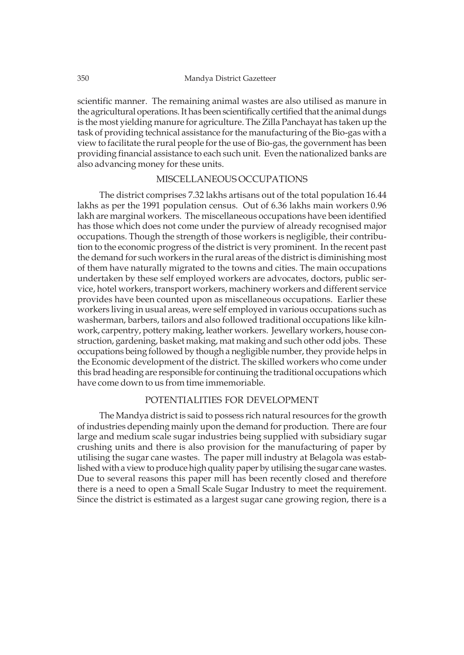scientific manner. The remaining animal wastes are also utilised as manure in the agricultural operations. It has been scientifically certified that the animal dungs is the most yielding manure for agriculture. The Zilla Panchayat has taken up the task of providing technical assistance for the manufacturing of the Bio-gas with a view to facilitate the rural people for the use of Bio-gas, the government has been providing financial assistance to each such unit. Even the nationalized banks are also advancing money for these units.

# MISCELLANEOUS OCCUPATIONS

The district comprises 7.32 lakhs artisans out of the total population 16.44 lakhs as per the 1991 population census. Out of 6.36 lakhs main workers 0.96 lakh are marginal workers. The miscellaneous occupations have been identified has those which does not come under the purview of already recognised major occupations. Though the strength of those workers is negligible, their contribution to the economic progress of the district is very prominent. In the recent past the demand for such workers in the rural areas of the district is diminishing most of them have naturally migrated to the towns and cities. The main occupations undertaken by these self employed workers are advocates, doctors, public service, hotel workers, transport workers, machinery workers and different service provides have been counted upon as miscellaneous occupations. Earlier these workers living in usual areas, were self employed in various occupations such as washerman, barbers, tailors and also followed traditional occupations like kilnwork, carpentry, pottery making, leather workers. Jewellary workers, house construction, gardening, basket making, mat making and such other odd jobs. These occupations being followed by though a negligible number, they provide helps in the Economic development of the district. The skilled workers who come under this brad heading are responsible for continuing the traditional occupations which have come down to us from time immemoriable.

# POTENTIALITIES FOR DEVELOPMENT

The Mandya district is said to possess rich natural resources for the growth of industries depending mainly upon the demand for production. There are four large and medium scale sugar industries being supplied with subsidiary sugar crushing units and there is also provision for the manufacturing of paper by utilising the sugar cane wastes. The paper mill industry at Belagola was established with a view to produce high quality paper by utilising the sugar cane wastes. Due to several reasons this paper mill has been recently closed and therefore there is a need to open a Small Scale Sugar Industry to meet the requirement. Since the district is estimated as a largest sugar cane growing region, there is a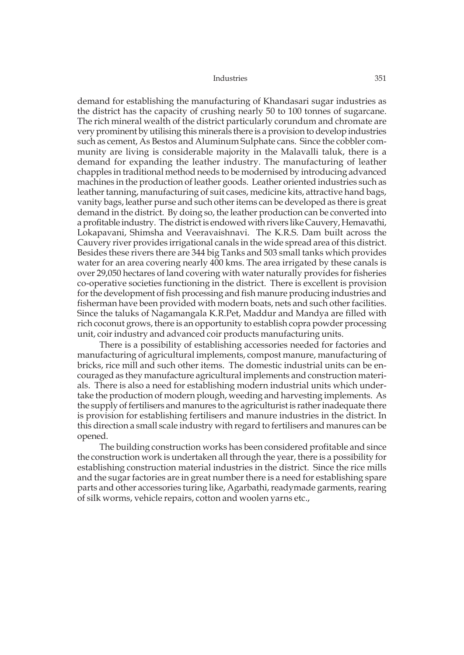demand for establishing the manufacturing of Khandasari sugar industries as the district has the capacity of crushing nearly 50 to 100 tonnes of sugarcane. The rich mineral wealth of the district particularly corundum and chromate are very prominent by utilising this minerals there is a provision to develop industries such as cement, As Bestos and Aluminum Sulphate cans. Since the cobbler community are living is considerable majority in the Malavalli taluk, there is a demand for expanding the leather industry. The manufacturing of leather chapples in traditional method needs to be modernised by introducing advanced machines in the production of leather goods. Leather oriented industries such as leather tanning, manufacturing of suit cases, medicine kits, attractive hand bags, vanity bags, leather purse and such other items can be developed as there is great demand in the district. By doing so, the leather production can be converted into a profitable industry. The district is endowed with rivers like Cauvery, Hemavathi, Lokapavani, Shimsha and Veeravaishnavi. The K.R.S. Dam built across the Cauvery river provides irrigational canals in the wide spread area of this district. Besides these rivers there are 344 big Tanks and 503 small tanks which provides water for an area covering nearly 400 kms. The area irrigated by these canals is over 29,050 hectares of land covering with water naturally provides for fisheries co-operative societies functioning in the district. There is excellent is provision for the development of fish processing and fish manure producing industries and fisherman have been provided with modern boats, nets and such other facilities. Since the taluks of Nagamangala K.R.Pet, Maddur and Mandya are filled with rich coconut grows, there is an opportunity to establish copra powder processing unit, coir industry and advanced coir products manufacturing units.

There is a possibility of establishing accessories needed for factories and manufacturing of agricultural implements, compost manure, manufacturing of bricks, rice mill and such other items. The domestic industrial units can be encouraged as they manufacture agricultural implements and construction materials. There is also a need for establishing modern industrial units which undertake the production of modern plough, weeding and harvesting implements. As the supply of fertilisers and manures to the agriculturist is rather inadequate there is provision for establishing fertilisers and manure industries in the district. In this direction a small scale industry with regard to fertilisers and manures can be opened.

The building construction works has been considered profitable and since the construction work is undertaken all through the year, there is a possibility for establishing construction material industries in the district. Since the rice mills and the sugar factories are in great number there is a need for establishing spare parts and other accessories turing like, Agarbathi, readymade garments, rearing of silk worms, vehicle repairs, cotton and woolen yarns etc.,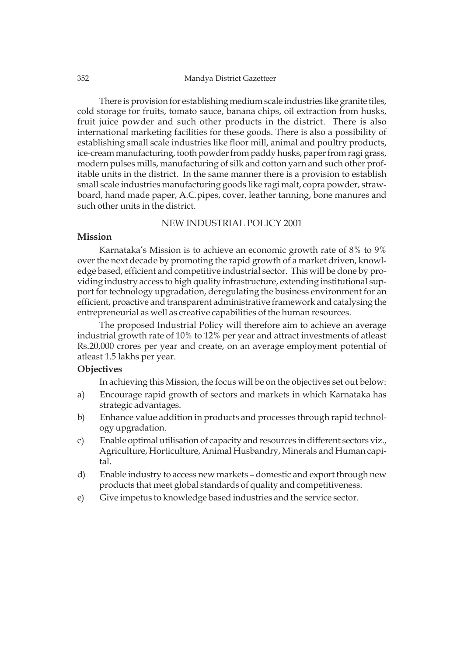There is provision for establishing medium scale industries like granite tiles, cold storage for fruits, tomato sauce, banana chips, oil extraction from husks, fruit juice powder and such other products in the district. There is also international marketing facilities for these goods. There is also a possibility of establishing small scale industries like floor mill, animal and poultry products, ice-cream manufacturing, tooth powder from paddy husks, paper from ragi grass, modern pulses mills, manufacturing of silk and cotton yarn and such other profitable units in the district. In the same manner there is a provision to establish small scale industries manufacturing goods like ragi malt, copra powder, strawboard, hand made paper, A.C.pipes, cover, leather tanning, bone manures and such other units in the district.

### NEW INDUSTRIAL POLICY 2001

# **Mission**

Karnataka's Mission is to achieve an economic growth rate of 8% to 9% over the next decade by promoting the rapid growth of a market driven, knowledge based, efficient and competitive industrial sector. This will be done by providing industry access to high quality infrastructure, extending institutional support for technology upgradation, deregulating the business environment for an efficient, proactive and transparent administrative framework and catalysing the entrepreneurial as well as creative capabilities of the human resources.

The proposed Industrial Policy will therefore aim to achieve an average industrial growth rate of 10% to 12% per year and attract investments of atleast Rs.20,000 crores per year and create, on an average employment potential of atleast 1.5 lakhs per year.

### **Objectives**

In achieving this Mission, the focus will be on the objectives set out below:

- a) Encourage rapid growth of sectors and markets in which Karnataka has strategic advantages.
- b) Enhance value addition in products and processes through rapid technology upgradation.
- c) Enable optimal utilisation of capacity and resources in different sectors viz., Agriculture, Horticulture, Animal Husbandry, Minerals and Human capital.
- d) Enable industry to access new markets domestic and export through new products that meet global standards of quality and competitiveness.
- e) Give impetus to knowledge based industries and the service sector.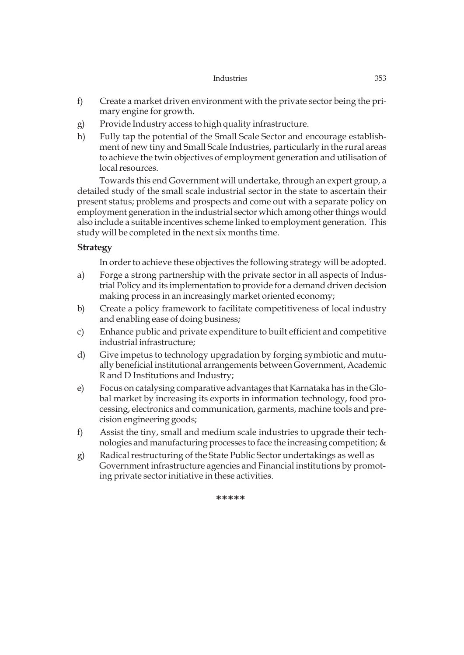- f) Create a market driven environment with the private sector being the primary engine for growth.
- g) Provide Industry access to high quality infrastructure.
- h) Fully tap the potential of the Small Scale Sector and encourage establishment of new tiny and Small Scale Industries, particularly in the rural areas to achieve the twin objectives of employment generation and utilisation of local resources.

Towards this end Government will undertake, through an expert group, a detailed study of the small scale industrial sector in the state to ascertain their present status; problems and prospects and come out with a separate policy on employment generation in the industrial sector which among other things would also include a suitable incentives scheme linked to employment generation. This study will be completed in the next six months time.

# **Strategy**

In order to achieve these objectives the following strategy will be adopted.

- a) Forge a strong partnership with the private sector in all aspects of Industrial Policy and its implementation to provide for a demand driven decision making process in an increasingly market oriented economy;
- b) Create a policy framework to facilitate competitiveness of local industry and enabling ease of doing business;
- c) Enhance public and private expenditure to built efficient and competitive industrial infrastructure;
- d) Give impetus to technology upgradation by forging symbiotic and mutually beneficial institutional arrangements between Government, Academic R and D Institutions and Industry;
- e) Focus on catalysing comparative advantages that Karnataka has in the Global market by increasing its exports in information technology, food processing, electronics and communication, garments, machine tools and precision engineering goods;
- f) Assist the tiny, small and medium scale industries to upgrade their technologies and manufacturing processes to face the increasing competition; &
- g) Radical restructuring of the State Public Sector undertakings as well as Government infrastructure agencies and Financial institutions by promoting private sector initiative in these activities.

**\*\*\*\*\***